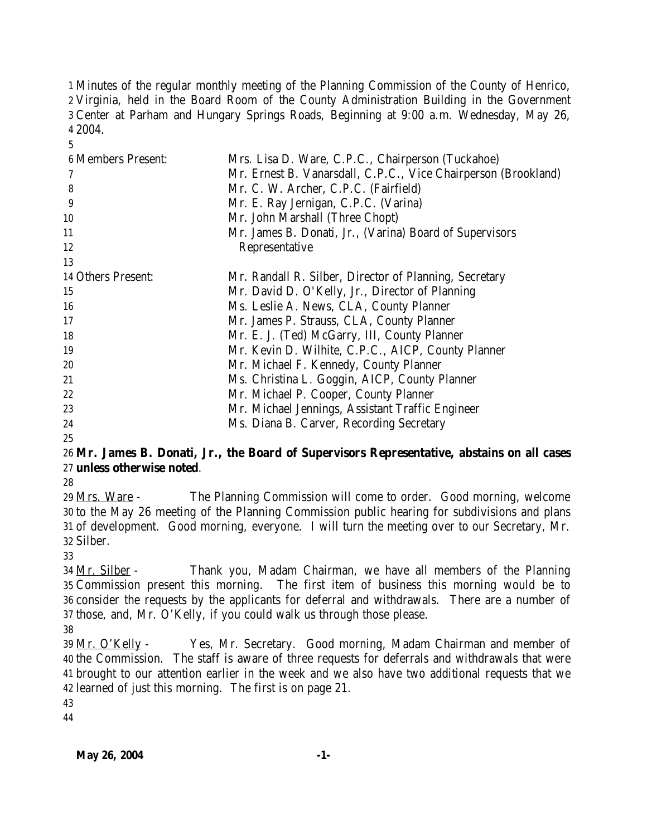Minutes of the regular monthly meeting of the Planning Commission of the County of Henrico, Virginia, held in the Board Room of the County Administration Building in the Government Center at Parham and Hungary Springs Roads, Beginning at 9:00 a.m. Wednesday, May 26, 2004.

| <b>6 Members Present:</b> | Mrs. Lisa D. Ware, C.P.C., Chairperson (Tuckahoe)              |
|---------------------------|----------------------------------------------------------------|
|                           | Mr. Ernest B. Vanarsdall, C.P.C., Vice Chairperson (Brookland) |
| 8                         | Mr. C. W. Archer, C.P.C. (Fairfield)                           |
| 9                         | Mr. E. Ray Jernigan, C.P.C. (Varina)                           |
| 10                        | Mr. John Marshall (Three Chopt)                                |
| 11                        | Mr. James B. Donati, Jr., (Varina) Board of Supervisors        |
| 12                        | Representative                                                 |
| 13                        |                                                                |
| 14 Others Present:        | Mr. Randall R. Silber, Director of Planning, Secretary         |
| 15                        | Mr. David D. O'Kelly, Jr., Director of Planning                |
| 16                        | Ms. Leslie A. News, CLA, County Planner                        |
| 17                        | Mr. James P. Strauss, CLA, County Planner                      |
| 18                        | Mr. E. J. (Ted) McGarry, III, County Planner                   |
| 19                        | Mr. Kevin D. Wilhite, C.P.C., AICP, County Planner             |
| 20                        | Mr. Michael F. Kennedy, County Planner                         |
| 21                        | Ms. Christina L. Goggin, AICP, County Planner                  |
| 22                        | Mr. Michael P. Cooper, County Planner                          |
| 23                        | Mr. Michael Jennings, Assistant Traffic Engineer               |
| 24                        | Ms. Diana B. Carver, Recording Secretary                       |
| 25                        |                                                                |

# **Mr. James B. Donati, Jr., the Board of Supervisors Representative, abstains on all cases unless otherwise noted**.

 Mrs. Ware - The Planning Commission will come to order. Good morning, welcome to the May 26 meeting of the Planning Commission public hearing for subdivisions and plans of development. Good morning, everyone. I will turn the meeting over to our Secretary, Mr. Silber.

 Mr. Silber - Thank you, Madam Chairman, we have all members of the Planning Commission present this morning. The first item of business this morning would be to consider the requests by the applicants for deferral and withdrawals. There are a number of those, and, Mr. O'Kelly, if you could walk us through those please.

 Mr. O'Kelly - Yes, Mr. Secretary. Good morning, Madam Chairman and member of the Commission. The staff is aware of three requests for deferrals and withdrawals that were brought to our attention earlier in the week and we also have two additional requests that we learned of just this morning. The first is on page 21.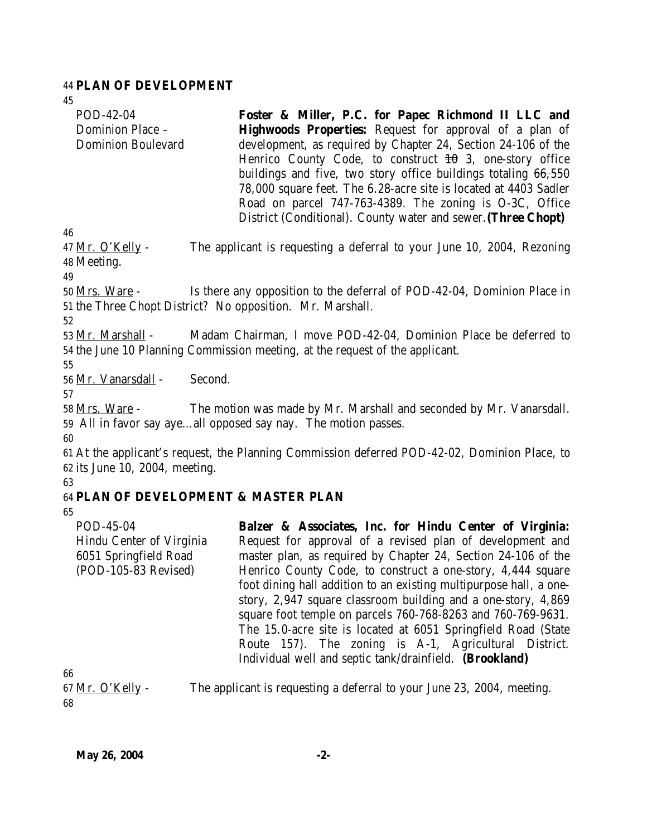#### 44 **PLAN OF DEVELOPMENT**

45

| POD-42-04                 | Foster & Miller, P.C. for Papec Richmond II LLC and                    |
|---------------------------|------------------------------------------------------------------------|
| Dominion Place -          | <b>Highwoods Properties:</b> Request for approval of a plan of         |
| <b>Dominion Boulevard</b> | development, as required by Chapter 24, Section 24-106 of the          |
|                           | Henrico County Code, to construct $\pm 0$ 3, one-story office          |
|                           | buildings and five, two story office buildings totaling $66,550$       |
|                           | 78,000 square feet. The 6.28-acre site is located at 4403 Sadler       |
|                           | Road on parcel 747-763-4389. The zoning is O-3C, Office                |
|                           | District (Conditional). County water and sewer. (Three Chopt)          |
| 46                        |                                                                        |
| 47 Mr. O'Kelly -          | The applicant is requesting a deferral to your June 10, 2004, Rezoning |
| 48 Meeting.               |                                                                        |
| 49                        |                                                                        |

50 Mrs. Ware - Is there any opposition to the deferral of POD-42-04, Dominion Place in 51 the Three Chopt District? No opposition. Mr. Marshall.

52

53 Mr. Marshall - Madam Chairman, I move POD-42-04, Dominion Place be deferred to 54 the June 10 Planning Commission meeting, at the request of the applicant.

55

56 Mr. Vanarsdall - Second.

57

58 Mrs. Ware - The motion was made by Mr. Marshall and seconded by Mr. Vanarsdall. 59 All in favor say aye…all opposed say nay. The motion passes.

60

61 At the applicant's request, the Planning Commission deferred POD-42-02, Dominion Place, to 62 its June 10, 2004, meeting.

63

# 64 **PLAN OF DEVELOPMENT & MASTER PLAN**

65

POD-45-04 Hindu Center of Virginia 6051 Springfield Road (POD-105-83 Revised) **Balzer & Associates, Inc. for Hindu Center of Virginia:** Request for approval of a revised plan of development and master plan, as required by Chapter 24, Section 24-106 of the Henrico County Code, to construct a one-story, 4,444 square foot dining hall addition to an existing multipurpose hall, a onestory, 2,947 square classroom building and a one-story, 4,869 square foot temple on parcels 760-768-8263 and 760-769-9631. The 15.0-acre site is located at 6051 Springfield Road (State Route 157). The zoning is A-1, Agricultural District. Individual well and septic tank/drainfield. **(Brookland)**

66 68

67  $Mr. O'Kelly$  - The applicant is requesting a deferral to your June 23, 2004, meeting.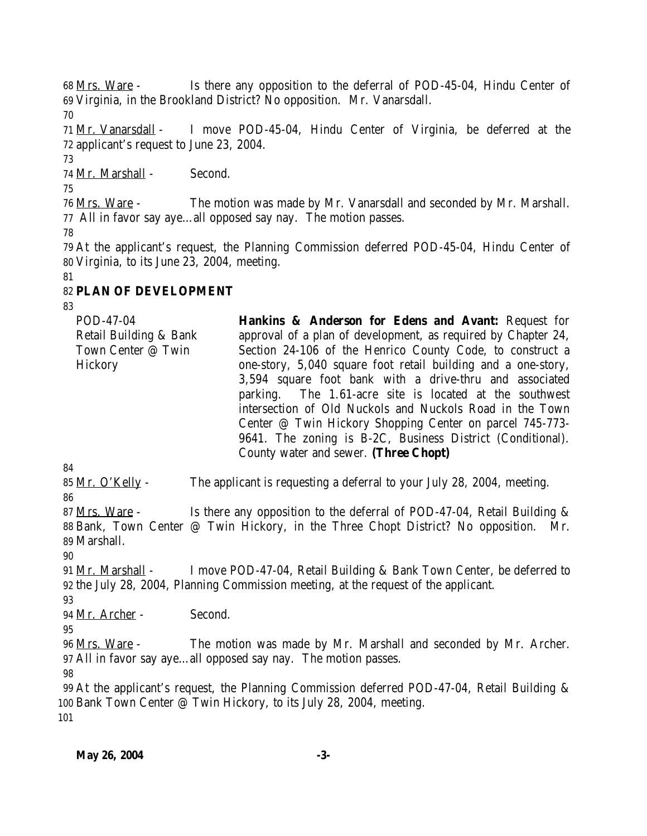Mrs. Ware - Is there any opposition to the deferral of POD-45-04, Hindu Center of Virginia, in the Brookland District? No opposition. Mr. Vanarsdall.

 Mr. Vanarsdall - I move POD-45-04, Hindu Center of Virginia, be deferred at the applicant's request to June 23, 2004.

Mr. Marshall - Second.

 Mrs. Ware - The motion was made by Mr. Vanarsdall and seconded by Mr. Marshall. All in favor say aye…all opposed say nay. The motion passes.

 At the applicant's request, the Planning Commission deferred POD-45-04, Hindu Center of Virginia, to its June 23, 2004, meeting.

# 

# **PLAN OF DEVELOPMENT**

POD-47-04 Retail Building & Bank Town Center @ Twin **Hickory Hankins & Anderson for Edens and Avant:** Request for approval of a plan of development, as required by Chapter 24, Section 24-106 of the Henrico County Code, to construct a one-story, 5,040 square foot retail building and a one-story, 3,594 square foot bank with a drive-thru and associated parking. The 1.61-acre site is located at the southwest intersection of Old Nuckols and Nuckols Road in the Town Center @ Twin Hickory Shopping Center on parcel 745-773- 9641. The zoning is B-2C, Business District (Conditional). County water and sewer. **(Three Chopt)**

 Mr. O'Kelly - The applicant is requesting a deferral to your July 28, 2004, meeting. 

87 Mrs. Ware - Is there any opposition to the deferral of POD-47-04, Retail Building & Bank, Town Center @ Twin Hickory, in the Three Chopt District? No opposition. Mr. Marshall.

 Mr. Marshall - I move POD-47-04, Retail Building & Bank Town Center, be deferred to the July 28, 2004, Planning Commission meeting, at the request of the applicant.

Mr. Archer - Second.

 Mrs. Ware - The motion was made by Mr. Marshall and seconded by Mr. Archer. All in favor say aye…all opposed say nay. The motion passes.

 At the applicant's request, the Planning Commission deferred POD-47-04, Retail Building & Bank Town Center @ Twin Hickory, to its July 28, 2004, meeting.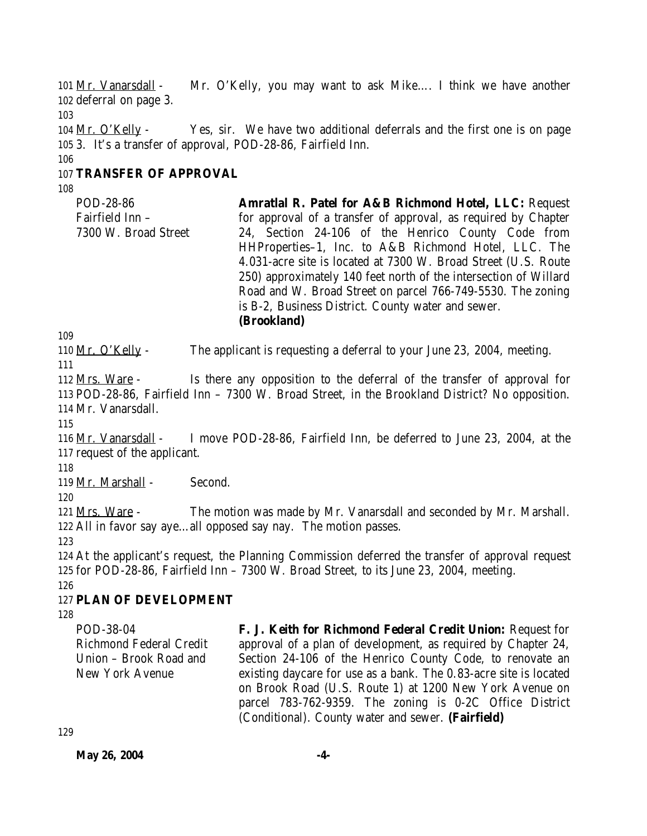101 Mr. Vanarsdall - Mr. O'Kelly, you may want to ask Mike…. I think we have another 102 deferral on page 3. 103 104 Mr. O'Kelly - Yes, sir. We have two additional deferrals and the first one is on page 105 3. It's a transfer of approval, POD-28-86, Fairfield Inn. 106

### 107 **TRANSFER OF APPROVAL**

108

POD-28-86 Fairfield Inn – 7300 W. Broad Street **Amratlal R. Patel for A&B Richmond Hotel, LLC:** Request for approval of a transfer of approval, as required by Chapter 24, Section 24-106 of the Henrico County Code from HHProperties–1, Inc. to A&B Richmond Hotel, LLC. The 4.031-acre site is located at 7300 W. Broad Street (U.S. Route 250) approximately 140 feet north of the intersection of Willard Road and W. Broad Street on parcel 766-749-5530. The zoning is B-2, Business District. County water and sewer. **(Brookland)**

109

110 Mr. O'Kelly - The applicant is requesting a deferral to your June 23, 2004, meeting.

111

112 Mrs. Ware - Is there any opposition to the deferral of the transfer of approval for 113 POD-28-86, Fairfield Inn – 7300 W. Broad Street, in the Brookland District? No opposition. 114 Mr. Vanarsdall.

115

116 Mr. Vanarsdall - I move POD-28-86, Fairfield Inn, be deferred to June 23, 2004, at the 117 request of the applicant.

118

119 Mr. Marshall - Second.

120

121 Mrs. Ware - The motion was made by Mr. Vanarsdall and seconded by Mr. Marshall. 122 All in favor say aye…all opposed say nay. The motion passes.

123

124 At the applicant's request, the Planning Commission deferred the transfer of approval request 125 for POD-28-86, Fairfield Inn – 7300 W. Broad Street, to its June 23, 2004, meeting. 126

# 127 **PLAN OF DEVELOPMENT**

128

POD-38-04 Richmond Federal Credit Union – Brook Road and New York Avenue

**F. J. Keith for Richmond Federal Credit Union:** Request for approval of a plan of development, as required by Chapter 24, Section 24-106 of the Henrico County Code, to renovate an existing daycare for use as a bank. The 0.83-acre site is located on Brook Road (U.S. Route 1) at 1200 New York Avenue on parcel 783-762-9359. The zoning is 0-2C Office District (Conditional). County water and sewer. **(Fairfield)**

129

**May 26, 2004** -4-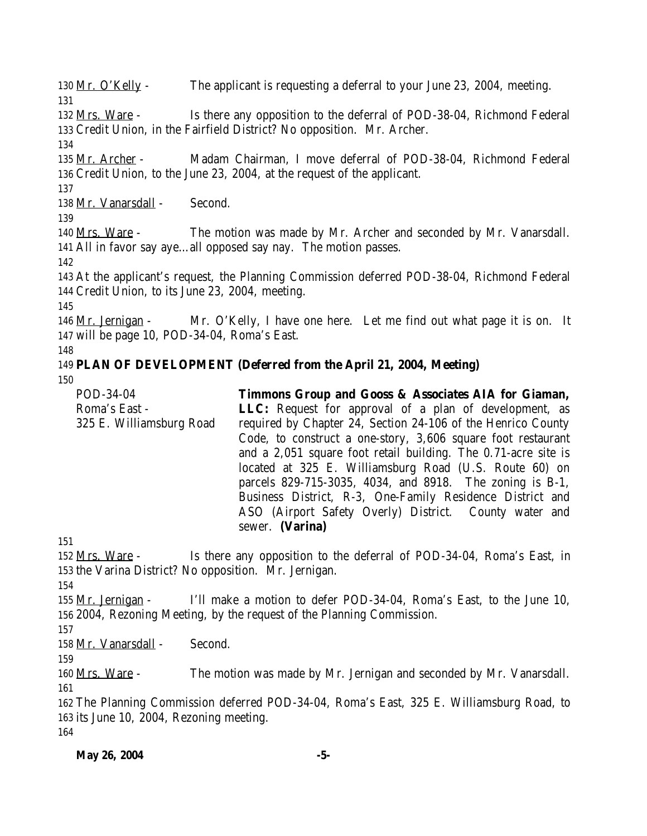130 Mr. O'Kelly - The applicant is requesting a deferral to your June 23, 2004, meeting. 132 Mrs. Ware - Is there any opposition to the deferral of POD-38-04, Richmond Federal Credit Union, in the Fairfield District? No opposition. Mr. Archer. Mr. Archer - Madam Chairman, I move deferral of POD-38-04, Richmond Federal Credit Union, to the June 23, 2004, at the request of the applicant. 138 Mr. Vanarsdall - Second. Mrs. Ware - The motion was made by Mr. Archer and seconded by Mr. Vanarsdall. All in favor say aye…all opposed say nay. The motion passes. At the applicant's request, the Planning Commission deferred POD-38-04, Richmond Federal Credit Union, to its June 23, 2004, meeting. 146 Mr. Jernigan - Mr. O'Kelly, I have one here. Let me find out what page it is on. It will be page 10, POD-34-04, Roma's East. **PLAN OF DEVELOPMENT (Deferred from the April 21, 2004, Meeting)** POD-34-04 Roma's East - 325 E. Williamsburg Road **Timmons Group and Gooss & Associates AIA for Giaman, LLC:** Request for approval of a plan of development, as required by Chapter 24, Section 24-106 of the Henrico County Code, to construct a one-story, 3,606 square foot restaurant and a 2,051 square foot retail building. The 0.71-acre site is located at 325 E. Williamsburg Road (U.S. Route 60) on parcels 829-715-3035, 4034, and 8918. The zoning is B-1, Business District, R-3, One-Family Residence District and ASO (Airport Safety Overly) District. County water and sewer. **(Varina)** 152 Mrs. Ware - Is there any opposition to the deferral of POD-34-04, Roma's East, in the Varina District? No opposition. Mr. Jernigan. Mr. Jernigan - I'll make a motion to defer POD-34-04, Roma's East, to the June 10, 2004, Rezoning Meeting, by the request of the Planning Commission. Mr. Vanarsdall - Second. Mrs. Ware - The motion was made by Mr. Jernigan and seconded by Mr. Vanarsdall. The Planning Commission deferred POD-34-04, Roma's East, 325 E. Williamsburg Road, to its June 10, 2004, Rezoning meeting.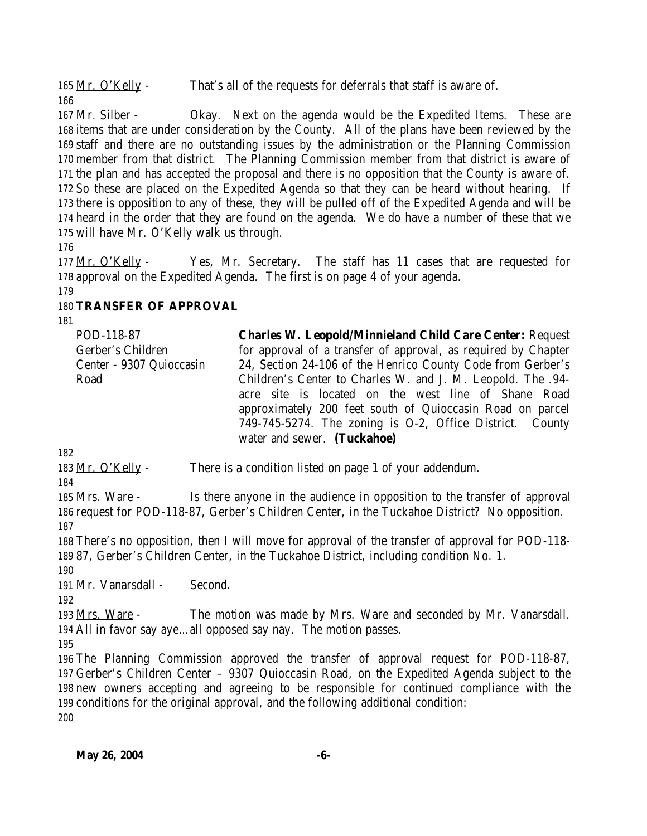165 Mr. O'Kelly - That's all of the requests for deferrals that staff is aware of.

167 Mr. Silber - Okay. Next on the agenda would be the Expedited Items. These are items that are under consideration by the County. All of the plans have been reviewed by the staff and there are no outstanding issues by the administration or the Planning Commission member from that district. The Planning Commission member from that district is aware of the plan and has accepted the proposal and there is no opposition that the County is aware of. So these are placed on the Expedited Agenda so that they can be heard without hearing. If there is opposition to any of these, they will be pulled off of the Expedited Agenda and will be heard in the order that they are found on the agenda. We do have a number of these that we will have Mr. O'Kelly walk us through.

 Mr. O'Kelly - Yes, Mr. Secretary. The staff has 11 cases that are requested for approval on the Expedited Agenda. The first is on page 4 of your agenda.

### **TRANSFER OF APPROVAL**

POD-118-87 Gerber's Children Center - 9307 Quioccasin Road **Charles W. Leopold/Minnieland Child Care Center:** Request for approval of a transfer of approval, as required by Chapter 24, Section 24-106 of the Henrico County Code from Gerber's Children's Center to Charles W. and J. M. Leopold. The .94 acre site is located on the west line of Shane Road approximately 200 feet south of Quioccasin Road on parcel 749-745-5274. The zoning is O-2, Office District. County water and sewer. **(Tuckahoe)**

183 Mr. O'Kelly - There is a condition listed on page 1 of your addendum.

 Mrs. Ware - Is there anyone in the audience in opposition to the transfer of approval request for POD-118-87, Gerber's Children Center, in the Tuckahoe District? No opposition. 

 There's no opposition, then I will move for approval of the transfer of approval for POD-118- 87, Gerber's Children Center, in the Tuckahoe District, including condition No. 1.

191 Mr. Vanarsdall - Second.

193 Mrs. Ware - The motion was made by Mrs. Ware and seconded by Mr. Vanarsdall. All in favor say aye…all opposed say nay. The motion passes.

 The Planning Commission approved the transfer of approval request for POD-118-87, Gerber's Children Center – 9307 Quioccasin Road, on the Expedited Agenda subject to the new owners accepting and agreeing to be responsible for continued compliance with the conditions for the original approval, and the following additional condition: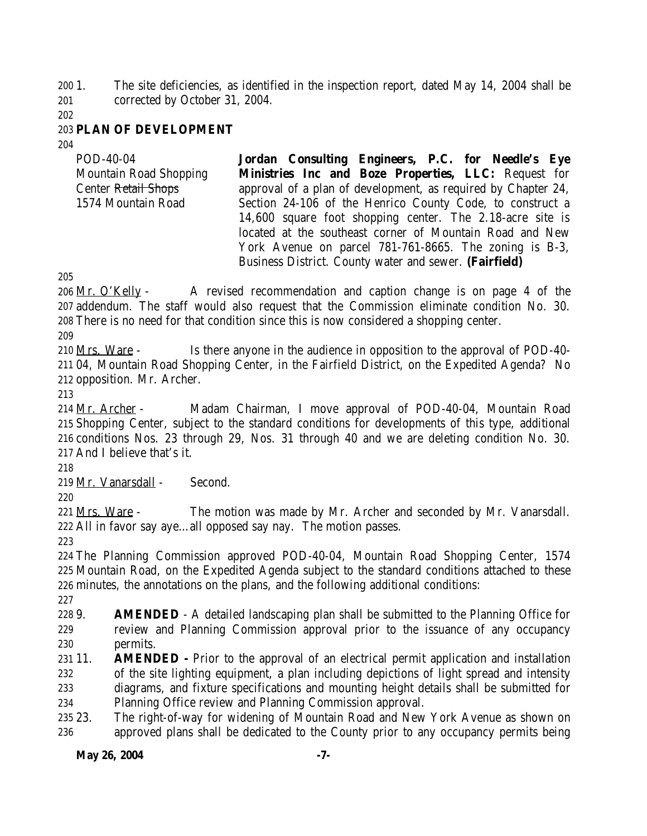1. The site deficiencies, as identified in the inspection report, dated May 14, 2004 shall be corrected by October 31, 2004.

#### **PLAN OF DEVELOPMENT**

| POD-40-04                      | Jordan Consulting Engineers, P.C. for Needle's Eye            |
|--------------------------------|---------------------------------------------------------------|
| <b>Mountain Road Shopping</b>  | Ministries Inc and Boze Properties, LLC: Request for          |
| Center <del>Retail Shops</del> | approval of a plan of development, as required by Chapter 24, |
| 1574 Mountain Road             | Section 24-106 of the Henrico County Code, to construct a     |
|                                | 14,600 square foot shopping center. The 2.18-acre site is     |
|                                | located at the southeast corner of Mountain Road and New      |
|                                | York Avenue on parcel 781-761-8665. The zoning is B-3,        |
|                                | Business District. County water and sewer. (Fairfield)        |

206 Mr. O'Kelly - A revised recommendation and caption change is on page 4 of the addendum. The staff would also request that the Commission eliminate condition No. 30. There is no need for that condition since this is now considered a shopping center.

 Mrs. Ware - Is there anyone in the audience in opposition to the approval of POD-40- 04, Mountain Road Shopping Center, in the Fairfield District, on the Expedited Agenda? No opposition. Mr. Archer.

 Mr. Archer - Madam Chairman, I move approval of POD-40-04, Mountain Road Shopping Center, subject to the standard conditions for developments of this type, additional conditions Nos. 23 through 29, Nos. 31 through 40 and we are deleting condition No. 30. And I believe that's it.

Mr. Vanarsdall - Second.

221 Mrs. Ware - The motion was made by Mr. Archer and seconded by Mr. Vanarsdall. All in favor say aye…all opposed say nay. The motion passes.

 The Planning Commission approved POD-40-04, Mountain Road Shopping Center, 1574 Mountain Road, on the Expedited Agenda subject to the standard conditions attached to these minutes, the annotations on the plans, and the following additional conditions:

 9. **AMENDED** - A detailed landscaping plan shall be submitted to the Planning Office for review and Planning Commission approval prior to the issuance of any occupancy permits.

 11. **AMENDED -** Prior to the approval of an electrical permit application and installation of the site lighting equipment, a plan including depictions of light spread and intensity diagrams, and fixture specifications and mounting height details shall be submitted for

Planning Office review and Planning Commission approval.

 23. The right-of-way for widening of Mountain Road and New York Avenue as shown on approved plans shall be dedicated to the County prior to any occupancy permits being

#### **May 26, 2004** -7-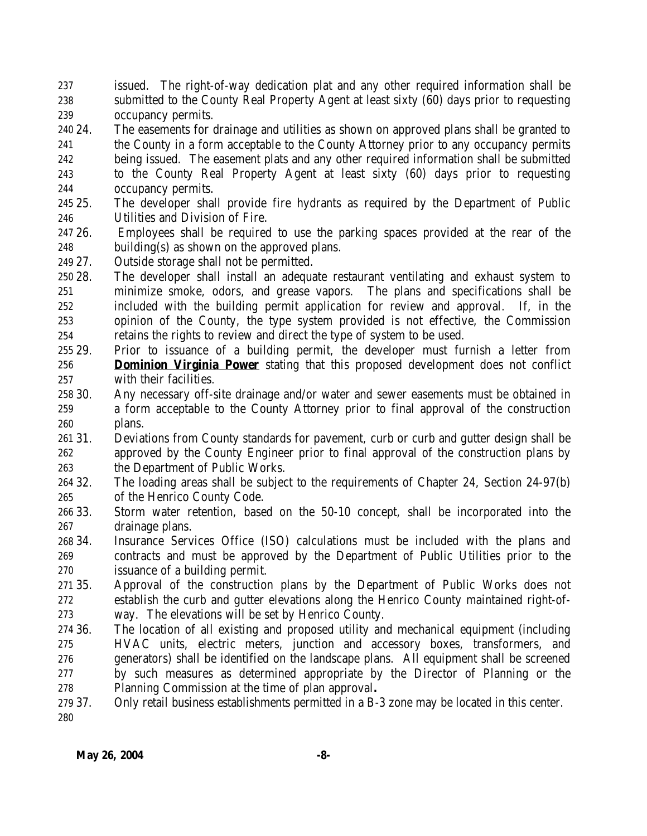issued. The right-of-way dedication plat and any other required information shall be submitted to the County Real Property Agent at least sixty (60) days prior to requesting occupancy permits.

 24. The easements for drainage and utilities as shown on approved plans shall be granted to the County in a form acceptable to the County Attorney prior to any occupancy permits being issued. The easement plats and any other required information shall be submitted to the County Real Property Agent at least sixty (60) days prior to requesting occupancy permits.

- 25. The developer shall provide fire hydrants as required by the Department of Public Utilities and Division of Fire.
- 26. Employees shall be required to use the parking spaces provided at the rear of the building(s) as shown on the approved plans.
- 27. Outside storage shall not be permitted.
- 28. The developer shall install an adequate restaurant ventilating and exhaust system to minimize smoke, odors, and grease vapors. The plans and specifications shall be included with the building permit application for review and approval. If, in the opinion of the County, the type system provided is not effective, the Commission retains the rights to review and direct the type of system to be used.
- 29. Prior to issuance of a building permit, the developer must furnish a letter from **Dominion Virginia Power** stating that this proposed development does not conflict with their facilities.
- 30. Any necessary off-site drainage and/or water and sewer easements must be obtained in a form acceptable to the County Attorney prior to final approval of the construction plans.
- 31. Deviations from County standards for pavement, curb or curb and gutter design shall be approved by the County Engineer prior to final approval of the construction plans by the Department of Public Works.
- 32. The loading areas shall be subject to the requirements of Chapter 24, Section 24-97(b) of the Henrico County Code.
- 33. Storm water retention, based on the 50-10 concept, shall be incorporated into the drainage plans.
- 34. Insurance Services Office (ISO) calculations must be included with the plans and contracts and must be approved by the Department of Public Utilities prior to the issuance of a building permit.
- 35. Approval of the construction plans by the Department of Public Works does not establish the curb and gutter elevations along the Henrico County maintained right-of-way. The elevations will be set by Henrico County.
- 36. The location of all existing and proposed utility and mechanical equipment (including HVAC units, electric meters, junction and accessory boxes, transformers, and generators) shall be identified on the landscape plans. All equipment shall be screened by such measures as determined appropriate by the Director of Planning or the Planning Commission at the time of plan approval**.**
- 37. Only retail business establishments permitted in a B-3 zone may be located in this center.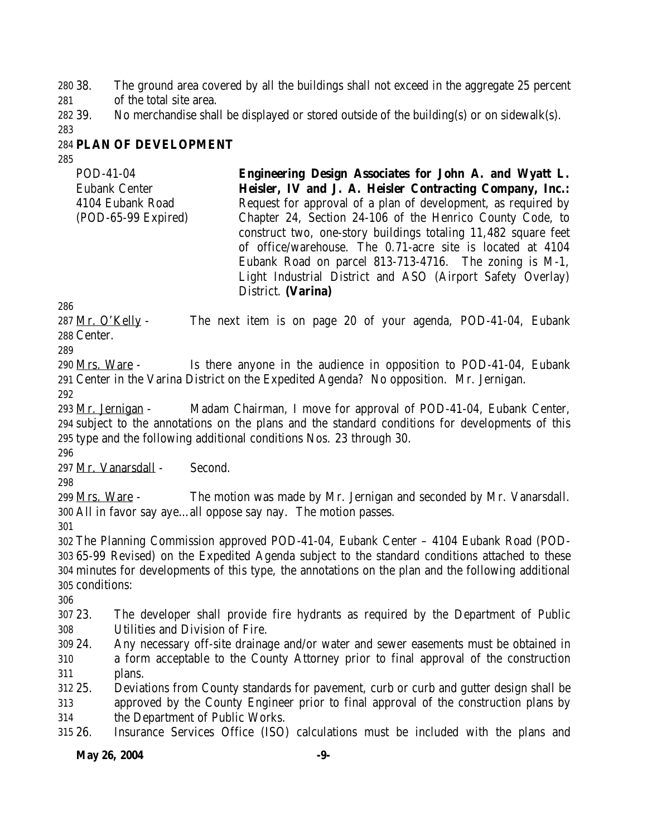38. The ground area covered by all the buildings shall not exceed in the aggregate 25 percent of the total site area.

39. No merchandise shall be displayed or stored outside of the building(s) or on sidewalk(s).

# **PLAN OF DEVELOPMENT**

POD-41-04 Eubank Center 4104 Eubank Road (POD-65-99 Expired) **Engineering Design Associates for John A. and Wyatt L. Heisler, IV and J. A. Heisler Contracting Company, Inc.:** Request for approval of a plan of development, as required by Chapter 24, Section 24-106 of the Henrico County Code, to construct two, one-story buildings totaling 11,482 square feet of office/warehouse. The 0.71-acre site is located at 4104 Eubank Road on parcel 813-713-4716. The zoning is M-1, Light Industrial District and ASO (Airport Safety Overlay) District. **(Varina)**

287  $Mr. O'Kelly$  - The next item is on page 20 of your agenda, POD-41-04, Eubank Center.

 Mrs. Ware - Is there anyone in the audience in opposition to POD-41-04, Eubank Center in the Varina District on the Expedited Agenda? No opposition. Mr. Jernigan.

 Mr. Jernigan - Madam Chairman, I move for approval of POD-41-04, Eubank Center, subject to the annotations on the plans and the standard conditions for developments of this type and the following additional conditions Nos. 23 through 30.

Mr. Vanarsdall - Second.

299 Mrs. Ware - The motion was made by Mr. Jernigan and seconded by Mr. Vanarsdall. All in favor say aye…all oppose say nay. The motion passes.

 The Planning Commission approved POD-41-04, Eubank Center – 4104 Eubank Road (POD- 65-99 Revised) on the Expedited Agenda subject to the standard conditions attached to these minutes for developments of this type, the annotations on the plan and the following additional conditions:

 23. The developer shall provide fire hydrants as required by the Department of Public Utilities and Division of Fire.

 24. Any necessary off-site drainage and/or water and sewer easements must be obtained in a form acceptable to the County Attorney prior to final approval of the construction plans.

 25. Deviations from County standards for pavement, curb or curb and gutter design shall be approved by the County Engineer prior to final approval of the construction plans by the Department of Public Works.

26. Insurance Services Office (ISO) calculations must be included with the plans and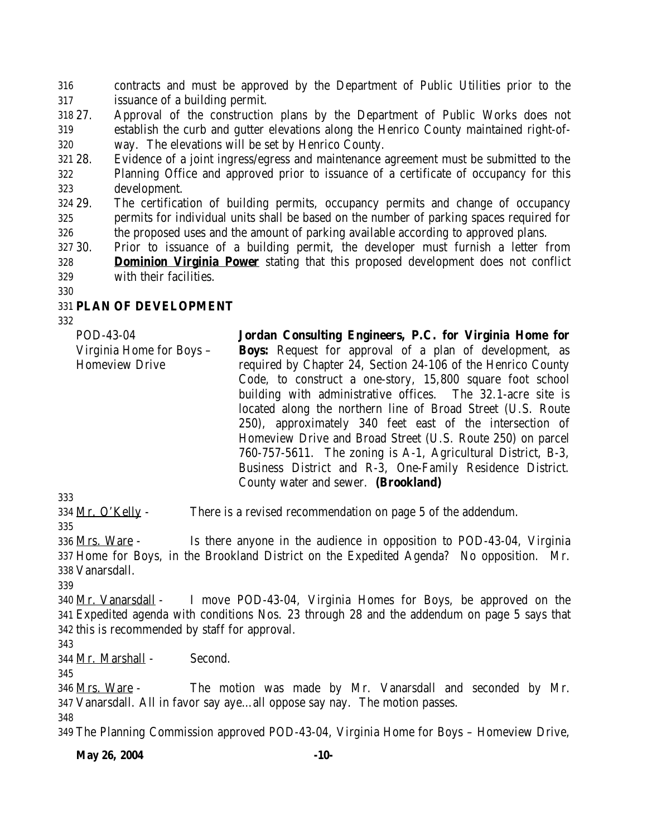contracts and must be approved by the Department of Public Utilities prior to the issuance of a building permit.

- 27. Approval of the construction plans by the Department of Public Works does not establish the curb and gutter elevations along the Henrico County maintained right-of-way. The elevations will be set by Henrico County.
- 28. Evidence of a joint ingress/egress and maintenance agreement must be submitted to the Planning Office and approved prior to issuance of a certificate of occupancy for this development.
- 29. The certification of building permits, occupancy permits and change of occupancy permits for individual units shall be based on the number of parking spaces required for the proposed uses and the amount of parking available according to approved plans.
- 30. Prior to issuance of a building permit, the developer must furnish a letter from **Dominion Virginia Power** stating that this proposed development does not conflict with their facilities.
- 

# **PLAN OF DEVELOPMENT**

POD-43-04 Virginia Home for Boys – Homeview Drive **Jordan Consulting Engineers, P.C. for Virginia Home for Boys:** Request for approval of a plan of development, as required by Chapter 24, Section 24-106 of the Henrico County Code, to construct a one-story, 15,800 square foot school building with administrative offices. The 32.1-acre site is located along the northern line of Broad Street (U.S. Route 250), approximately 340 feet east of the intersection of Homeview Drive and Broad Street (U.S. Route 250) on parcel 760-757-5611. The zoning is A-1, Agricultural District, B-3, Business District and R-3, One-Family Residence District. County water and sewer. **(Brookland)**

334 Mr. O'Kelly - There is a revised recommendation on page 5 of the addendum.

 Mrs. Ware - Is there anyone in the audience in opposition to POD-43-04, Virginia Home for Boys, in the Brookland District on the Expedited Agenda? No opposition. Mr. Vanarsdall.

 Mr. Vanarsdall - I move POD-43-04, Virginia Homes for Boys, be approved on the Expedited agenda with conditions Nos. 23 through 28 and the addendum on page 5 says that this is recommended by staff for approval.

Mr. Marshall - Second.

346 <u>Mrs. Ware</u> - The motion was made by Mr. Vanarsdall and seconded by Mr. Vanarsdall. All in favor say aye…all oppose say nay. The motion passes. 

The Planning Commission approved POD-43-04, Virginia Home for Boys – Homeview Drive,

**May 26, 2004** -10-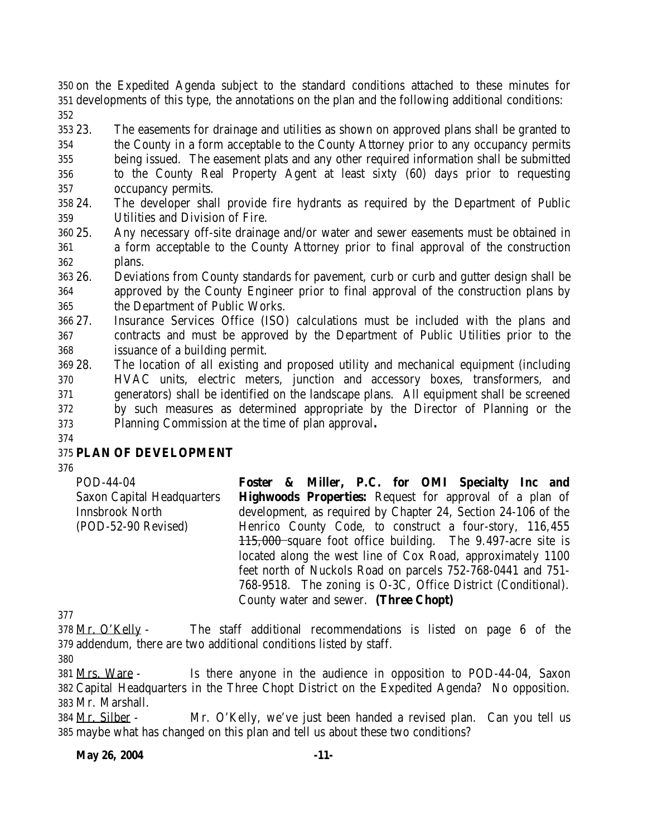on the Expedited Agenda subject to the standard conditions attached to these minutes for developments of this type, the annotations on the plan and the following additional conditions: 

 23. The easements for drainage and utilities as shown on approved plans shall be granted to the County in a form acceptable to the County Attorney prior to any occupancy permits being issued. The easement plats and any other required information shall be submitted

- to the County Real Property Agent at least sixty (60) days prior to requesting occupancy permits.
- 24. The developer shall provide fire hydrants as required by the Department of Public Utilities and Division of Fire.
- 25. Any necessary off-site drainage and/or water and sewer easements must be obtained in a form acceptable to the County Attorney prior to final approval of the construction plans.
- 26. Deviations from County standards for pavement, curb or curb and gutter design shall be approved by the County Engineer prior to final approval of the construction plans by the Department of Public Works.
- 27. Insurance Services Office (ISO) calculations must be included with the plans and contracts and must be approved by the Department of Public Utilities prior to the issuance of a building permit.
- 28. The location of all existing and proposed utility and mechanical equipment (including HVAC units, electric meters, junction and accessory boxes, transformers, and generators) shall be identified on the landscape plans. All equipment shall be screened by such measures as determined appropriate by the Director of Planning or the Planning Commission at the time of plan approval**.**
- 

# **PLAN OF DEVELOPMENT**

| POD-44-04                         |  |                                       |  | Foster & Miller, P.C. for OMI Specialty Inc and                |  |
|-----------------------------------|--|---------------------------------------|--|----------------------------------------------------------------|--|
| <b>Saxon Capital Headquarters</b> |  |                                       |  | <b>Highwoods Properties:</b> Request for approval of a plan of |  |
| <b>Innsbrook North</b>            |  |                                       |  | development, as required by Chapter 24, Section 24-106 of the  |  |
| (POD-52-90 Revised)               |  |                                       |  | Henrico County Code, to construct a four-story, 116,455        |  |
|                                   |  |                                       |  | $115,000$ square foot office building. The 9.497-acre site is  |  |
|                                   |  |                                       |  | located along the west line of Cox Road, approximately 1100    |  |
|                                   |  |                                       |  | feet north of Nuckols Road on parcels 752-768-0441 and 751-    |  |
|                                   |  |                                       |  | 768-9518. The zoning is O-3C, Office District (Conditional).   |  |
|                                   |  | County water and sewer. (Three Chopt) |  |                                                                |  |

 Mr. O'Kelly - The staff additional recommendations is listed on page 6 of the addendum, there are two additional conditions listed by staff.

 Mrs. Ware - Is there anyone in the audience in opposition to POD-44-04, Saxon Capital Headquarters in the Three Chopt District on the Expedited Agenda? No opposition. Mr. Marshall.

 Mr. Silber - Mr. O'Kelly, we've just been handed a revised plan. Can you tell us maybe what has changed on this plan and tell us about these two conditions?

#### **May 26, 2004** -11-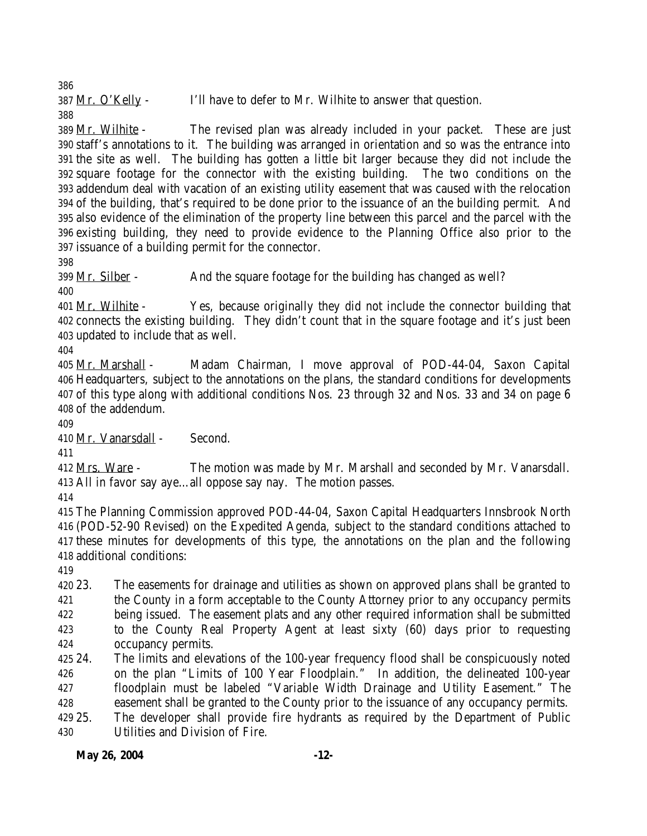387 Mr. O'Kelly - I'll have to defer to Mr. Wilhite to answer that question. 

 Mr. Wilhite - The revised plan was already included in your packet. These are just staff's annotations to it. The building was arranged in orientation and so was the entrance into the site as well. The building has gotten a little bit larger because they did not include the square footage for the connector with the existing building. The two conditions on the addendum deal with vacation of an existing utility easement that was caused with the relocation of the building, that's required to be done prior to the issuance of an the building permit. And also evidence of the elimination of the property line between this parcel and the parcel with the existing building, they need to provide evidence to the Planning Office also prior to the issuance of a building permit for the connector.

399 Mr. Silber - And the square footage for the building has changed as well?

401 Mr. Wilhite - Yes, because originally they did not include the connector building that connects the existing building. They didn't count that in the square footage and it's just been updated to include that as well.

 Mr. Marshall - Madam Chairman, I move approval of POD-44-04, Saxon Capital Headquarters, subject to the annotations on the plans, the standard conditions for developments of this type along with additional conditions Nos. 23 through 32 and Nos. 33 and 34 on page 6 of the addendum.

Mr. Vanarsdall - Second.

 Mrs. Ware - The motion was made by Mr. Marshall and seconded by Mr. Vanarsdall. All in favor say aye…all oppose say nay. The motion passes.

 The Planning Commission approved POD-44-04, Saxon Capital Headquarters Innsbrook North (POD-52-90 Revised) on the Expedited Agenda, subject to the standard conditions attached to these minutes for developments of this type, the annotations on the plan and the following additional conditions:

 23. The easements for drainage and utilities as shown on approved plans shall be granted to the County in a form acceptable to the County Attorney prior to any occupancy permits being issued. The easement plats and any other required information shall be submitted to the County Real Property Agent at least sixty (60) days prior to requesting occupancy permits.

 24. The limits and elevations of the 100-year frequency flood shall be conspicuously noted on the plan "Limits of 100 Year Floodplain." In addition, the delineated 100-year floodplain must be labeled "Variable Width Drainage and Utility Easement." The easement shall be granted to the County prior to the issuance of any occupancy permits.

 25. The developer shall provide fire hydrants as required by the Department of Public Utilities and Division of Fire.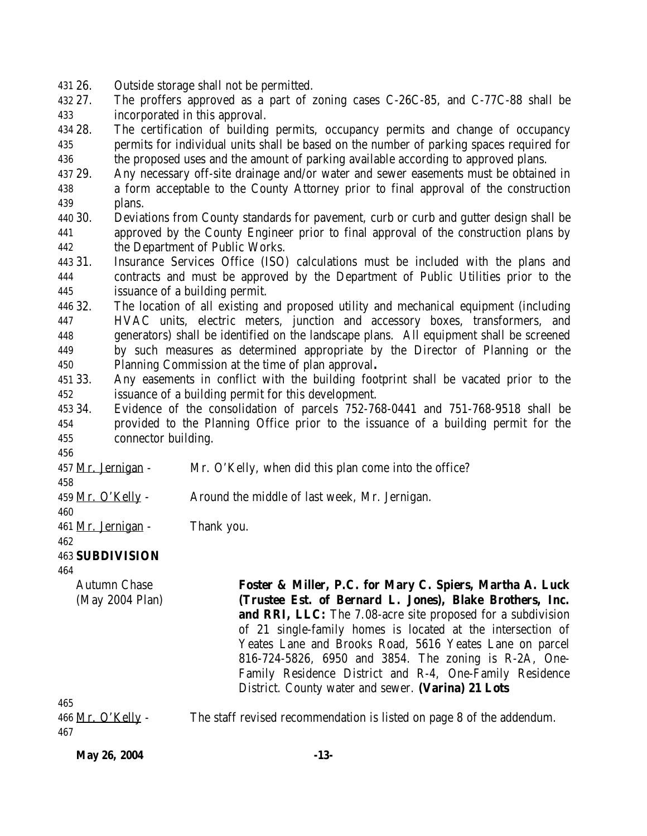26. Outside storage shall not be permitted.

 27. The proffers approved as a part of zoning cases C-26C-85, and C-77C-88 shall be incorporated in this approval.

 28. The certification of building permits, occupancy permits and change of occupancy permits for individual units shall be based on the number of parking spaces required for the proposed uses and the amount of parking available according to approved plans.

- 29. Any necessary off-site drainage and/or water and sewer easements must be obtained in a form acceptable to the County Attorney prior to final approval of the construction plans.
- 30. Deviations from County standards for pavement, curb or curb and gutter design shall be approved by the County Engineer prior to final approval of the construction plans by the Department of Public Works.
- 31. Insurance Services Office (ISO) calculations must be included with the plans and contracts and must be approved by the Department of Public Utilities prior to the issuance of a building permit.
- 32. The location of all existing and proposed utility and mechanical equipment (including HVAC units, electric meters, junction and accessory boxes, transformers, and generators) shall be identified on the landscape plans. All equipment shall be screened by such measures as determined appropriate by the Director of Planning or the Planning Commission at the time of plan approval**.**
- 33. Any easements in conflict with the building footprint shall be vacated prior to the issuance of a building permit for this development.
- 34. Evidence of the consolidation of parcels 752-768-0441 and 751-768-9518 shall be provided to the Planning Office prior to the issuance of a building permit for the connector building.

- Mr. Jernigan Mr. O'Kelly, when did this plan come into the office?
- 

459 Mr. O'Kelly - Around the middle of last week, Mr. Jernigan.

Mr. Jernigan - Thank you.

**SUBDIVISION** 

Autumn Chase (May 2004 Plan) **Foster & Miller, P.C. for Mary C. Spiers, Martha A. Luck (Trustee Est. of Bernard L. Jones), Blake Brothers, Inc. and RRI, LLC:** The 7.08-acre site proposed for a subdivision of 21 single-family homes is located at the intersection of Yeates Lane and Brooks Road, 5616 Yeates Lane on parcel 816-724-5826, 6950 and 3854. The zoning is R-2A, One-Family Residence District and R-4, One-Family Residence District. County water and sewer. **(Varina) 21 Lots**

466 Mr. O'Kelly - The staff revised recommendation is listed on page 8 of the addendum.

**May 26, 2004** -13-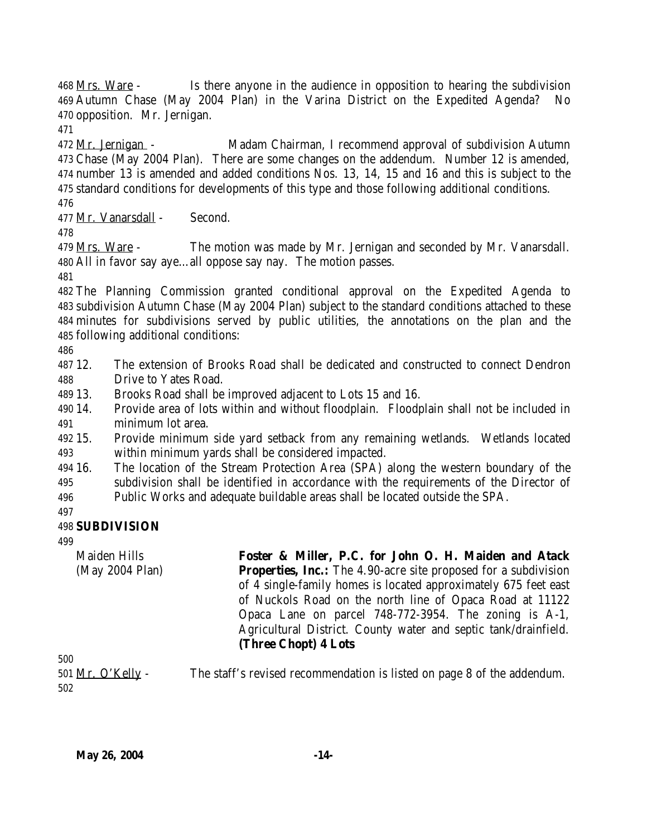468 Mrs. Ware - Is there anyone in the audience in opposition to hearing the subdivision Autumn Chase (May 2004 Plan) in the Varina District on the Expedited Agenda? No opposition. Mr. Jernigan.

 Mr. Jernigan - Madam Chairman, I recommend approval of subdivision Autumn Chase (May 2004 Plan). There are some changes on the addendum. Number 12 is amended, number 13 is amended and added conditions Nos. 13, 14, 15 and 16 and this is subject to the standard conditions for developments of this type and those following additional conditions. 

Mr. Vanarsdall - Second.

479 Mrs. Ware - The motion was made by Mr. Jernigan and seconded by Mr. Vanarsdall. All in favor say aye…all oppose say nay. The motion passes.

 The Planning Commission granted conditional approval on the Expedited Agenda to subdivision Autumn Chase (May 2004 Plan) subject to the standard conditions attached to these minutes for subdivisions served by public utilities, the annotations on the plan and the following additional conditions:

 12. The extension of Brooks Road shall be dedicated and constructed to connect Dendron Drive to Yates Road.

13. Brooks Road shall be improved adjacent to Lots 15 and 16.

 14. Provide area of lots within and without floodplain. Floodplain shall not be included in minimum lot area.

 15. Provide minimum side yard setback from any remaining wetlands. Wetlands located within minimum yards shall be considered impacted.

 16. The location of the Stream Protection Area (SPA) along the western boundary of the subdivision shall be identified in accordance with the requirements of the Director of

Public Works and adequate buildable areas shall be located outside the SPA.

# **SUBDIVISION**

Maiden Hills (May 2004 Plan) **Foster & Miller, P.C. for John O. H. Maiden and Atack Properties, Inc.:** The 4.90-acre site proposed for a subdivision of 4 single-family homes is located approximately 675 feet east of Nuckols Road on the north line of Opaca Road at 11122 Opaca Lane on parcel 748-772-3954. The zoning is A-1, Agricultural District. County water and septic tank/drainfield. **(Three Chopt) 4 Lots**

501 Mr. O'Kelly - The staff's revised recommendation is listed on page 8 of the addendum.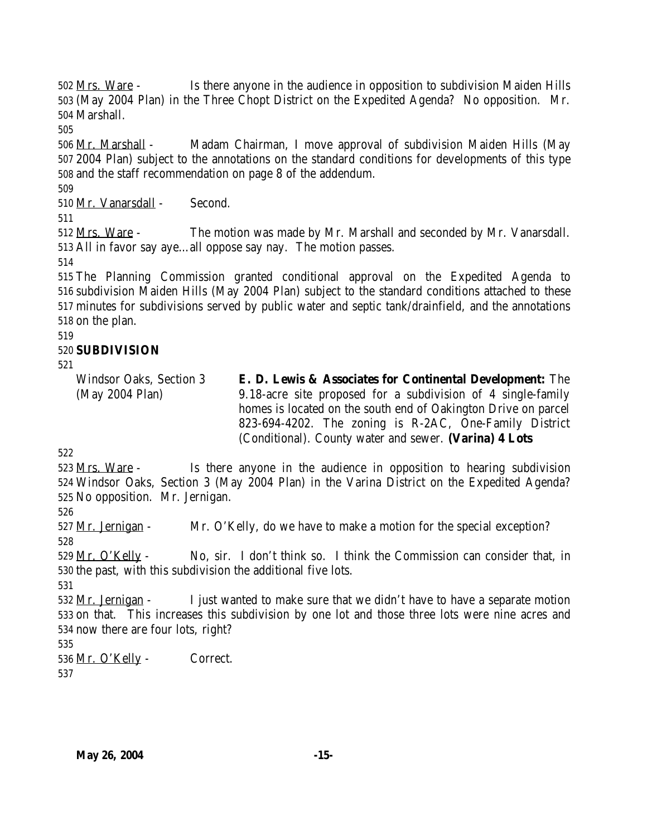Mrs. Ware - Is there anyone in the audience in opposition to subdivision Maiden Hills (May 2004 Plan) in the Three Chopt District on the Expedited Agenda? No opposition. Mr. Marshall.

 Mr. Marshall - Madam Chairman, I move approval of subdivision Maiden Hills (May 2004 Plan) subject to the annotations on the standard conditions for developments of this type and the staff recommendation on page 8 of the addendum.

Mr. Vanarsdall - Second.

 Mrs. Ware - The motion was made by Mr. Marshall and seconded by Mr. Vanarsdall. All in favor say aye…all oppose say nay. The motion passes.

 The Planning Commission granted conditional approval on the Expedited Agenda to subdivision Maiden Hills (May 2004 Plan) subject to the standard conditions attached to these minutes for subdivisions served by public water and septic tank/drainfield, and the annotations on the plan.

### **SUBDIVISION**

Windsor Oaks, Section 3 (May 2004 Plan) **E. D. Lewis & Associates for Continental Development:** The 9.18-acre site proposed for a subdivision of 4 single-family homes is located on the south end of Oakington Drive on parcel 823-694-4202. The zoning is R-2AC, One-Family District (Conditional). County water and sewer. **(Varina) 4 Lots**

 Mrs. Ware - Is there anyone in the audience in opposition to hearing subdivision Windsor Oaks, Section 3 (May 2004 Plan) in the Varina District on the Expedited Agenda? No opposition. Mr. Jernigan.

527 Mr. Jernigan - Mr. O'Kelly, do we have to make a motion for the special exception? 

529 Mr. O'Kelly - No, sir. I don't think so. I think the Commission can consider that, in the past, with this subdivision the additional five lots.

 532 Mr. Jernigan - I just wanted to make sure that we didn't have to have a separate motion on that. This increases this subdivision by one lot and those three lots were nine acres and now there are four lots, right?

536 Mr. O'Kelly - Correct.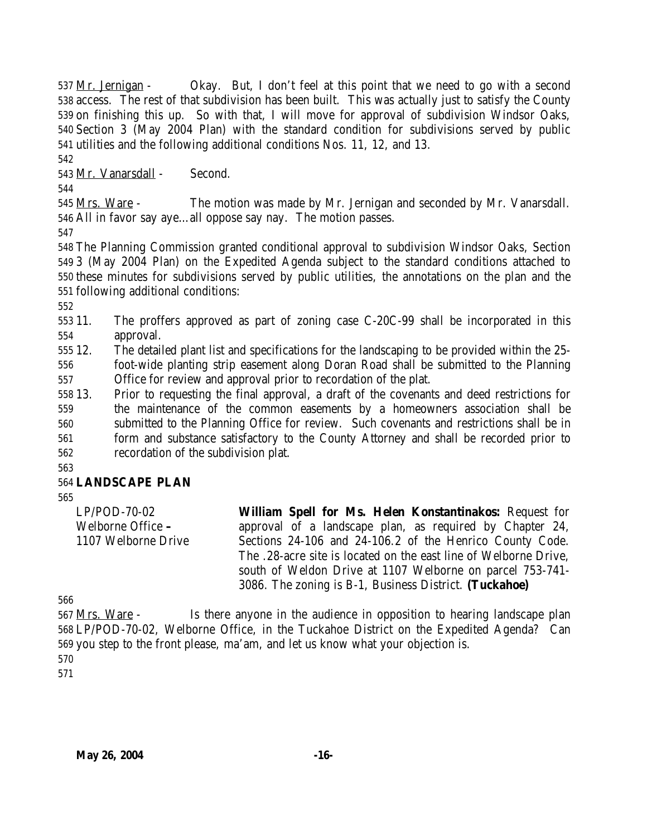537 Mr. Jernigan - Okay. But, I don't feel at this point that we need to go with a second access. The rest of that subdivision has been built. This was actually just to satisfy the County on finishing this up. So with that, I will move for approval of subdivision Windsor Oaks, Section 3 (May 2004 Plan) with the standard condition for subdivisions served by public utilities and the following additional conditions Nos. 11, 12, and 13.

Mr. Vanarsdall - Second.

545 Mrs. Ware - The motion was made by Mr. Jernigan and seconded by Mr. Vanarsdall. All in favor say aye…all oppose say nay. The motion passes.

 The Planning Commission granted conditional approval to subdivision Windsor Oaks, Section 3 (May 2004 Plan) on the Expedited Agenda subject to the standard conditions attached to these minutes for subdivisions served by public utilities, the annotations on the plan and the following additional conditions:

 11. The proffers approved as part of zoning case C-20C-99 shall be incorporated in this approval.

 12. The detailed plant list and specifications for the landscaping to be provided within the 25- foot-wide planting strip easement along Doran Road shall be submitted to the Planning

Office for review and approval prior to recordation of the plat.

 13. Prior to requesting the final approval, a draft of the covenants and deed restrictions for the maintenance of the common easements by a homeowners association shall be submitted to the Planning Office for review. Such covenants and restrictions shall be in form and substance satisfactory to the County Attorney and shall be recorded prior to recordation of the subdivision plat.

# **LANDSCAPE PLAN**

LP/POD-70-02 Welborne Office **–** 1107 Welborne Drive **William Spell for Ms. Helen Konstantinakos:** Request for approval of a landscape plan, as required by Chapter 24, Sections 24-106 and 24-106.2 of the Henrico County Code. The .28-acre site is located on the east line of Welborne Drive, south of Weldon Drive at 1107 Welborne on parcel 753-741- 3086. The zoning is B-1, Business District. **(Tuckahoe)**

567 Mrs. Ware - Is there anyone in the audience in opposition to hearing landscape plan LP/POD-70-02, Welborne Office, in the Tuckahoe District on the Expedited Agenda? Can you step to the front please, ma'am, and let us know what your objection is.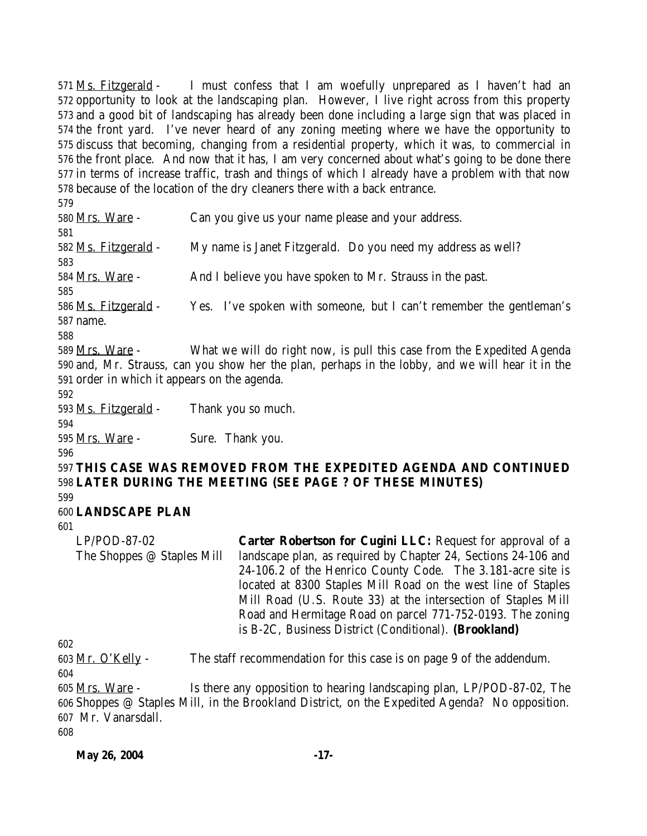Ms. Fitzgerald - I must confess that I am woefully unprepared as I haven't had an opportunity to look at the landscaping plan. However, I live right across from this property and a good bit of landscaping has already been done including a large sign that was placed in the front yard. I've never heard of any zoning meeting where we have the opportunity to discuss that becoming, changing from a residential property, which it was, to commercial in the front place. And now that it has, I am very concerned about what's going to be done there in terms of increase traffic, trash and things of which I already have a problem with that now because of the location of the dry cleaners there with a back entrance.

 Mrs. Ware - Can you give us your name please and your address. Ms. Fitzgerald - My name is Janet Fitzgerald. Do you need my address as well? 584 Mrs. Ware - And I believe you have spoken to Mr. Strauss in the past. 586 Ms. Fitzgerald - Yes. I've spoken with someone, but I can't remember the gentleman's name. Mrs. Ware - What we will do right now, is pull this case from the Expedited Agenda and, Mr. Strauss, can you show her the plan, perhaps in the lobby, and we will hear it in the order in which it appears on the agenda. Ms. Fitzgerald - Thank you so much. 595 Mrs. Ware - Sure. Thank you. **THIS CASE WAS REMOVED FROM THE EXPEDITED AGENDA AND CONTINUED LATER DURING THE MEETING (SEE PAGE ? OF THESE MINUTES) LANDSCAPE PLAN** LP/POD-87-02 The Shoppes @ Staples Mill **Carter Robertson for Cugini LLC:** Request for approval of a landscape plan, as required by Chapter 24, Sections 24-106 and 24-106.2 of the Henrico County Code. The 3.181-acre site is located at 8300 Staples Mill Road on the west line of Staples Mill Road (U.S. Route 33) at the intersection of Staples Mill Road and Hermitage Road on parcel 771-752-0193. The zoning is B-2C, Business District (Conditional). **(Brookland)** 603 Mr. O'Kelly - The staff recommendation for this case is on page 9 of the addendum. 

605 Mrs. Ware - Is there any opposition to hearing landscaping plan, LP/POD-87-02, The Shoppes @ Staples Mill, in the Brookland District, on the Expedited Agenda? No opposition. Mr. Vanarsdall.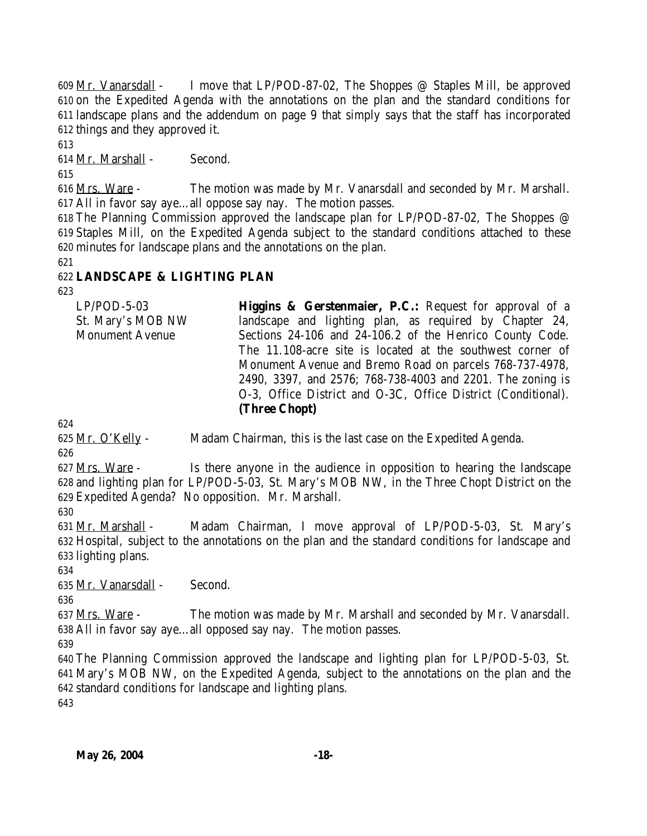Mr. Vanarsdall - I move that LP/POD-87-02, The Shoppes @ Staples Mill, be approved on the Expedited Agenda with the annotations on the plan and the standard conditions for landscape plans and the addendum on page 9 that simply says that the staff has incorporated things and they approved it.

Mr. Marshall - Second.

616 Mrs. Ware - The motion was made by Mr. Vanarsdall and seconded by Mr. Marshall. All in favor say aye…all oppose say nay. The motion passes.

 The Planning Commission approved the landscape plan for LP/POD-87-02, The Shoppes @ Staples Mill, on the Expedited Agenda subject to the standard conditions attached to these minutes for landscape plans and the annotations on the plan.

### **LANDSCAPE & LIGHTING PLAN**

| $LP/POD-5-03$          | <b>Higgins &amp; Gerstenmaier, P.C.:</b> Request for approval of a |
|------------------------|--------------------------------------------------------------------|
| St. Mary's MOB NW      | landscape and lighting plan, as required by Chapter 24,            |
| <b>Monument Avenue</b> | Sections 24-106 and 24-106.2 of the Henrico County Code.           |
|                        | The 11.108-acre site is located at the southwest corner of         |
|                        | Monument Avenue and Bremo Road on parcels 768-737-4978,            |
|                        | 2490, 3397, and 2576; 768-738-4003 and 2201. The zoning is         |
|                        | O-3, Office District and O-3C, Office District (Conditional).      |
|                        | (Three Chopt)                                                      |

625 Mr. O'Kelly - Madam Chairman, this is the last case on the Expedited Agenda.

 Mrs. Ware - Is there anyone in the audience in opposition to hearing the landscape and lighting plan for LP/POD-5-03, St. Mary's MOB NW, in the Three Chopt District on the Expedited Agenda? No opposition. Mr. Marshall.

 Mr. Marshall - Madam Chairman, I move approval of LP/POD-5-03, St. Mary's Hospital, subject to the annotations on the plan and the standard conditions for landscape and lighting plans.

Mr. Vanarsdall - Second.

637 Mrs. Ware - The motion was made by Mr. Marshall and seconded by Mr. Vanarsdall. All in favor say aye…all opposed say nay. The motion passes.

 The Planning Commission approved the landscape and lighting plan for LP/POD-5-03, St. Mary's MOB NW, on the Expedited Agenda, subject to the annotations on the plan and the standard conditions for landscape and lighting plans.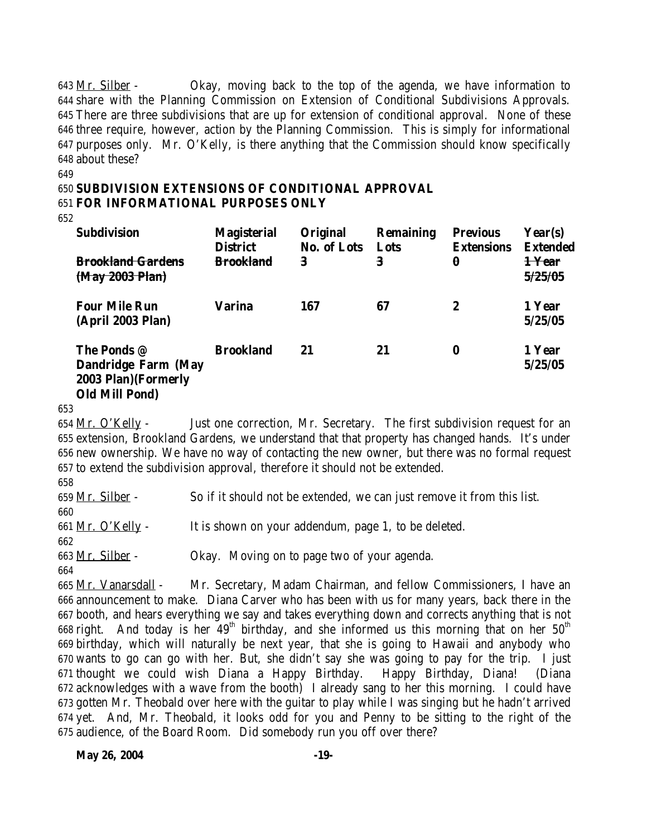Mr. Silber - Okay, moving back to the top of the agenda, we have information to share with the Planning Commission on Extension of Conditional Subdivisions Approvals. There are three subdivisions that are up for extension of conditional approval. None of these three require, however, action by the Planning Commission. This is simply for informational purposes only. Mr. O'Kelly, is there anything that the Commission should know specifically about these?

649

#### 650 **SUBDIVISION EXTENSIONS OF CONDITIONAL APPROVAL** 651 **FOR INFORMATIONAL PURPOSES ONLY**

652

| <b>Subdivision</b>                                                                         | <b>Magisterial</b><br><b>District</b> | Original<br><b>No. of Lots</b> | <b>Remaining</b><br>Lots | <b>Previous</b><br><b>Extensions</b> | Year(s)<br><b>Extended</b>   |
|--------------------------------------------------------------------------------------------|---------------------------------------|--------------------------------|--------------------------|--------------------------------------|------------------------------|
| <b>Brookland Gardens</b><br>(May 2003 Plan)                                                | <b>Brookland</b>                      | 3                              | 3                        | 0                                    | <del>1 Year</del><br>5/25/05 |
| <b>Four Mile Run</b><br>(April 2003 Plan)                                                  | <b>Varina</b>                         | 167                            | 67                       | 2                                    | 1 Year<br>5/25/05            |
| The Ponds @<br><b>Dandridge Farm (May</b><br>2003 Plan) (Formerly<br><b>Old Mill Pond)</b> | <b>Brookland</b>                      | 21                             | 21                       | $\bf{0}$                             | 1 Year<br>5/25/05            |

653

654 Mr. O'Kelly - Just one correction, Mr. Secretary. The first subdivision request for an extension, Brookland Gardens, we understand that that property has changed hands. It's under new ownership. We have no way of contacting the new owner, but there was no formal request to extend the subdivision approval, therefore it should not be extended.

658

659 Mr. Silber - So if it should not be extended, we can just remove it from this list. 660 661 Mr. O'Kelly - It is shown on your addendum, page 1, to be deleted. 662 663 Mr. Silber - Okay. Moving on to page two of your agenda.

664

 Mr. Vanarsdall - Mr. Secretary, Madam Chairman, and fellow Commissioners, I have an announcement to make. Diana Carver who has been with us for many years, back there in the booth, and hears everything we say and takes everything down and corrects anything that is not 668 right. And today is her  $49<sup>th</sup>$  birthday, and she informed us this morning that on her  $50<sup>th</sup>$  birthday, which will naturally be next year, that she is going to Hawaii and anybody who wants to go can go with her. But, she didn't say she was going to pay for the trip. I just thought we could wish Diana a Happy Birthday. Happy Birthday, Diana! (Diana acknowledges with a wave from the booth) I already sang to her this morning. I could have gotten Mr. Theobald over here with the guitar to play while I was singing but he hadn't arrived yet. And, Mr. Theobald, it looks odd for you and Penny to be sitting to the right of the audience, of the Board Room. Did somebody run you off over there?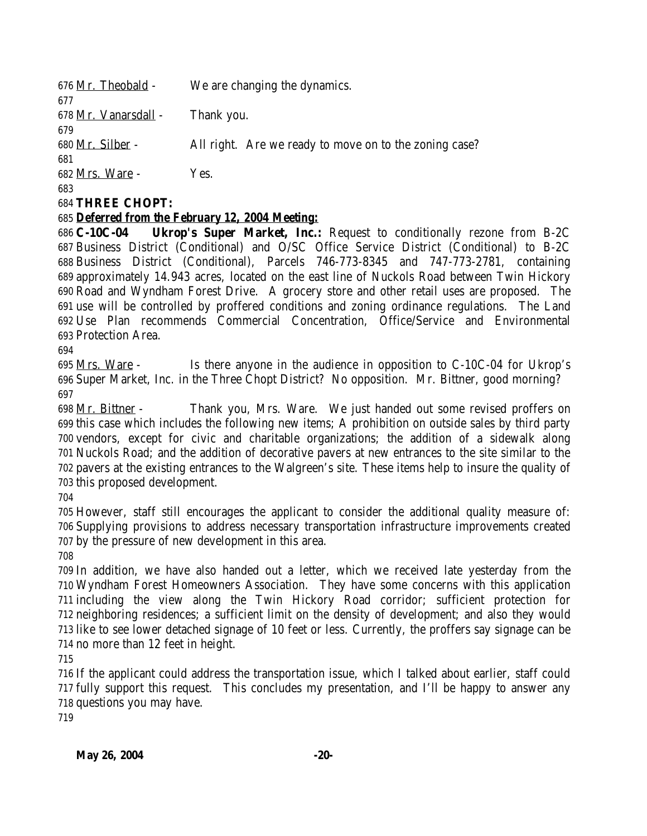| 676 Mr. Theobald -   | We are changing the dynamics.                          |
|----------------------|--------------------------------------------------------|
| 677                  |                                                        |
| 678 Mr. Vanarsdall - | Thank you.                                             |
| 679                  |                                                        |
| 680 Mr. Silber -     | All right. Are we ready to move on to the zoning case? |
| 681                  |                                                        |
| 682 Mrs. Ware -      | Yes.                                                   |
| 683                  |                                                        |
|                      |                                                        |

#### **THREE CHOPT:**

#### *Deferred from the February 12, 2004 Meeting:*

 **C-10C-04 Ukrop's Super Market, Inc.:** Request to conditionally rezone from B-2C Business District (Conditional) and O/SC Office Service District (Conditional) to B-2C Business District (Conditional), Parcels 746-773-8345 and 747-773-2781, containing approximately 14.943 acres, located on the east line of Nuckols Road between Twin Hickory Road and Wyndham Forest Drive. A grocery store and other retail uses are proposed. The use will be controlled by proffered conditions and zoning ordinance regulations. The Land Use Plan recommends Commercial Concentration, Office/Service and Environmental Protection Area.

 Mrs. Ware - Is there anyone in the audience in opposition to C-10C-04 for Ukrop's Super Market, Inc. in the Three Chopt District? No opposition. Mr. Bittner, good morning? 

 Mr. Bittner - Thank you, Mrs. Ware. We just handed out some revised proffers on this case which includes the following new items; A prohibition on outside sales by third party vendors, except for civic and charitable organizations; the addition of a sidewalk along Nuckols Road; and the addition of decorative pavers at new entrances to the site similar to the pavers at the existing entrances to the Walgreen's site. These items help to insure the quality of this proposed development.

 However, staff still encourages the applicant to consider the additional quality measure of: Supplying provisions to address necessary transportation infrastructure improvements created by the pressure of new development in this area.

 In addition, we have also handed out a letter, which we received late yesterday from the Wyndham Forest Homeowners Association. They have some concerns with this application including the view along the Twin Hickory Road corridor; sufficient protection for neighboring residences; a sufficient limit on the density of development; and also they would like to see lower detached signage of 10 feet or less. Currently, the proffers say signage can be no more than 12 feet in height.

 If the applicant could address the transportation issue, which I talked about earlier, staff could fully support this request. This concludes my presentation, and I'll be happy to answer any questions you may have.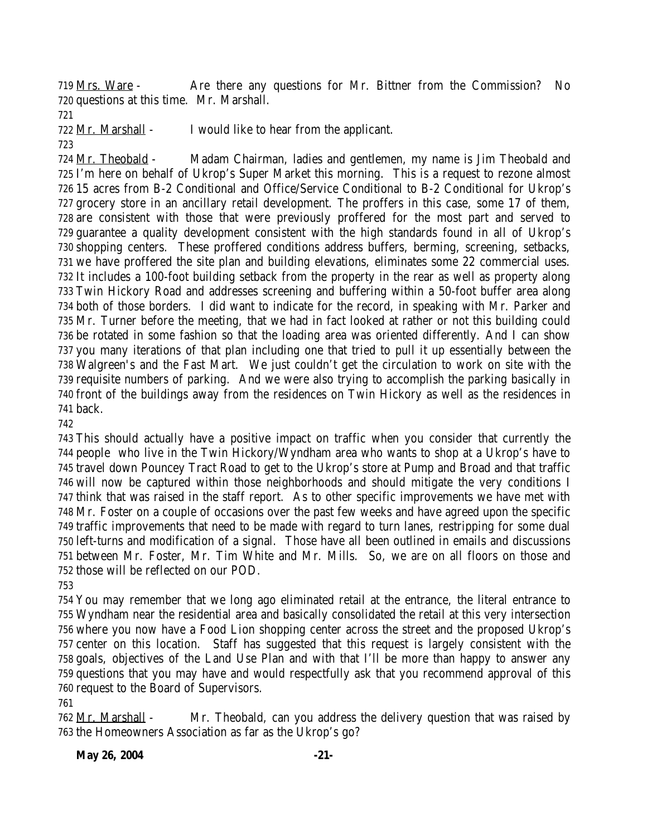Mrs. Ware - Are there any questions for Mr. Bittner from the Commission? No questions at this time. Mr. Marshall.

Mr. Marshall - I would like to hear from the applicant.

 Mr. Theobald - Madam Chairman, ladies and gentlemen, my name is Jim Theobald and I'm here on behalf of Ukrop's Super Market this morning. This is a request to rezone almost 15 acres from B-2 Conditional and Office/Service Conditional to B-2 Conditional for Ukrop's grocery store in an ancillary retail development. The proffers in this case, some 17 of them, are consistent with those that were previously proffered for the most part and served to guarantee a quality development consistent with the high standards found in all of Ukrop's shopping centers. These proffered conditions address buffers, berming, screening, setbacks, we have proffered the site plan and building elevations, eliminates some 22 commercial uses. It includes a 100-foot building setback from the property in the rear as well as property along Twin Hickory Road and addresses screening and buffering within a 50-foot buffer area along both of those borders. I did want to indicate for the record, in speaking with Mr. Parker and Mr. Turner before the meeting, that we had in fact looked at rather or not this building could be rotated in some fashion so that the loading area was oriented differently. And I can show you many iterations of that plan including one that tried to pull it up essentially between the Walgreen's and the Fast Mart. We just couldn't get the circulation to work on site with the requisite numbers of parking. And we were also trying to accomplish the parking basically in front of the buildings away from the residences on Twin Hickory as well as the residences in back.

 This should actually have a positive impact on traffic when you consider that currently the people who live in the Twin Hickory/Wyndham area who wants to shop at a Ukrop's have to travel down Pouncey Tract Road to get to the Ukrop's store at Pump and Broad and that traffic will now be captured within those neighborhoods and should mitigate the very conditions I think that was raised in the staff report. As to other specific improvements we have met with Mr. Foster on a couple of occasions over the past few weeks and have agreed upon the specific traffic improvements that need to be made with regard to turn lanes, restripping for some dual left-turns and modification of a signal. Those have all been outlined in emails and discussions between Mr. Foster, Mr. Tim White and Mr. Mills. So, we are on all floors on those and those will be reflected on our POD.

 You may remember that we long ago eliminated retail at the entrance, the literal entrance to Wyndham near the residential area and basically consolidated the retail at this very intersection where you now have a Food Lion shopping center across the street and the proposed Ukrop's center on this location. Staff has suggested that this request is largely consistent with the goals, objectives of the Land Use Plan and with that I'll be more than happy to answer any questions that you may have and would respectfully ask that you recommend approval of this request to the Board of Supervisors.

 Mr. Marshall - Mr. Theobald, can you address the delivery question that was raised by the Homeowners Association as far as the Ukrop's go?

#### **May 26, 2004** -21-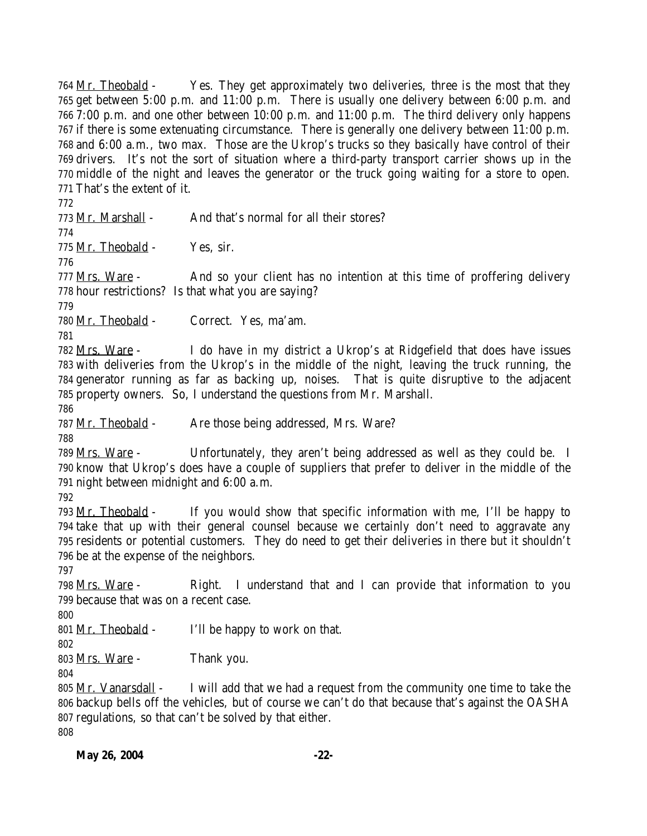764 Mr. Theobald - Yes. They get approximately two deliveries, three is the most that they get between 5:00 p.m. and 11:00 p.m. There is usually one delivery between 6:00 p.m. and 7:00 p.m. and one other between 10:00 p.m. and 11:00 p.m. The third delivery only happens if there is some extenuating circumstance. There is generally one delivery between 11:00 p.m. and 6:00 a.m., two max. Those are the Ukrop's trucks so they basically have control of their drivers. It's not the sort of situation where a third-party transport carrier shows up in the middle of the night and leaves the generator or the truck going waiting for a store to open. That's the extent of it. Mr. Marshall - And that's normal for all their stores? Mr. Theobald - Yes, sir. 777 Mrs. Ware - And so your client has no intention at this time of proffering delivery hour restrictions? Is that what you are saying? 780 Mr. Theobald - Correct. Yes, ma'am. Mrs. Ware - I do have in my district a Ukrop's at Ridgefield that does have issues with deliveries from the Ukrop's in the middle of the night, leaving the truck running, the generator running as far as backing up, noises. That is quite disruptive to the adjacent property owners. So, I understand the questions from Mr. Marshall. 787 Mr. Theobald - Are those being addressed, Mrs. Ware? Mrs. Ware - Unfortunately, they aren't being addressed as well as they could be. I know that Ukrop's does have a couple of suppliers that prefer to deliver in the middle of the night between midnight and 6:00 a.m. Mr. Theobald - If you would show that specific information with me, I'll be happy to take that up with their general counsel because we certainly don't need to aggravate any residents or potential customers. They do need to get their deliveries in there but it shouldn't be at the expense of the neighbors. Mrs. Ware - Right. I understand that and I can provide that information to you because that was on a recent case. 801 Mr. Theobald  $\sim$  I'll be happy to work on that. 803 <u>Mrs. Ware</u> - Thank you. 805 <u>Mr. Vanarsdall</u>  $\sim$  I will add that we had a request from the community one time to take the backup bells off the vehicles, but of course we can't do that because that's against the OASHA regulations, so that can't be solved by that either.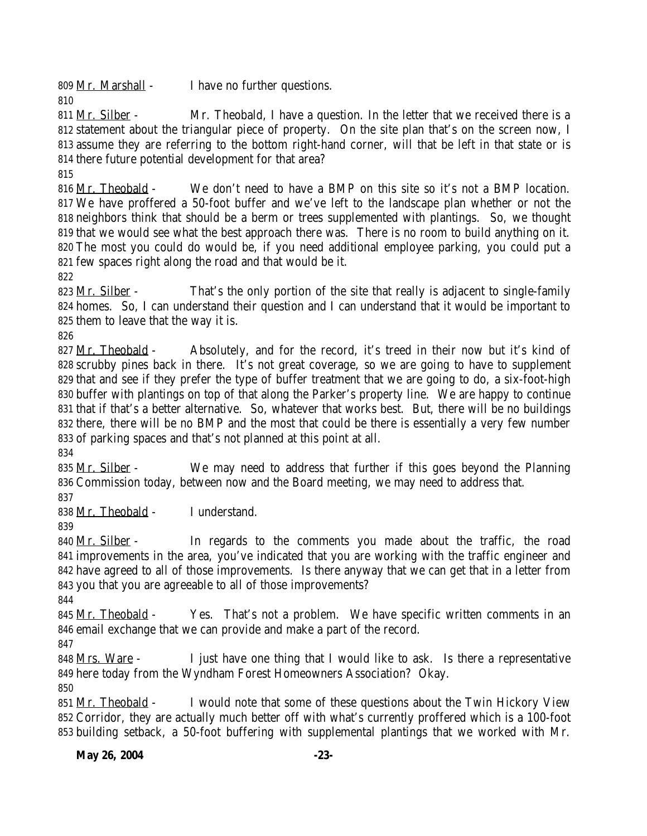Mr. Marshall - I have no further questions.

811 Mr. Silber - Mr. Theobald, I have a question. In the letter that we received there is a statement about the triangular piece of property. On the site plan that's on the screen now, I assume they are referring to the bottom right-hand corner, will that be left in that state or is there future potential development for that area?

 Mr. Theobald - We don't need to have a BMP on this site so it's not a BMP location. We have proffered a 50-foot buffer and we've left to the landscape plan whether or not the neighbors think that should be a berm or trees supplemented with plantings. So, we thought that we would see what the best approach there was. There is no room to build anything on it. The most you could do would be, if you need additional employee parking, you could put a few spaces right along the road and that would be it.

823 Mr. Silber - That's the only portion of the site that really is adjacent to single-family homes. So, I can understand their question and I can understand that it would be important to them to leave that the way it is.

827 Mr. Theobald - Absolutely, and for the record, it's treed in their now but it's kind of scrubby pines back in there. It's not great coverage, so we are going to have to supplement that and see if they prefer the type of buffer treatment that we are going to do, a six-foot-high buffer with plantings on top of that along the Parker's property line. We are happy to continue that if that's a better alternative. So, whatever that works best. But, there will be no buildings there, there will be no BMP and the most that could be there is essentially a very few number of parking spaces and that's not planned at this point at all.

835 Mr. Silber - We may need to address that further if this goes beyond the Planning Commission today, between now and the Board meeting, we may need to address that.

Mr. Theobald - I understand.

840 Mr. Silber - In regards to the comments you made about the traffic, the road improvements in the area, you've indicated that you are working with the traffic engineer and have agreed to all of those improvements. Is there anyway that we can get that in a letter from you that you are agreeable to all of those improvements?

845 Mr. Theobald - Yes. That's not a problem. We have specific written comments in an email exchange that we can provide and make a part of the record.

848 Mrs. Ware - I just have one thing that I would like to ask. Is there a representative here today from the Wyndham Forest Homeowners Association? Okay.

 Mr. Theobald - I would note that some of these questions about the Twin Hickory View Corridor, they are actually much better off with what's currently proffered which is a 100-foot building setback, a 50-foot buffering with supplemental plantings that we worked with Mr.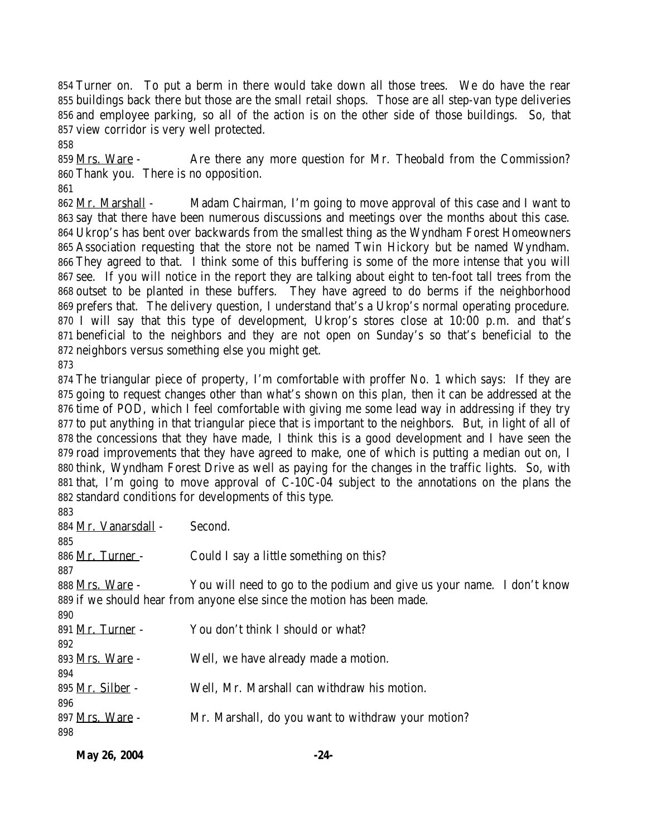Turner on. To put a berm in there would take down all those trees. We do have the rear buildings back there but those are the small retail shops. Those are all step-van type deliveries and employee parking, so all of the action is on the other side of those buildings. So, that view corridor is very well protected.

859 Mrs. Ware - Are there any more question for Mr. Theobald from the Commission? Thank you. There is no opposition.

862 <u>Mr. Marshall</u> - Madam Chairman, I'm going to move approval of this case and I want to say that there have been numerous discussions and meetings over the months about this case. Ukrop's has bent over backwards from the smallest thing as the Wyndham Forest Homeowners Association requesting that the store not be named Twin Hickory but be named Wyndham. They agreed to that. I think some of this buffering is some of the more intense that you will see. If you will notice in the report they are talking about eight to ten-foot tall trees from the outset to be planted in these buffers. They have agreed to do berms if the neighborhood prefers that. The delivery question, I understand that's a Ukrop's normal operating procedure. I will say that this type of development, Ukrop's stores close at 10:00 p.m. and that's beneficial to the neighbors and they are not open on Sunday's so that's beneficial to the neighbors versus something else you might get.

 The triangular piece of property, I'm comfortable with proffer No. 1 which says: If they are going to request changes other than what's shown on this plan, then it can be addressed at the time of POD, which I feel comfortable with giving me some lead way in addressing if they try to put anything in that triangular piece that is important to the neighbors. But, in light of all of the concessions that they have made, I think this is a good development and I have seen the road improvements that they have agreed to make, one of which is putting a median out on, I think, Wyndham Forest Drive as well as paying for the changes in the traffic lights. So, with that, I'm going to move approval of C-10C-04 subject to the annotations on the plans the standard conditions for developments of this type. 

| റാ                      |                                                                        |
|-------------------------|------------------------------------------------------------------------|
| 884 Mr. Vanarsdall -    | Second.                                                                |
| 885                     |                                                                        |
| 886 Mr. Turner -        | Could I say a little something on this?                                |
| 887                     |                                                                        |
| 888 Mrs. Ware -         | You will need to go to the podium and give us your name. I don't know  |
|                         | 889 if we should hear from anyone else since the motion has been made. |
| 890                     |                                                                        |
| 891 Mr. Turner -        | You don't think I should or what?                                      |
| 892                     |                                                                        |
| 893 Mrs. Ware -         | Well, we have already made a motion.                                   |
| 894                     |                                                                        |
| 895 <u>Mr. Silber</u> - | Well, Mr. Marshall can withdraw his motion.                            |
| 896                     |                                                                        |
| 897 Mrs. Ware -         | Mr. Marshall, do you want to withdraw your motion?                     |
| 898                     |                                                                        |
|                         |                                                                        |

|              |  | -24- |
|--------------|--|------|
| May 26, 2004 |  |      |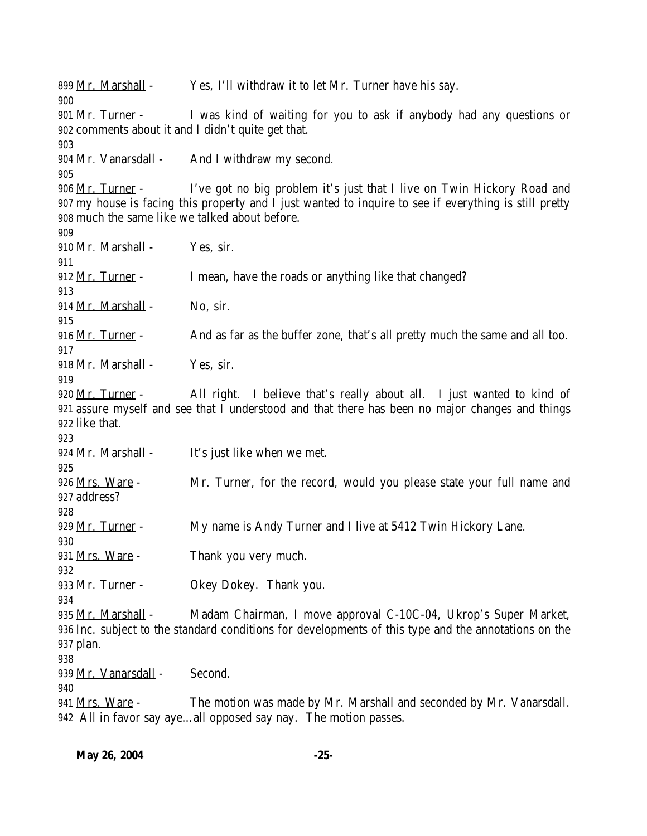899 Mr. Marshall - Yes, I'll withdraw it to let Mr. Turner have his say. 901 Mr. Turner - I was kind of waiting for you to ask if anybody had any questions or comments about it and I didn't quite get that. 904 Mr. Vanarsdall - And I withdraw my second. 906 Mr. Turner - I've got no big problem it's just that I live on Twin Hickory Road and my house is facing this property and I just wanted to inquire to see if everything is still pretty much the same like we talked about before. 910 Mr. Marshall - Yes, sir. 912 Mr. Turner - I mean, have the roads or anything like that changed? 914 Mr. Marshall - No. sir. 916 Mr. Turner - And as far as the buffer zone, that's all pretty much the same and all too. Mr. Marshall - Yes, sir. 920 Mr. Turner - All right. I believe that's really about all. I just wanted to kind of assure myself and see that I understood and that there has been no major changes and things like that. 924 Mr. Marshall - It's just like when we met. 926 Mrs. Ware - Mr. Turner, for the record, would you please state your full name and address? 929 Mr. Turner - My name is Andy Turner and I live at 5412 Twin Hickory Lane. 931 Mrs. Ware - Thank you very much. 933 Mr. Turner - Okey Dokey. Thank you. 935 Mr. Marshall - Madam Chairman, I move approval C-10C-04, Ukrop's Super Market, Inc. subject to the standard conditions for developments of this type and the annotations on the plan. 939 Mr. Vanarsdall - Second. Mrs. Ware - The motion was made by Mr. Marshall and seconded by Mr. Vanarsdall. All in favor say aye…all opposed say nay. The motion passes.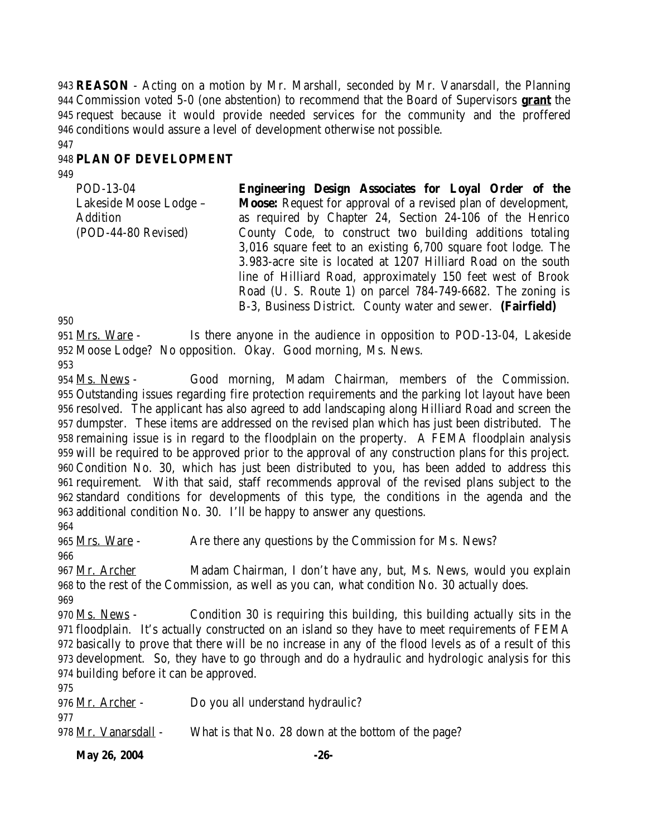**REASON** - Acting on a motion by Mr. Marshall, seconded by Mr. Vanarsdall, the Planning Commission voted 5-0 (one abstention) to recommend that the Board of Supervisors **grant** the request because it would provide needed services for the community and the proffered conditions would assure a level of development otherwise not possible.

#### **PLAN OF DEVELOPMENT**

POD-13-04 Lakeside Moose Lodge – Addition (POD-44-80 Revised) **Engineering Design Associates for Loyal Order of the Moose:** Request for approval of a revised plan of development, as required by Chapter 24, Section 24-106 of the Henrico County Code, to construct two building additions totaling 3,016 square feet to an existing 6,700 square foot lodge. The 3.983-acre site is located at 1207 Hilliard Road on the south line of Hilliard Road, approximately 150 feet west of Brook Road (U. S. Route 1) on parcel 784-749-6682. The zoning is B-3, Business District. County water and sewer. **(Fairfield)**

 Mrs. Ware - Is there anyone in the audience in opposition to POD-13-04, Lakeside Moose Lodge? No opposition. Okay. Good morning, Ms. News.

 Ms. News - Good morning, Madam Chairman, members of the Commission. Outstanding issues regarding fire protection requirements and the parking lot layout have been resolved. The applicant has also agreed to add landscaping along Hilliard Road and screen the dumpster. These items are addressed on the revised plan which has just been distributed. The remaining issue is in regard to the floodplain on the property. A FEMA floodplain analysis will be required to be approved prior to the approval of any construction plans for this project. Condition No. 30, which has just been distributed to you, has been added to address this requirement. With that said, staff recommends approval of the revised plans subject to the standard conditions for developments of this type, the conditions in the agenda and the additional condition No. 30. I'll be happy to answer any questions.

965 Mrs. Ware - Are there any questions by the Commission for Ms. News?

967 Mr. Archer Madam Chairman, I don't have any, but, Ms. News, would you explain to the rest of the Commission, as well as you can, what condition No. 30 actually does.

970 Ms. News - Condition 30 is requiring this building, this building actually sits in the floodplain. It's actually constructed on an island so they have to meet requirements of FEMA basically to prove that there will be no increase in any of the flood levels as of a result of this development. So, they have to go through and do a hydraulic and hydrologic analysis for this building before it can be approved.

| 976 Mr. Archer -     | Do you all understand hydraulic?                    |
|----------------------|-----------------------------------------------------|
| 977                  |                                                     |
| 978 Mr. Vanarsdall - | What is that No. 28 down at the bottom of the page? |

**May 26, 2004** -26-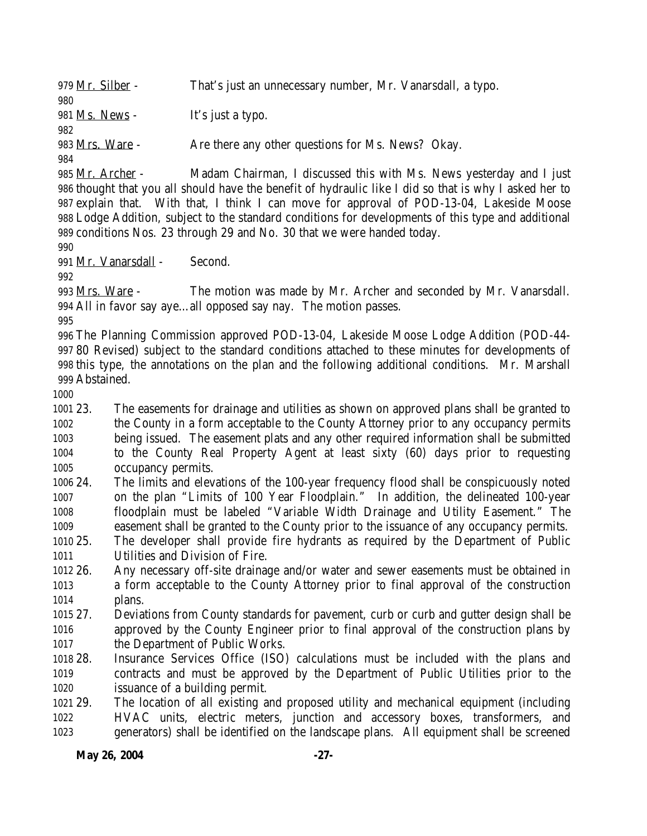979 Mr. Silber - That's just an unnecessary number, Mr. Vanarsdall, a typo. 981 Ms. News - It's just a typo. 983 Mrs. Ware - Are there any other questions for Ms. News? Okay. 985 Mr. Archer - Madam Chairman, I discussed this with Ms. News yesterday and I just

 thought that you all should have the benefit of hydraulic like I did so that is why I asked her to explain that. With that, I think I can move for approval of POD-13-04, Lakeside Moose Lodge Addition, subject to the standard conditions for developments of this type and additional conditions Nos. 23 through 29 and No. 30 that we were handed today.

Mr. Vanarsdall - Second.

 Mrs. Ware - The motion was made by Mr. Archer and seconded by Mr. Vanarsdall. All in favor say aye…all opposed say nay. The motion passes.

 The Planning Commission approved POD-13-04, Lakeside Moose Lodge Addition (POD-44- 80 Revised) subject to the standard conditions attached to these minutes for developments of this type, the annotations on the plan and the following additional conditions. Mr. Marshall Abstained.

 23. The easements for drainage and utilities as shown on approved plans shall be granted to the County in a form acceptable to the County Attorney prior to any occupancy permits being issued. The easement plats and any other required information shall be submitted to the County Real Property Agent at least sixty (60) days prior to requesting occupancy permits.

 24. The limits and elevations of the 100-year frequency flood shall be conspicuously noted on the plan "Limits of 100 Year Floodplain." In addition, the delineated 100-year floodplain must be labeled "Variable Width Drainage and Utility Easement." The easement shall be granted to the County prior to the issuance of any occupancy permits.

- 25. The developer shall provide fire hydrants as required by the Department of Public Utilities and Division of Fire.
- 26. Any necessary off-site drainage and/or water and sewer easements must be obtained in a form acceptable to the County Attorney prior to final approval of the construction plans.
- 27. Deviations from County standards for pavement, curb or curb and gutter design shall be approved by the County Engineer prior to final approval of the construction plans by the Department of Public Works.
- 28. Insurance Services Office (ISO) calculations must be included with the plans and contracts and must be approved by the Department of Public Utilities prior to the issuance of a building permit.

 29. The location of all existing and proposed utility and mechanical equipment (including HVAC units, electric meters, junction and accessory boxes, transformers, and generators) shall be identified on the landscape plans. All equipment shall be screened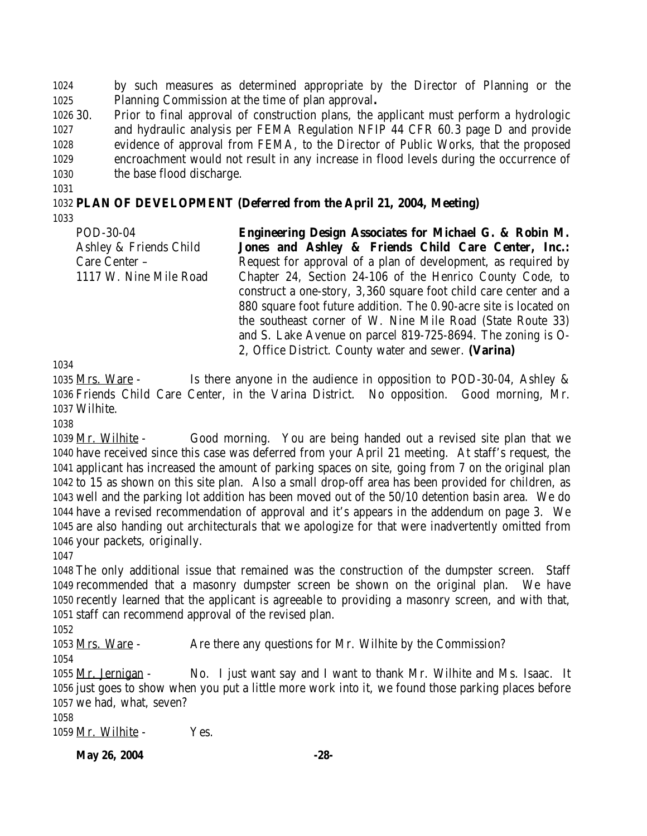by such measures as determined appropriate by the Director of Planning or the Planning Commission at the time of plan approval**.**

 30. Prior to final approval of construction plans, the applicant must perform a hydrologic and hydraulic analysis per FEMA Regulation NFIP 44 CFR 60.3 page D and provide evidence of approval from FEMA, to the Director of Public Works, that the proposed encroachment would not result in any increase in flood levels during the occurrence of the base flood discharge.

# **PLAN OF DEVELOPMENT (Deferred from the April 21, 2004, Meeting)**

POD-30-04 Ashley & Friends Child Care Center – 1117 W. Nine Mile Road **Engineering Design Associates for Michael G. & Robin M. Jones and Ashley & Friends Child Care Center, Inc.:** Request for approval of a plan of development, as required by Chapter 24, Section 24-106 of the Henrico County Code, to construct a one-story, 3,360 square foot child care center and a 880 square foot future addition. The 0.90-acre site is located on the southeast corner of W. Nine Mile Road (State Route 33) and S. Lake Avenue on parcel 819-725-8694. The zoning is O-

2, Office District. County water and sewer. **(Varina)**

 Mrs. Ware - Is there anyone in the audience in opposition to POD-30-04, Ashley & Friends Child Care Center, in the Varina District. No opposition. Good morning, Mr. Wilhite.

1039 Mr. Wilhite - Good morning. You are being handed out a revised site plan that we have received since this case was deferred from your April 21 meeting. At staff's request, the applicant has increased the amount of parking spaces on site, going from 7 on the original plan to 15 as shown on this site plan. Also a small drop-off area has been provided for children, as well and the parking lot addition has been moved out of the 50/10 detention basin area. We do have a revised recommendation of approval and it's appears in the addendum on page 3. We are also handing out architecturals that we apologize for that were inadvertently omitted from your packets, originally.

 The only additional issue that remained was the construction of the dumpster screen. Staff recommended that a masonry dumpster screen be shown on the original plan. We have recently learned that the applicant is agreeable to providing a masonry screen, and with that, staff can recommend approval of the revised plan.

1053 Mrs. Ware - Are there any questions for Mr. Wilhite by the Commission? 

 Mr. Jernigan - No. I just want say and I want to thank Mr. Wilhite and Ms. Isaac. It just goes to show when you put a little more work into it, we found those parking places before we had, what, seven?

1059 Mr. Wilhite - Yes.

**May 26, 2004** -28-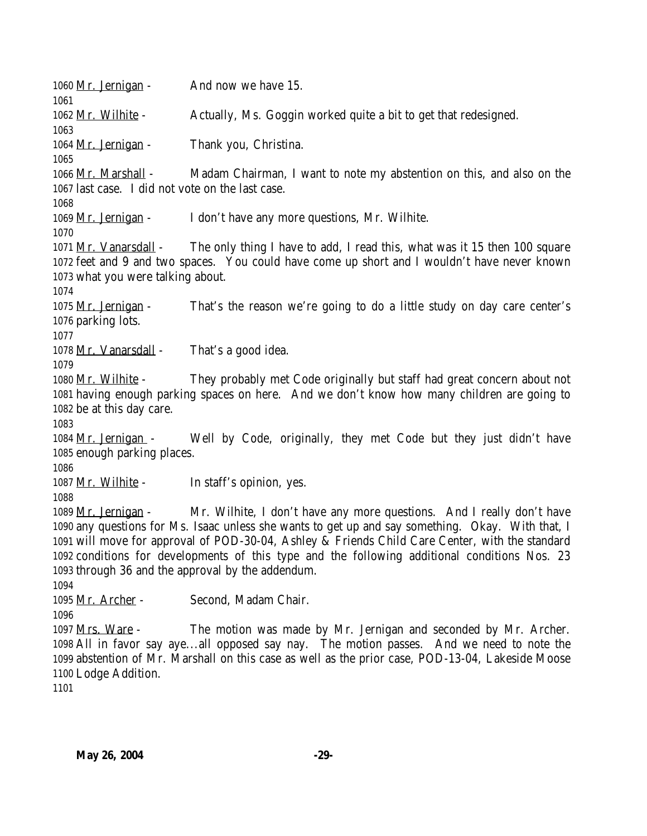1060 Mr. Jernigan - And now we have 15. Mr. Wilhite - Actually, Ms. Goggin worked quite a bit to get that redesigned. 1064 Mr. Jernigan - Thank you, Christina. Mr. Marshall - Madam Chairman, I want to note my abstention on this, and also on the last case. I did not vote on the last case. Mr. Jernigan - I don't have any more questions, Mr. Wilhite. Mr. Vanarsdall - The only thing I have to add, I read this, what was it 15 then 100 square feet and 9 and two spaces. You could have come up short and I wouldn't have never known what you were talking about. Mr. Jernigan - That's the reason we're going to do a little study on day care center's parking lots. 1078 Mr. Vanarsdall - That's a good idea. Mr. Wilhite - They probably met Code originally but staff had great concern about not having enough parking spaces on here. And we don't know how many children are going to be at this day care. Mr. Jernigan - Well by Code, originally, they met Code but they just didn't have enough parking places. 1087 Mr. Wilhite - In staff's opinion, yes. Mr. Jernigan - Mr. Wilhite, I don't have any more questions. And I really don't have any questions for Ms. Isaac unless she wants to get up and say something. Okay. With that, I will move for approval of POD-30-04, Ashley & Friends Child Care Center, with the standard conditions for developments of this type and the following additional conditions Nos. 23 through 36 and the approval by the addendum. Mr. Archer - Second, Madam Chair. Mrs. Ware - The motion was made by Mr. Jernigan and seconded by Mr. Archer. All in favor say aye...all opposed say nay. The motion passes. And we need to note the abstention of Mr. Marshall on this case as well as the prior case, POD-13-04, Lakeside Moose Lodge Addition.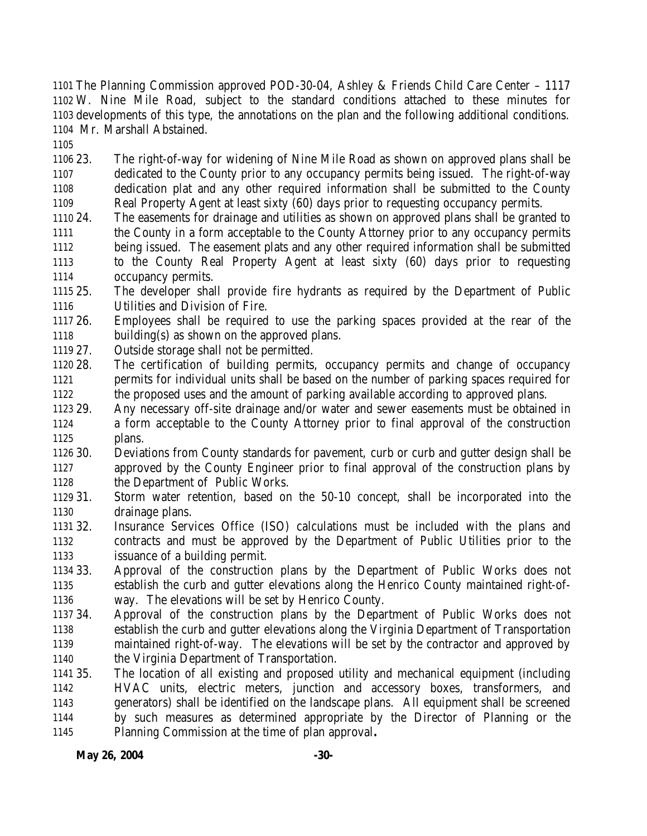The Planning Commission approved POD-30-04, Ashley & Friends Child Care Center – 1117 W. Nine Mile Road, subject to the standard conditions attached to these minutes for developments of this type, the annotations on the plan and the following additional conditions. Mr. Marshall Abstained.

 23. The right-of-way for widening of Nine Mile Road as shown on approved plans shall be dedicated to the County prior to any occupancy permits being issued. The right-of-way dedication plat and any other required information shall be submitted to the County Real Property Agent at least sixty (60) days prior to requesting occupancy permits.

 24. The easements for drainage and utilities as shown on approved plans shall be granted to the County in a form acceptable to the County Attorney prior to any occupancy permits being issued. The easement plats and any other required information shall be submitted to the County Real Property Agent at least sixty (60) days prior to requesting occupancy permits.

 25. The developer shall provide fire hydrants as required by the Department of Public Utilities and Division of Fire.

 26. Employees shall be required to use the parking spaces provided at the rear of the building(s) as shown on the approved plans.

- 27. Outside storage shall not be permitted.
- 28. The certification of building permits, occupancy permits and change of occupancy permits for individual units shall be based on the number of parking spaces required for the proposed uses and the amount of parking available according to approved plans.
- 29. Any necessary off-site drainage and/or water and sewer easements must be obtained in a form acceptable to the County Attorney prior to final approval of the construction plans.

 30. Deviations from County standards for pavement, curb or curb and gutter design shall be approved by the County Engineer prior to final approval of the construction plans by the Department of Public Works.

- 31. Storm water retention, based on the 50-10 concept, shall be incorporated into the drainage plans.
- 32. Insurance Services Office (ISO) calculations must be included with the plans and contracts and must be approved by the Department of Public Utilities prior to the issuance of a building permit.
- 33. Approval of the construction plans by the Department of Public Works does not establish the curb and gutter elevations along the Henrico County maintained right-of-way. The elevations will be set by Henrico County.
- 34. Approval of the construction plans by the Department of Public Works does not establish the curb and gutter elevations along the Virginia Department of Transportation maintained right-of-way. The elevations will be set by the contractor and approved by the Virginia Department of Transportation.
- 35. The location of all existing and proposed utility and mechanical equipment (including HVAC units, electric meters, junction and accessory boxes, transformers, and generators) shall be identified on the landscape plans. All equipment shall be screened by such measures as determined appropriate by the Director of Planning or the Planning Commission at the time of plan approval**.**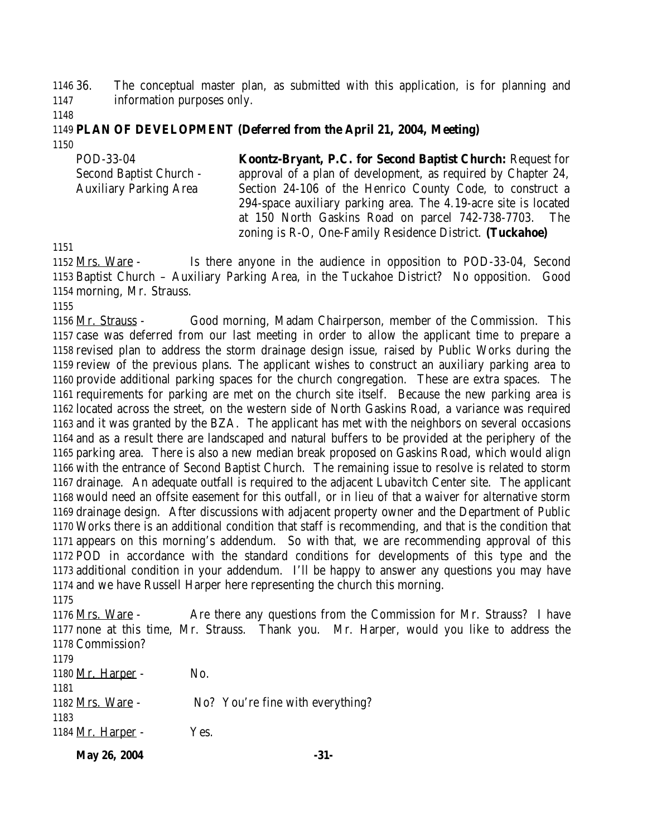36. The conceptual master plan, as submitted with this application, is for planning and information purposes only.

#### **PLAN OF DEVELOPMENT (Deferred from the April 21, 2004, Meeting)**

| POD-33-04                      | Koontz-Bryant, P.C. for Second Baptist Church: Request for      |
|--------------------------------|-----------------------------------------------------------------|
| <b>Second Baptist Church -</b> | approval of a plan of development, as required by Chapter 24,   |
| <b>Auxiliary Parking Area</b>  | Section 24-106 of the Henrico County Code, to construct a       |
|                                | 294-space auxiliary parking area. The 4.19-acre site is located |
|                                | at 150 North Gaskins Road on parcel 742-738-7703. The           |
|                                | zoning is R-O, One-Family Residence District. (Tuckahoe)        |

 Mrs. Ware - Is there anyone in the audience in opposition to POD-33-04, Second Baptist Church – Auxiliary Parking Area, in the Tuckahoe District? No opposition. Good morning, Mr. Strauss.

 Mr. Strauss - Good morning, Madam Chairperson, member of the Commission. This case was deferred from our last meeting in order to allow the applicant time to prepare a revised plan to address the storm drainage design issue, raised by Public Works during the review of the previous plans. The applicant wishes to construct an auxiliary parking area to provide additional parking spaces for the church congregation. These are extra spaces. The requirements for parking are met on the church site itself. Because the new parking area is located across the street, on the western side of North Gaskins Road, a variance was required and it was granted by the BZA. The applicant has met with the neighbors on several occasions and as a result there are landscaped and natural buffers to be provided at the periphery of the parking area. There is also a new median break proposed on Gaskins Road, which would align with the entrance of Second Baptist Church. The remaining issue to resolve is related to storm drainage. An adequate outfall is required to the adjacent Lubavitch Center site. The applicant would need an offsite easement for this outfall, or in lieu of that a waiver for alternative storm drainage design. After discussions with adjacent property owner and the Department of Public Works there is an additional condition that staff is recommending, and that is the condition that appears on this morning's addendum. So with that, we are recommending approval of this POD in accordance with the standard conditions for developments of this type and the additional condition in your addendum. I'll be happy to answer any questions you may have and we have Russell Harper here representing the church this morning.

 Mrs. Ware - Are there any questions from the Commission for Mr. Strauss? I have none at this time, Mr. Strauss. Thank you. Mr. Harper, would you like to address the Commission? 1180 Mr. Harper - No. Mrs. Ware - No? You're fine with everything? 

1184 Mr. Harper - Yes.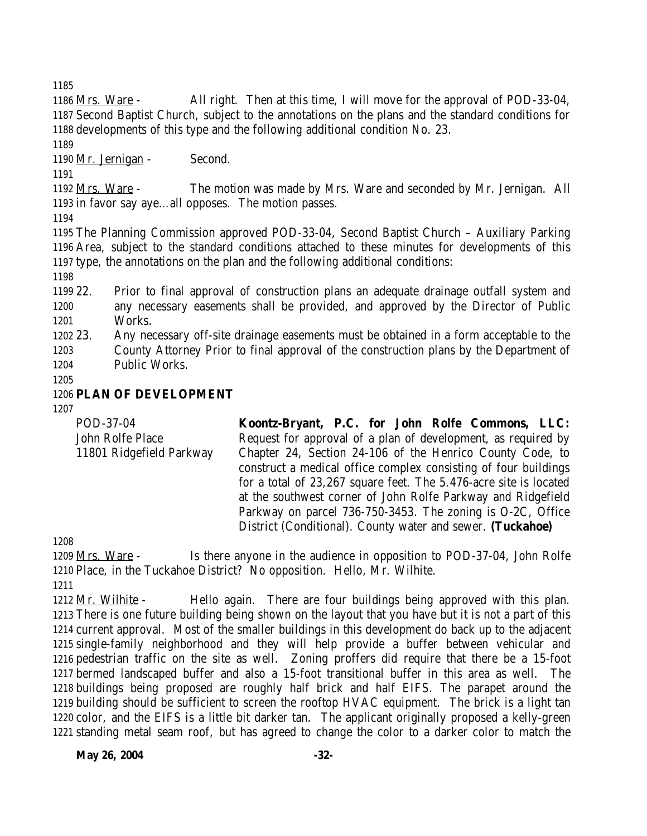Mrs. Ware - All right. Then at this time, I will move for the approval of POD-33-04, Second Baptist Church, subject to the annotations on the plans and the standard conditions for developments of this type and the following additional condition No. 23.

1190 Mr. Jernigan - Second.

 Mrs. Ware - The motion was made by Mrs. Ware and seconded by Mr. Jernigan. All in favor say aye…all opposes. The motion passes.

 The Planning Commission approved POD-33-04, Second Baptist Church – Auxiliary Parking Area, subject to the standard conditions attached to these minutes for developments of this type, the annotations on the plan and the following additional conditions:

 22. Prior to final approval of construction plans an adequate drainage outfall system and any necessary easements shall be provided, and approved by the Director of Public Works.

 23. Any necessary off-site drainage easements must be obtained in a form acceptable to the County Attorney Prior to final approval of the construction plans by the Department of Public Works.

# **PLAN OF DEVELOPMENT**

| POD-37-04                | Koontz-Bryant, P.C. for John Rolfe Commons, LLC:                  |
|--------------------------|-------------------------------------------------------------------|
| John Rolfe Place         | Request for approval of a plan of development, as required by     |
| 11801 Ridgefield Parkway | Chapter 24, Section 24-106 of the Henrico County Code, to         |
|                          | construct a medical office complex consisting of four buildings   |
|                          | for a total of 23,267 square feet. The 5.476-acre site is located |
|                          | at the southwest corner of John Rolfe Parkway and Ridgefield      |
|                          | Parkway on parcel 736-750-3453. The zoning is O-2C, Office        |
|                          | District (Conditional). County water and sewer. (Tuckahoe)        |

1209 Mrs. Ware - Is there anyone in the audience in opposition to POD-37-04, John Rolfe Place, in the Tuckahoe District? No opposition. Hello, Mr. Wilhite.

1212 Mr. Wilhite - Hello again. There are four buildings being approved with this plan. There is one future building being shown on the layout that you have but it is not a part of this current approval. Most of the smaller buildings in this development do back up to the adjacent single-family neighborhood and they will help provide a buffer between vehicular and pedestrian traffic on the site as well. Zoning proffers did require that there be a 15-foot bermed landscaped buffer and also a 15-foot transitional buffer in this area as well. The buildings being proposed are roughly half brick and half EIFS. The parapet around the building should be sufficient to screen the rooftop HVAC equipment. The brick is a light tan color, and the EIFS is a little bit darker tan. The applicant originally proposed a kelly-green standing metal seam roof, but has agreed to change the color to a darker color to match the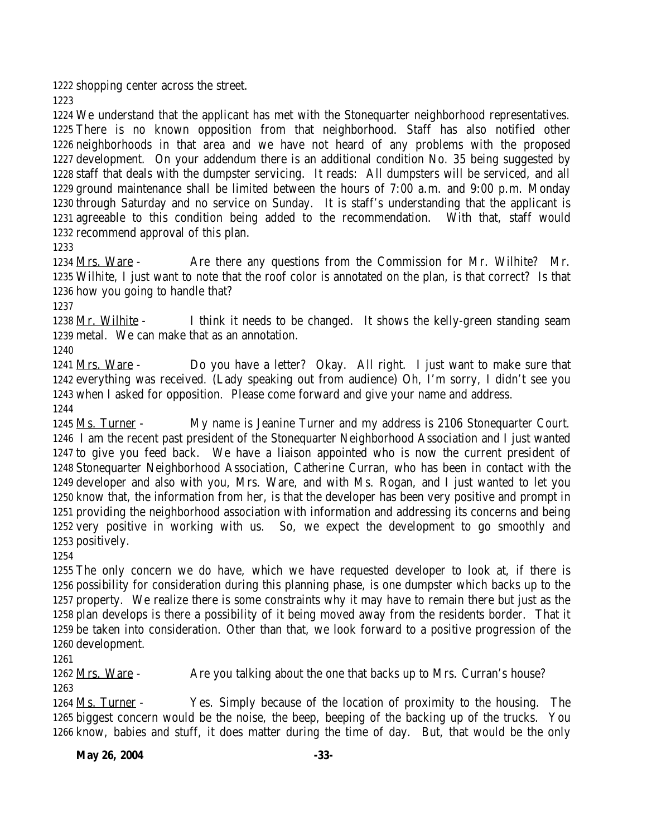shopping center across the street.

 We understand that the applicant has met with the Stonequarter neighborhood representatives. There is no known opposition from that neighborhood. Staff has also notified other neighborhoods in that area and we have not heard of any problems with the proposed development. On your addendum there is an additional condition No. 35 being suggested by staff that deals with the dumpster servicing. It reads: All dumpsters will be serviced, and all ground maintenance shall be limited between the hours of 7:00 a.m. and 9:00 p.m. Monday through Saturday and no service on Sunday. It is staff's understanding that the applicant is agreeable to this condition being added to the recommendation. With that, staff would recommend approval of this plan.

 Mrs. Ware - Are there any questions from the Commission for Mr. Wilhite? Mr. Wilhite, I just want to note that the roof color is annotated on the plan, is that correct? Is that how you going to handle that?

1238 Mr. Wilhite - I think it needs to be changed. It shows the kelly-green standing seam metal. We can make that as an annotation.

 Mrs. Ware - Do you have a letter? Okay. All right. I just want to make sure that everything was received. (Lady speaking out from audience) Oh, I'm sorry, I didn't see you when I asked for opposition. Please come forward and give your name and address.

 Ms. Turner - My name is Jeanine Turner and my address is 2106 Stonequarter Court. I am the recent past president of the Stonequarter Neighborhood Association and I just wanted to give you feed back. We have a liaison appointed who is now the current president of Stonequarter Neighborhood Association, Catherine Curran, who has been in contact with the developer and also with you, Mrs. Ware, and with Ms. Rogan, and I just wanted to let you know that, the information from her, is that the developer has been very positive and prompt in providing the neighborhood association with information and addressing its concerns and being very positive in working with us. So, we expect the development to go smoothly and positively.

 The only concern we do have, which we have requested developer to look at, if there is possibility for consideration during this planning phase, is one dumpster which backs up to the property. We realize there is some constraints why it may have to remain there but just as the plan develops is there a possibility of it being moved away from the residents border. That it be taken into consideration. Other than that, we look forward to a positive progression of the development.

1262 Mrs. Ware - Are you talking about the one that backs up to Mrs. Curran's house? 

 Ms. Turner - Yes. Simply because of the location of proximity to the housing. The biggest concern would be the noise, the beep, beeping of the backing up of the trucks. You know, babies and stuff, it does matter during the time of day. But, that would be the only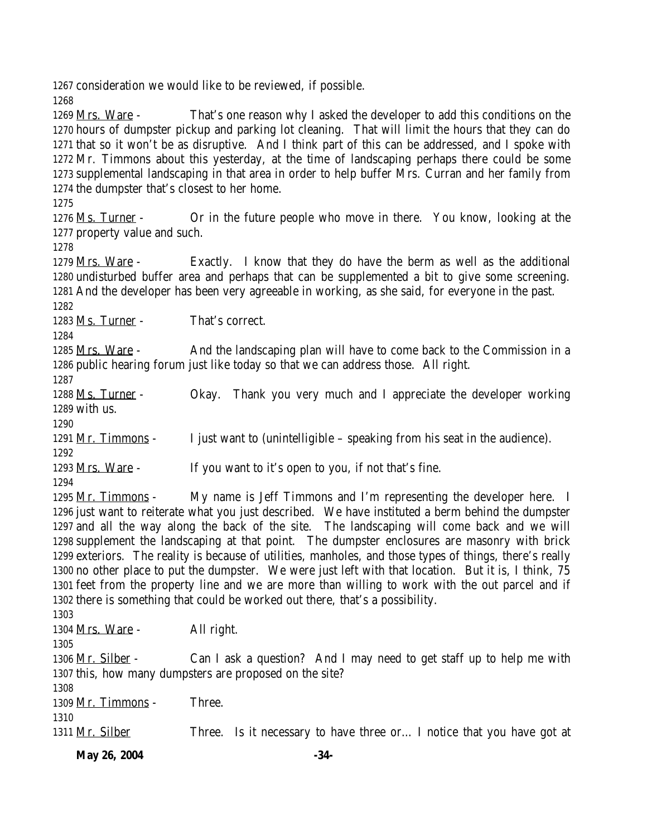consideration we would like to be reviewed, if possible.

1269 Mrs. Ware - That's one reason why I asked the developer to add this conditions on the hours of dumpster pickup and parking lot cleaning. That will limit the hours that they can do that so it won't be as disruptive. And I think part of this can be addressed, and I spoke with Mr. Timmons about this yesterday, at the time of landscaping perhaps there could be some supplemental landscaping in that area in order to help buffer Mrs. Curran and her family from the dumpster that's closest to her home.

1276 Ms. Turner - Or in the future people who move in there. You know, looking at the property value and such.

 Mrs. Ware - Exactly. I know that they do have the berm as well as the additional undisturbed buffer area and perhaps that can be supplemented a bit to give some screening. And the developer has been very agreeable in working, as she said, for everyone in the past. 

Ms. Turner - That's correct.

 Mrs. Ware - And the landscaping plan will have to come back to the Commission in a public hearing forum just like today so that we can address those. All right.

 Ms. Turner - Okay. Thank you very much and I appreciate the developer working with us.

1291 <u>Mr. Timmons</u> - I just want to (unintelligible – speaking from his seat in the audience).

1293 Mrs. Ware - If you want to it's open to you, if not that's fine.

 Mr. Timmons - My name is Jeff Timmons and I'm representing the developer here. I just want to reiterate what you just described. We have instituted a berm behind the dumpster and all the way along the back of the site. The landscaping will come back and we will supplement the landscaping at that point. The dumpster enclosures are masonry with brick exteriors. The reality is because of utilities, manholes, and those types of things, there's really no other place to put the dumpster. We were just left with that location. But it is, I think, 75 feet from the property line and we are more than willing to work with the out parcel and if there is something that could be worked out there, that's a possibility. 

| 1000               |                                                                       |
|--------------------|-----------------------------------------------------------------------|
| 1304 Mrs. Ware -   | All right.                                                            |
| 1305               |                                                                       |
| 1306 Mr. Silber -  | Can I ask a question? And I may need to get staff up to help me with  |
|                    | 1307 this, how many dumpsters are proposed on the site?               |
| 1308               |                                                                       |
| 1309 Mr. Timmons - | Three.                                                                |
| 1310               |                                                                       |
| 1311 Mr. Silber    | Three. Is it necessary to have three or I notice that you have got at |
|                    |                                                                       |

**May 26, 2004** -34-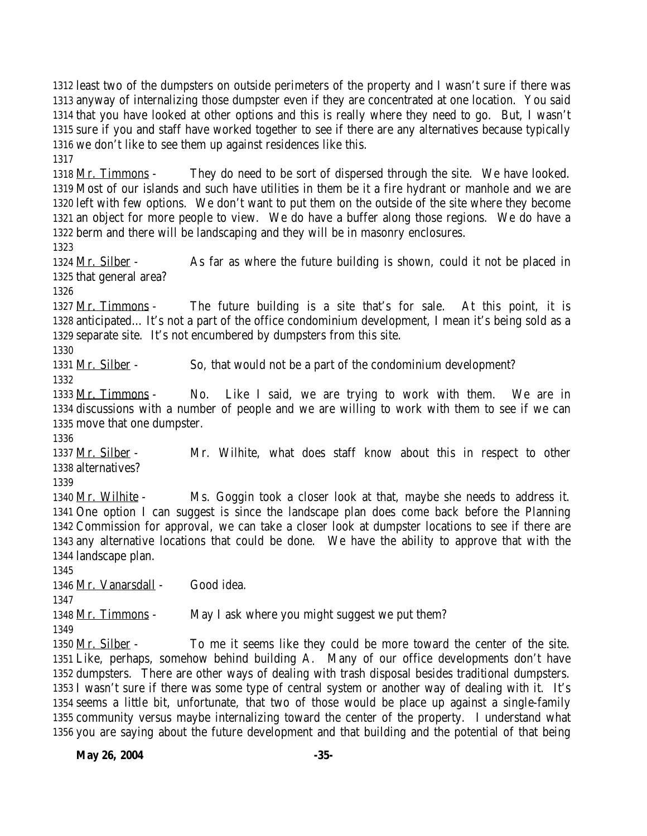**May 26, 2004** -35- least two of the dumpsters on outside perimeters of the property and I wasn't sure if there was anyway of internalizing those dumpster even if they are concentrated at one location. You said that you have looked at other options and this is really where they need to go. But, I wasn't sure if you and staff have worked together to see if there are any alternatives because typically we don't like to see them up against residences like this. 1318 Mr. Timmons - They do need to be sort of dispersed through the site. We have looked. Most of our islands and such have utilities in them be it a fire hydrant or manhole and we are left with few options. We don't want to put them on the outside of the site where they become an object for more people to view. We do have a buffer along those regions. We do have a berm and there will be landscaping and they will be in masonry enclosures. 1324 Mr. Silber - As far as where the future building is shown, could it not be placed in that general area? 1327 Mr. Timmons - The future building is a site that's for sale. At this point, it is anticipated… It's not a part of the office condominium development, I mean it's being sold as a separate site. It's not encumbered by dumpsters from this site. 1331 Mr. Silber - So, that would not be a part of the condominium development? 1333 Mr. Timmons - No. Like I said, we are trying to work with them. We are in discussions with a number of people and we are willing to work with them to see if we can move that one dumpster. 1337 Mr. Silber - Mr. Wilhite, what does staff know about this in respect to other alternatives? Mr. Wilhite - Ms. Goggin took a closer look at that, maybe she needs to address it. One option I can suggest is since the landscape plan does come back before the Planning Commission for approval, we can take a closer look at dumpster locations to see if there are any alternative locations that could be done. We have the ability to approve that with the landscape plan. Mr. Vanarsdall - Good idea. 1348 Mr. Timmons - May I ask where you might suggest we put them? 1350 Mr. Silber - To me it seems like they could be more toward the center of the site. Like, perhaps, somehow behind building A. Many of our office developments don't have dumpsters. There are other ways of dealing with trash disposal besides traditional dumpsters. I wasn't sure if there was some type of central system or another way of dealing with it. It's seems a little bit, unfortunate, that two of those would be place up against a single-family community versus maybe internalizing toward the center of the property. I understand what you are saying about the future development and that building and the potential of that being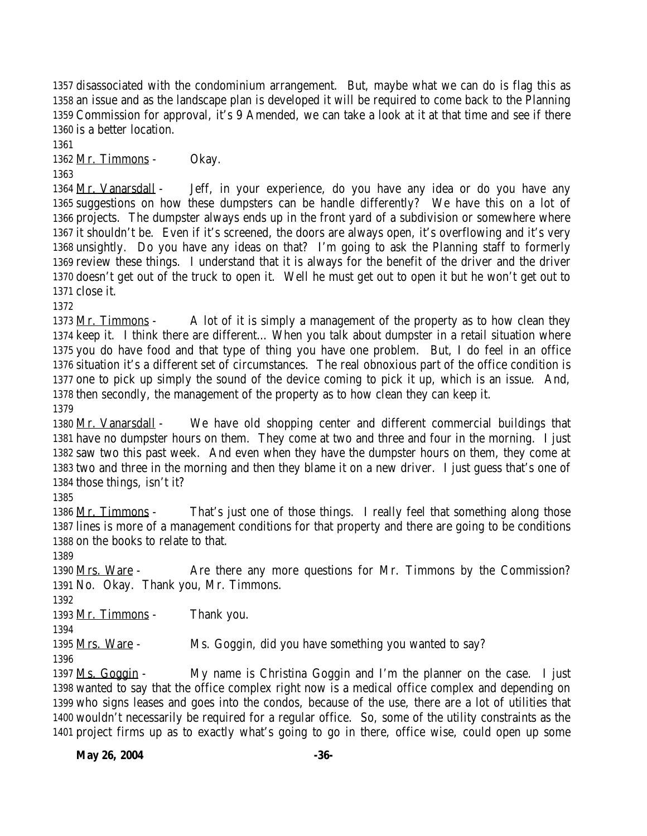disassociated with the condominium arrangement. But, maybe what we can do is flag this as an issue and as the landscape plan is developed it will be required to come back to the Planning Commission for approval, it's 9 Amended, we can take a look at it at that time and see if there is a better location.

1362 Mr. Timmons - Okay.

1364 Mr. Vanarsdall - Jeff, in your experience, do you have any idea or do you have any suggestions on how these dumpsters can be handle differently? We have this on a lot of projects. The dumpster always ends up in the front yard of a subdivision or somewhere where it shouldn't be. Even if it's screened, the doors are always open, it's overflowing and it's very unsightly. Do you have any ideas on that? I'm going to ask the Planning staff to formerly review these things. I understand that it is always for the benefit of the driver and the driver doesn't get out of the truck to open it. Well he must get out to open it but he won't get out to close it.

 $Mr.$  Timmons - A lot of it is simply a management of the property as to how clean they keep it. I think there are different… When you talk about dumpster in a retail situation where you do have food and that type of thing you have one problem. But, I do feel in an office situation it's a different set of circumstances. The real obnoxious part of the office condition is one to pick up simply the sound of the device coming to pick it up, which is an issue. And, then secondly, the management of the property as to how clean they can keep it.

 Mr. Vanarsdall - We have old shopping center and different commercial buildings that have no dumpster hours on them. They come at two and three and four in the morning. I just saw two this past week. And even when they have the dumpster hours on them, they come at two and three in the morning and then they blame it on a new driver. I just guess that's one of those things, isn't it?

1386 Mr. Timmons - That's just one of those things. I really feel that something along those lines is more of a management conditions for that property and there are going to be conditions on the books to relate to that.

1390 Mrs. Ware - Are there any more questions for Mr. Timmons by the Commission? No. Okay. Thank you, Mr. Timmons.

Mr. Timmons - Thank you.

Mrs. Ware - Ms. Goggin, did you have something you wanted to say?

 Ms. Goggin - My name is Christina Goggin and I'm the planner on the case. I just wanted to say that the office complex right now is a medical office complex and depending on who signs leases and goes into the condos, because of the use, there are a lot of utilities that wouldn't necessarily be required for a regular office. So, some of the utility constraints as the project firms up as to exactly what's going to go in there, office wise, could open up some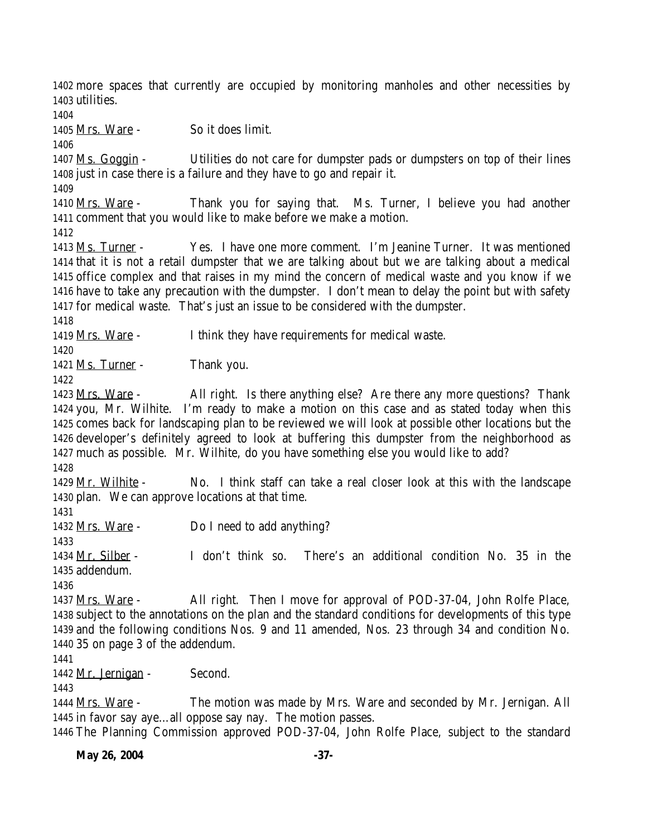more spaces that currently are occupied by monitoring manholes and other necessities by utilities.

Mrs. Ware - So it does limit.

 Ms. Goggin - Utilities do not care for dumpster pads or dumpsters on top of their lines just in case there is a failure and they have to go and repair it.

1410 Mrs. Ware - Thank you for saying that. Ms. Turner, I believe you had another comment that you would like to make before we make a motion.

 Ms. Turner - Yes. I have one more comment. I'm Jeanine Turner. It was mentioned that it is not a retail dumpster that we are talking about but we are talking about a medical office complex and that raises in my mind the concern of medical waste and you know if we have to take any precaution with the dumpster. I don't mean to delay the point but with safety for medical waste. That's just an issue to be considered with the dumpster.

Mrs. Ware - I think they have requirements for medical waste.

1421 Ms. Turner - Thank you.

1423 Mrs. Ware - All right. Is there anything else? Are there any more questions? Thank you, Mr. Wilhite. I'm ready to make a motion on this case and as stated today when this comes back for landscaping plan to be reviewed we will look at possible other locations but the developer's definitely agreed to look at buffering this dumpster from the neighborhood as much as possible. Mr. Wilhite, do you have something else you would like to add?

 Mr. Wilhite - No. I think staff can take a real closer look at this with the landscape plan. We can approve locations at that time.

1432 Mrs. Ware - Do I need to add anything?

 Mr. Silber - I don't think so. There's an additional condition No. 35 in the addendum.

 Mrs. Ware - All right. Then I move for approval of POD-37-04, John Rolfe Place, subject to the annotations on the plan and the standard conditions for developments of this type and the following conditions Nos. 9 and 11 amended, Nos. 23 through 34 and condition No. 35 on page 3 of the addendum.

1442 Mr. Jernigan - Second.

 Mrs. Ware - The motion was made by Mrs. Ware and seconded by Mr. Jernigan. All in favor say aye…all oppose say nay. The motion passes.

The Planning Commission approved POD-37-04, John Rolfe Place, subject to the standard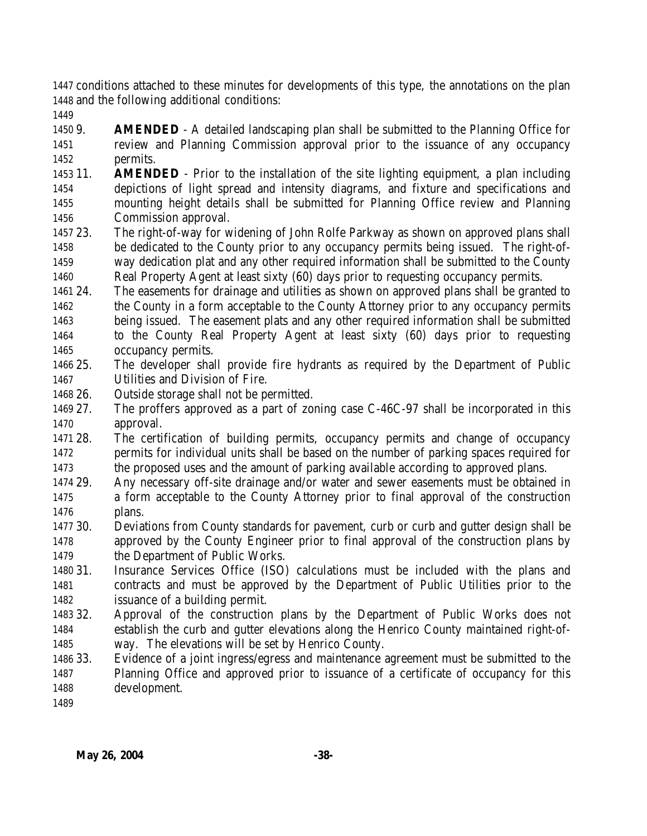conditions attached to these minutes for developments of this type, the annotations on the plan and the following additional conditions:

 9. **AMENDED** - A detailed landscaping plan shall be submitted to the Planning Office for review and Planning Commission approval prior to the issuance of any occupancy permits.

- 11. **AMENDED** Prior to the installation of the site lighting equipment, a plan including depictions of light spread and intensity diagrams, and fixture and specifications and mounting height details shall be submitted for Planning Office review and Planning Commission approval.
- 23. The right-of-way for widening of John Rolfe Parkway as shown on approved plans shall be dedicated to the County prior to any occupancy permits being issued. The right-of- way dedication plat and any other required information shall be submitted to the County Real Property Agent at least sixty (60) days prior to requesting occupancy permits.
- 24. The easements for drainage and utilities as shown on approved plans shall be granted to 1462 the County in a form acceptable to the County Attorney prior to any occupancy permits being issued. The easement plats and any other required information shall be submitted to the County Real Property Agent at least sixty (60) days prior to requesting occupancy permits.
- 25. The developer shall provide fire hydrants as required by the Department of Public Utilities and Division of Fire.
- 26. Outside storage shall not be permitted.
- 27. The proffers approved as a part of zoning case C-46C-97 shall be incorporated in this approval.
- 28. The certification of building permits, occupancy permits and change of occupancy permits for individual units shall be based on the number of parking spaces required for the proposed uses and the amount of parking available according to approved plans.
- 29. Any necessary off-site drainage and/or water and sewer easements must be obtained in a form acceptable to the County Attorney prior to final approval of the construction plans.
- 30. Deviations from County standards for pavement, curb or curb and gutter design shall be approved by the County Engineer prior to final approval of the construction plans by 1479 the Department of Public Works.
- 31. Insurance Services Office (ISO) calculations must be included with the plans and contracts and must be approved by the Department of Public Utilities prior to the issuance of a building permit.
- 32. Approval of the construction plans by the Department of Public Works does not establish the curb and gutter elevations along the Henrico County maintained right-of-way. The elevations will be set by Henrico County.
- 33. Evidence of a joint ingress/egress and maintenance agreement must be submitted to the Planning Office and approved prior to issuance of a certificate of occupancy for this development.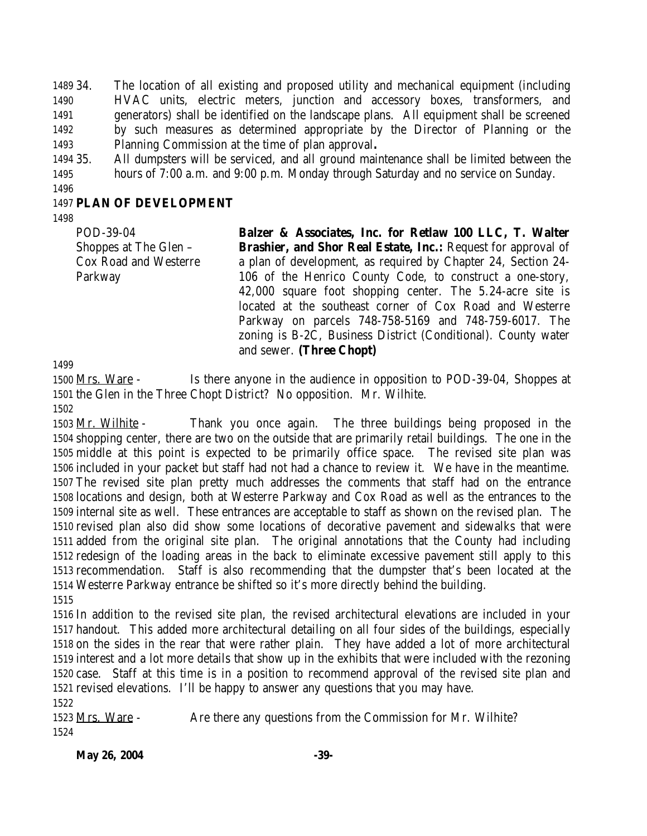34. The location of all existing and proposed utility and mechanical equipment (including HVAC units, electric meters, junction and accessory boxes, transformers, and generators) shall be identified on the landscape plans. All equipment shall be screened by such measures as determined appropriate by the Director of Planning or the Planning Commission at the time of plan approval**.**

 35. All dumpsters will be serviced, and all ground maintenance shall be limited between the hours of 7:00 a.m. and 9:00 p.m. Monday through Saturday and no service on Sunday.

#### **PLAN OF DEVELOPMENT**

POD-39-04 Shoppes at The Glen – Cox Road and Westerre Parkway

**Balzer & Associates, Inc. for Retlaw 100 LLC, T. Walter Brashier, and Shor Real Estate, Inc.:** Request for approval of a plan of development, as required by Chapter 24, Section 24- 106 of the Henrico County Code, to construct a one-story, 42,000 square foot shopping center. The 5.24-acre site is located at the southeast corner of Cox Road and Westerre Parkway on parcels 748-758-5169 and 748-759-6017. The zoning is B-2C, Business District (Conditional). County water and sewer. **(Three Chopt)**

 Mrs. Ware - Is there anyone in the audience in opposition to POD-39-04, Shoppes at the Glen in the Three Chopt District? No opposition. Mr. Wilhite.

 Mr. Wilhite - Thank you once again. The three buildings being proposed in the shopping center, there are two on the outside that are primarily retail buildings. The one in the middle at this point is expected to be primarily office space. The revised site plan was included in your packet but staff had not had a chance to review it. We have in the meantime. The revised site plan pretty much addresses the comments that staff had on the entrance locations and design, both at Westerre Parkway and Cox Road as well as the entrances to the internal site as well. These entrances are acceptable to staff as shown on the revised plan. The revised plan also did show some locations of decorative pavement and sidewalks that were added from the original site plan. The original annotations that the County had including redesign of the loading areas in the back to eliminate excessive pavement still apply to this recommendation. Staff is also recommending that the dumpster that's been located at the Westerre Parkway entrance be shifted so it's more directly behind the building.

 In addition to the revised site plan, the revised architectural elevations are included in your handout. This added more architectural detailing on all four sides of the buildings, especially on the sides in the rear that were rather plain. They have added a lot of more architectural interest and a lot more details that show up in the exhibits that were included with the rezoning case. Staff at this time is in a position to recommend approval of the revised site plan and revised elevations. I'll be happy to answer any questions that you may have.

1523 Mrs. Ware - Are there any questions from the Commission for Mr. Wilhite? 

**May 26, 2004** -39-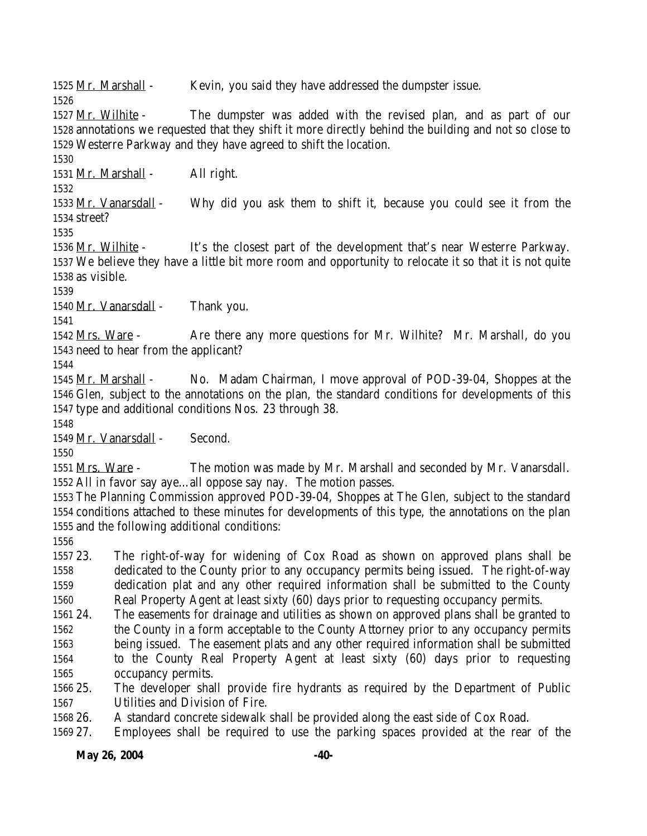1525 Mr. Marshall - Kevin, you said they have addressed the dumpster issue.

 Mr. Wilhite - The dumpster was added with the revised plan, and as part of our annotations we requested that they shift it more directly behind the building and not so close to Westerre Parkway and they have agreed to shift the location.

1531 Mr. Marshall - All right.

1533 Mr. Vanarsdall - Why did you ask them to shift it, because you could see it from the street?

 Mr. Wilhite - It's the closest part of the development that's near Westerre Parkway. We believe they have a little bit more room and opportunity to relocate it so that it is not quite as visible.

1540 Mr. Vanarsdall - Thank you.

 Mrs. Ware - Are there any more questions for Mr. Wilhite? Mr. Marshall, do you need to hear from the applicant?

 Mr. Marshall - No. Madam Chairman, I move approval of POD-39-04, Shoppes at the Glen, subject to the annotations on the plan, the standard conditions for developments of this type and additional conditions Nos. 23 through 38.

Mr. Vanarsdall - Second.

 Mrs. Ware - The motion was made by Mr. Marshall and seconded by Mr. Vanarsdall. All in favor say aye…all oppose say nay. The motion passes.

 The Planning Commission approved POD-39-04, Shoppes at The Glen, subject to the standard conditions attached to these minutes for developments of this type, the annotations on the plan and the following additional conditions:

 23. The right-of-way for widening of Cox Road as shown on approved plans shall be dedicated to the County prior to any occupancy permits being issued. The right-of-way dedication plat and any other required information shall be submitted to the County Real Property Agent at least sixty (60) days prior to requesting occupancy permits.

 24. The easements for drainage and utilities as shown on approved plans shall be granted to the County in a form acceptable to the County Attorney prior to any occupancy permits being issued. The easement plats and any other required information shall be submitted to the County Real Property Agent at least sixty (60) days prior to requesting occupancy permits.

 25. The developer shall provide fire hydrants as required by the Department of Public Utilities and Division of Fire.

26. A standard concrete sidewalk shall be provided along the east side of Cox Road.

27. Employees shall be required to use the parking spaces provided at the rear of the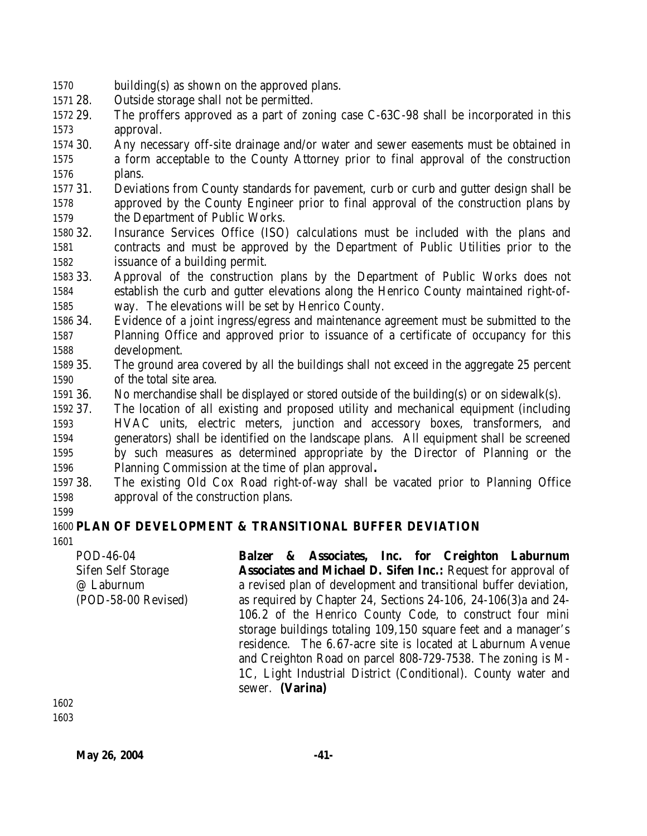- building(s) as shown on the approved plans.
- 28. Outside storage shall not be permitted.
- 29. The proffers approved as a part of zoning case C-63C-98 shall be incorporated in this approval.
- 30. Any necessary off-site drainage and/or water and sewer easements must be obtained in a form acceptable to the County Attorney prior to final approval of the construction plans.
- 31. Deviations from County standards for pavement, curb or curb and gutter design shall be approved by the County Engineer prior to final approval of the construction plans by the Department of Public Works.
- 32. Insurance Services Office (ISO) calculations must be included with the plans and contracts and must be approved by the Department of Public Utilities prior to the issuance of a building permit.
- 33. Approval of the construction plans by the Department of Public Works does not establish the curb and gutter elevations along the Henrico County maintained right-of-way. The elevations will be set by Henrico County.
- 34. Evidence of a joint ingress/egress and maintenance agreement must be submitted to the Planning Office and approved prior to issuance of a certificate of occupancy for this development.
- 35. The ground area covered by all the buildings shall not exceed in the aggregate 25 percent of the total site area.
- 36. No merchandise shall be displayed or stored outside of the building(s) or on sidewalk(s).
- 37. The location of all existing and proposed utility and mechanical equipment (including HVAC units, electric meters, junction and accessory boxes, transformers, and generators) shall be identified on the landscape plans. All equipment shall be screened by such measures as determined appropriate by the Director of Planning or the Planning Commission at the time of plan approval**.**
- 38. The existing Old Cox Road right-of-way shall be vacated prior to Planning Office approval of the construction plans.
- 

### **PLAN OF DEVELOPMENT & TRANSITIONAL BUFFER DEVIATION**

POD-46-04 Sifen Self Storage @ Laburnum (POD-58-00 Revised) **Balzer & Associates, Inc. for Creighton Laburnum Associates and Michael D. Sifen Inc.:** Request for approval of a revised plan of development and transitional buffer deviation, as required by Chapter 24, Sections 24-106, 24-106(3)a and 24- 106.2 of the Henrico County Code, to construct four mini storage buildings totaling 109,150 square feet and a manager's residence. The 6.67-acre site is located at Laburnum Avenue and Creighton Road on parcel 808-729-7538. The zoning is M-1C, Light Industrial District (Conditional). County water and sewer. **(Varina)**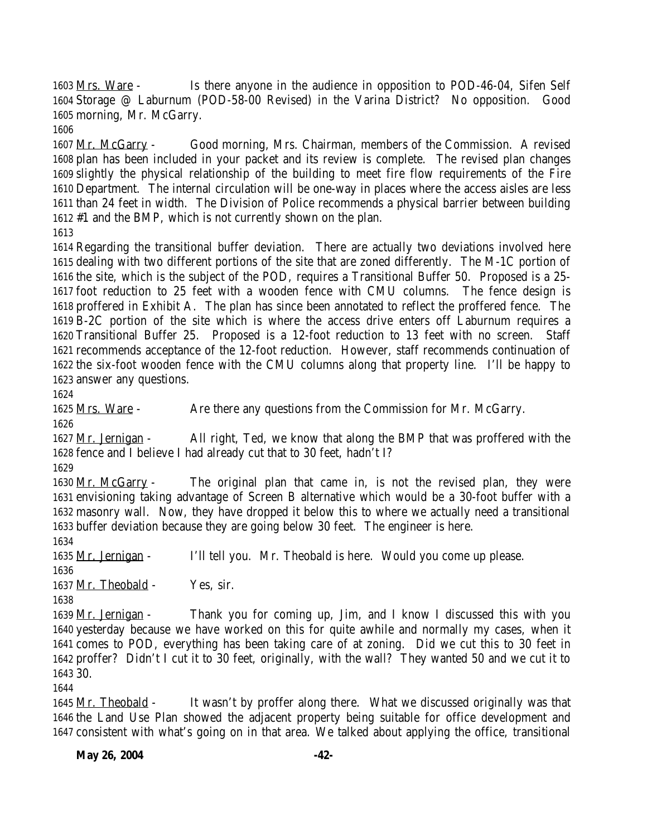Mrs. Ware - Is there anyone in the audience in opposition to POD-46-04, Sifen Self Storage @ Laburnum (POD-58-00 Revised) in the Varina District? No opposition. Good morning, Mr. McGarry.

 Mr. McGarry - Good morning, Mrs. Chairman, members of the Commission. A revised plan has been included in your packet and its review is complete. The revised plan changes slightly the physical relationship of the building to meet fire flow requirements of the Fire Department. The internal circulation will be one-way in places where the access aisles are less than 24 feet in width. The Division of Police recommends a physical barrier between building #1 and the BMP, which is not currently shown on the plan.

 Regarding the transitional buffer deviation. There are actually two deviations involved here dealing with two different portions of the site that are zoned differently. The M-1C portion of the site, which is the subject of the POD, requires a Transitional Buffer 50. Proposed is a 25- foot reduction to 25 feet with a wooden fence with CMU columns. The fence design is proffered in Exhibit A. The plan has since been annotated to reflect the proffered fence. The B-2C portion of the site which is where the access drive enters off Laburnum requires a Transitional Buffer 25. Proposed is a 12-foot reduction to 13 feet with no screen. Staff recommends acceptance of the 12-foot reduction. However, staff recommends continuation of the six-foot wooden fence with the CMU columns along that property line. I'll be happy to answer any questions.

 Mrs. Ware - Are there any questions from the Commission for Mr. McGarry. 

1627 Mr. Jernigan - All right, Ted, we know that along the BMP that was proffered with the fence and I believe I had already cut that to 30 feet, hadn't I?

 Mr. McGarry - The original plan that came in, is not the revised plan, they were envisioning taking advantage of Screen B alternative which would be a 30-foot buffer with a masonry wall. Now, they have dropped it below this to where we actually need a transitional buffer deviation because they are going below 30 feet. The engineer is here.

Mr. Jernigan - I'll tell you. Mr. Theobald is here. Would you come up please.

1637 Mr. Theobald - Yes, sir.

 Mr. Jernigan - Thank you for coming up, Jim, and I know I discussed this with you yesterday because we have worked on this for quite awhile and normally my cases, when it comes to POD, everything has been taking care of at zoning. Did we cut this to 30 feet in proffer? Didn't I cut it to 30 feet, originally, with the wall? They wanted 50 and we cut it to 30.

 Mr. Theobald - It wasn't by proffer along there. What we discussed originally was that the Land Use Plan showed the adjacent property being suitable for office development and consistent with what's going on in that area. We talked about applying the office, transitional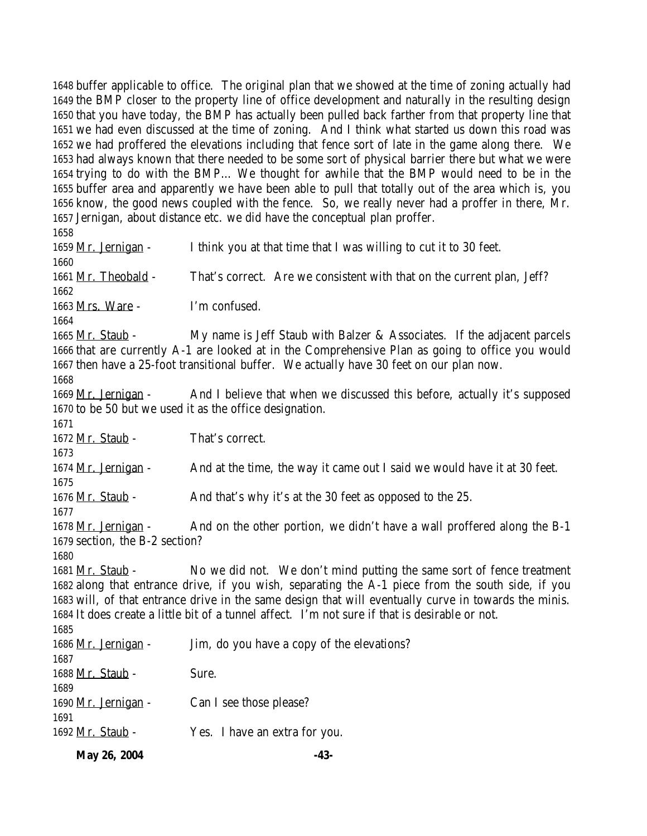buffer applicable to office. The original plan that we showed at the time of zoning actually had the BMP closer to the property line of office development and naturally in the resulting design that you have today, the BMP has actually been pulled back farther from that property line that we had even discussed at the time of zoning. And I think what started us down this road was we had proffered the elevations including that fence sort of late in the game along there. We had always known that there needed to be some sort of physical barrier there but what we were trying to do with the BMP… We thought for awhile that the BMP would need to be in the buffer area and apparently we have been able to pull that totally out of the area which is, you know, the good news coupled with the fence. So, we really never had a proffer in there, Mr. Jernigan, about distance etc. we did have the conceptual plan proffer.

**May 26, 2004** -43- Mr. Jernigan - I think you at that time that I was willing to cut it to 30 feet. 1661 Mr. Theobald - That's correct. Are we consistent with that on the current plan, Jeff? Mrs. Ware - I'm confused. Mr. Staub - My name is Jeff Staub with Balzer & Associates. If the adjacent parcels that are currently A-1 are looked at in the Comprehensive Plan as going to office you would then have a 25-foot transitional buffer. We actually have 30 feet on our plan now. 1669 Mr. Jernigan - And I believe that when we discussed this before, actually it's supposed to be 50 but we used it as the office designation. 1672 Mr. Staub - That's correct. 1674 Mr. Jernigan - And at the time, the way it came out I said we would have it at 30 feet. 1676 Mr. Staub - And that's why it's at the 30 feet as opposed to the 25. 1678 Mr. Jernigan - And on the other portion, we didn't have a wall proffered along the B-1 section, the B-2 section? 1681 Mr. Staub - No we did not. We don't mind putting the same sort of fence treatment along that entrance drive, if you wish, separating the A-1 piece from the south side, if you will, of that entrance drive in the same design that will eventually curve in towards the minis. It does create a little bit of a tunnel affect. I'm not sure if that is desirable or not. 1686 Mr. Jernigan - Jim, do you have a copy of the elevations? 1688 Mr. Staub - Sure. 1690 Mr. Jernigan - Can I see those please? Mr. Staub - Yes. I have an extra for you.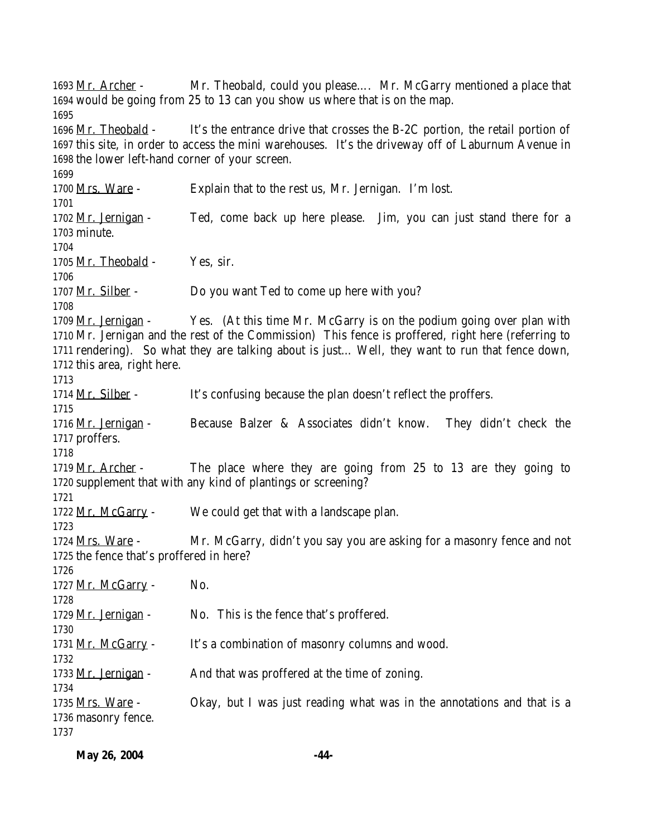Mr. Archer - Mr. Theobald, could you please…. Mr. McGarry mentioned a place that would be going from 25 to 13 can you show us where that is on the map. Mr. Theobald - It's the entrance drive that crosses the B-2C portion, the retail portion of this site, in order to access the mini warehouses. It's the driveway off of Laburnum Avenue in the lower left-hand corner of your screen. 1700 Mrs. Ware - Explain that to the rest us, Mr. Jernigan. I'm lost. 1702 Mr. Jernigan - Ted, come back up here please. Jim, you can just stand there for a minute. 1705 Mr. Theobald - Yes, sir. 1707 Mr. Silber - Do you want Ted to come up here with you? 1709 <u>Mr. Jernigan</u> - Yes. (At this time Mr. McGarry is on the podium going over plan with Mr. Jernigan and the rest of the Commission) This fence is proffered, right here (referring to rendering). So what they are talking about is just… Well, they want to run that fence down, this area, right here. 1714 Mr. Silber - It's confusing because the plan doesn't reflect the proffers. Mr. Jernigan - Because Balzer & Associates didn't know. They didn't check the proffers. 1719 Mr. Archer - The place where they are going from 25 to 13 are they going to supplement that with any kind of plantings or screening? Mr. McGarry - We could get that with a landscape plan. Mrs. Ware - Mr. McGarry, didn't you say you are asking for a masonry fence and not the fence that's proffered in here? 1727 Mr. McGarry - No. 1729 Mr. Jernigan - No. This is the fence that's proffered. 1731 Mr. McGarry - It's a combination of masonry columns and wood. 1733 Mr. Jernigan - And that was proffered at the time of zoning. 1735 Mrs. Ware - Okay, but I was just reading what was in the annotations and that is a masonry fence.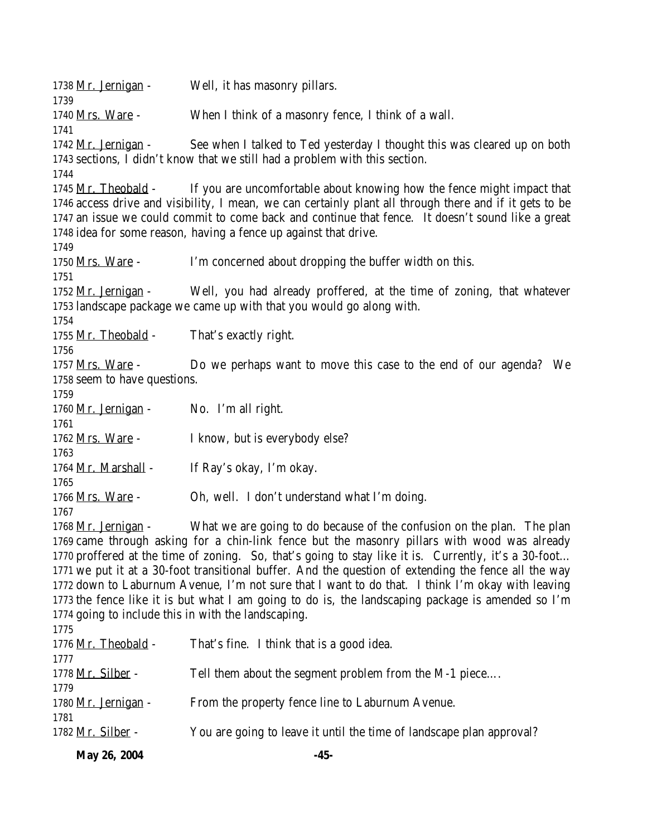| May 26, 2004                                                                                                                                                                                                                                                                                                                                                                                                  | $-45-$                                                                                                                                                                                                                                                                                                                                                                         |  |
|---------------------------------------------------------------------------------------------------------------------------------------------------------------------------------------------------------------------------------------------------------------------------------------------------------------------------------------------------------------------------------------------------------------|--------------------------------------------------------------------------------------------------------------------------------------------------------------------------------------------------------------------------------------------------------------------------------------------------------------------------------------------------------------------------------|--|
| 1782 Mr. Silber -                                                                                                                                                                                                                                                                                                                                                                                             | You are going to leave it until the time of landscape plan approval?                                                                                                                                                                                                                                                                                                           |  |
| 1780 <u>Mr. Jernigan</u> -<br>1781                                                                                                                                                                                                                                                                                                                                                                            | From the property fence line to Laburnum Avenue.                                                                                                                                                                                                                                                                                                                               |  |
| 1778 <u>Mr. Silber</u> -<br>1779                                                                                                                                                                                                                                                                                                                                                                              | Tell them about the segment problem from the M-1 piece                                                                                                                                                                                                                                                                                                                         |  |
| 1776 Mr. Theobald -<br>1777                                                                                                                                                                                                                                                                                                                                                                                   | That's fine. I think that is a good idea.                                                                                                                                                                                                                                                                                                                                      |  |
| 1774 going to include this in with the landscaping.<br>1775                                                                                                                                                                                                                                                                                                                                                   | 1772 down to Laburnum Avenue, I'm not sure that I want to do that. I think I'm okay with leaving<br>1773 the fence like it is but what I am going to do is, the landscaping package is amended so I'm                                                                                                                                                                          |  |
| What we are going to do because of the confusion on the plan. The plan<br>1768 Mr. Jernigan -<br>1769 came through asking for a chin-link fence but the masonry pillars with wood was already<br>1770 proffered at the time of zoning. So, that's going to stay like it is. Currently, it's a 30-foot<br>1771 we put it at a 30-foot transitional buffer. And the question of extending the fence all the way |                                                                                                                                                                                                                                                                                                                                                                                |  |
| 1765<br>1766 Mrs. Ware -<br>1767                                                                                                                                                                                                                                                                                                                                                                              | Oh, well. I don't understand what I'm doing.                                                                                                                                                                                                                                                                                                                                   |  |
| 1763<br>1764 Mr. Marshall -                                                                                                                                                                                                                                                                                                                                                                                   | If Ray's okay, I'm okay.                                                                                                                                                                                                                                                                                                                                                       |  |
| 1761<br>1762 Mrs. Ware -                                                                                                                                                                                                                                                                                                                                                                                      | I know, but is everybody else?                                                                                                                                                                                                                                                                                                                                                 |  |
| 1759<br>1760 Mr. Jernigan -                                                                                                                                                                                                                                                                                                                                                                                   | No. I'm all right.                                                                                                                                                                                                                                                                                                                                                             |  |
| 1756<br>1757 Mrs. Ware -<br>1758 seem to have questions.                                                                                                                                                                                                                                                                                                                                                      | Do we perhaps want to move this case to the end of our agenda? We                                                                                                                                                                                                                                                                                                              |  |
| 1754<br>1755 Mr. Theobald -                                                                                                                                                                                                                                                                                                                                                                                   | That's exactly right.                                                                                                                                                                                                                                                                                                                                                          |  |
| 1751<br>1752 Mr. Jernigan -                                                                                                                                                                                                                                                                                                                                                                                   | Well, you had already proffered, at the time of zoning, that whatever<br>1753 landscape package we came up with that you would go along with.                                                                                                                                                                                                                                  |  |
| 1749<br>1750 Mrs. Ware -                                                                                                                                                                                                                                                                                                                                                                                      | I'm concerned about dropping the buffer width on this.                                                                                                                                                                                                                                                                                                                         |  |
|                                                                                                                                                                                                                                                                                                                                                                                                               | 1745 Mr. Theobald - If you are uncomfortable about knowing how the fence might impact that<br>1746 access drive and visibility, I mean, we can certainly plant all through there and if it gets to be<br>1747 an issue we could commit to come back and continue that fence. It doesn't sound like a great<br>1748 idea for some reason, having a fence up against that drive. |  |
| 1742 Mr. Jernigan -<br>1744                                                                                                                                                                                                                                                                                                                                                                                   | See when I talked to Ted yesterday I thought this was cleared up on both<br>1743 sections, I didn't know that we still had a problem with this section.                                                                                                                                                                                                                        |  |
| 1739<br>1740 Mrs. Ware -<br>1741                                                                                                                                                                                                                                                                                                                                                                              | When I think of a masonry fence, I think of a wall.                                                                                                                                                                                                                                                                                                                            |  |
| 1738 Mr. Jernigan -                                                                                                                                                                                                                                                                                                                                                                                           | Well, it has masonry pillars.                                                                                                                                                                                                                                                                                                                                                  |  |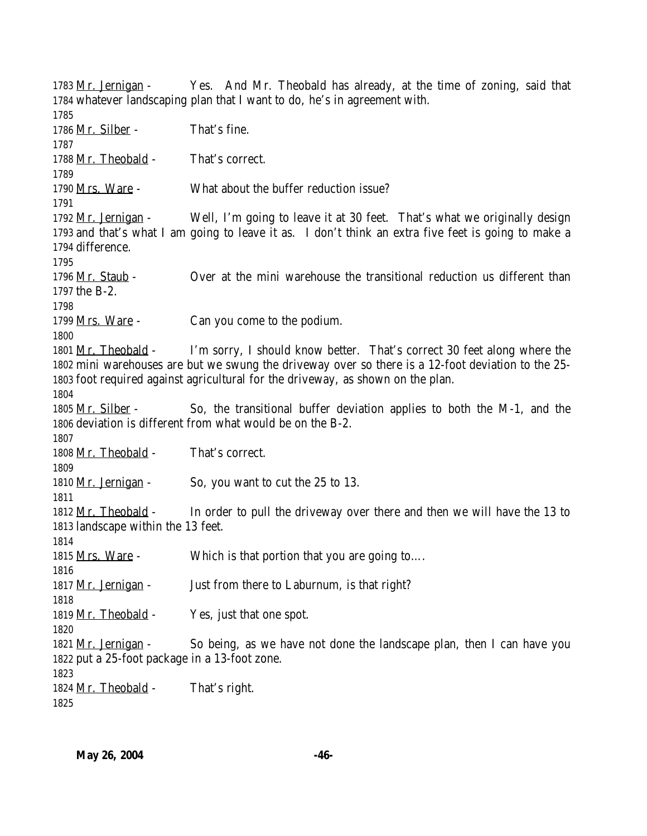1783 Mr. Jernigan - Yes. And Mr. Theobald has already, at the time of zoning, said that whatever landscaping plan that I want to do, he's in agreement with. 1786 Mr. Silber - That's fine. 1788 Mr. Theobald - That's correct. Mrs. Ware - What about the buffer reduction issue? 1792 Mr. Jernigan - Well, I'm going to leave it at 30 feet. That's what we originally design and that's what I am going to leave it as. I don't think an extra five feet is going to make a difference. 1796 Mr. Staub - Over at the mini warehouse the transitional reduction us different than the B-2. 1799 <u>Mrs. Ware</u> - Can you come to the podium. Mr. Theobald - I'm sorry, I should know better. That's correct 30 feet along where the mini warehouses are but we swung the driveway over so there is a 12-foot deviation to the 25- foot required against agricultural for the driveway, as shown on the plan. 1805 Mr. Silber - So, the transitional buffer deviation applies to both the M-1, and the deviation is different from what would be on the B-2. 1808 Mr. Theobald - That's correct. 1810 Mr. Jernigan - So, you want to cut the 25 to 13. 1812 Mr. Theobald - In order to pull the driveway over there and then we will have the 13 to landscape within the 13 feet. 1815 Mrs. Ware - Which is that portion that you are going to.... 1817 Mr. Jernigan - Just from there to Laburnum, is that right? 1819 Mr. Theobald - Yes, just that one spot. 1821 Mr. Jernigan - So being, as we have not done the landscape plan, then I can have you put a 25-foot package in a 13-foot zone. 1824 Mr. Theobald - That's right.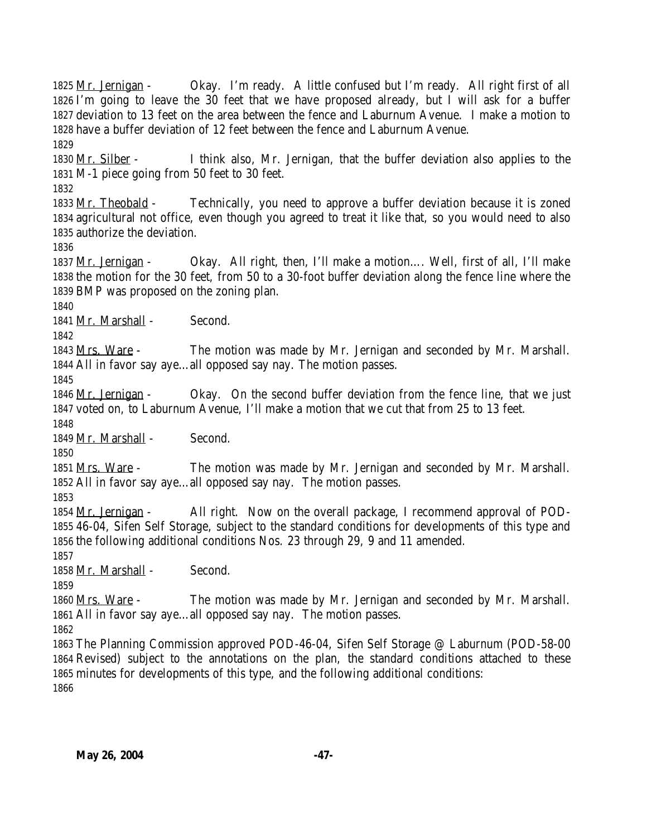Mr. Jernigan - Okay. I'm ready. A little confused but I'm ready. All right first of all I'm going to leave the 30 feet that we have proposed already, but I will ask for a buffer deviation to 13 feet on the area between the fence and Laburnum Avenue. I make a motion to have a buffer deviation of 12 feet between the fence and Laburnum Avenue. 1830 Mr. Silber - I think also, Mr. Jernigan, that the buffer deviation also applies to the M-1 piece going from 50 feet to 30 feet. 1833 Mr. Theobald - Technically, you need to approve a buffer deviation because it is zoned agricultural not office, even though you agreed to treat it like that, so you would need to also authorize the deviation. 1837 Mr. Jernigan - Okay. All right, then, I'll make a motion.... Well, first of all, I'll make the motion for the 30 feet, from 50 to a 30-foot buffer deviation along the fence line where the BMP was proposed on the zoning plan. Mr. Marshall - Second. Mrs. Ware - The motion was made by Mr. Jernigan and seconded by Mr. Marshall. All in favor say aye…all opposed say nay. The motion passes. 1846 Mr. Jernigan - Okay. On the second buffer deviation from the fence line, that we just voted on, to Laburnum Avenue, I'll make a motion that we cut that from 25 to 13 feet. Mr. Marshall - Second. Mrs. Ware - The motion was made by Mr. Jernigan and seconded by Mr. Marshall. All in favor say aye…all opposed say nay. The motion passes. 1854 Mr. Jernigan - All right. Now on the overall package, I recommend approval of POD- 46-04, Sifen Self Storage, subject to the standard conditions for developments of this type and the following additional conditions Nos. 23 through 29, 9 and 11 amended. Mr. Marshall - Second. Mrs. Ware - The motion was made by Mr. Jernigan and seconded by Mr. Marshall. All in favor say aye…all opposed say nay. The motion passes. The Planning Commission approved POD-46-04, Sifen Self Storage @ Laburnum (POD-58-00 Revised) subject to the annotations on the plan, the standard conditions attached to these minutes for developments of this type, and the following additional conditions: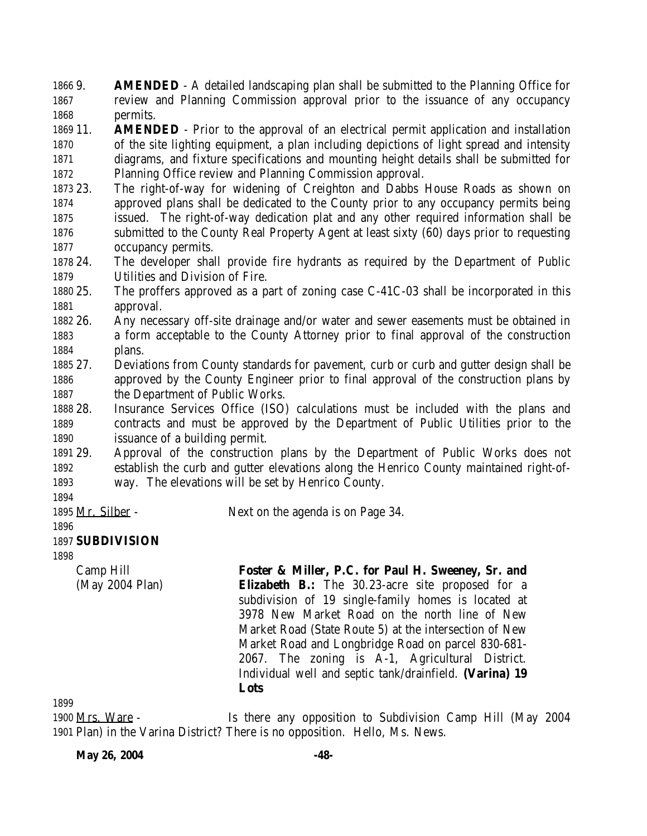9. **AMENDED** - A detailed landscaping plan shall be submitted to the Planning Office for review and Planning Commission approval prior to the issuance of any occupancy permits.

 11. **AMENDED** - Prior to the approval of an electrical permit application and installation of the site lighting equipment, a plan including depictions of light spread and intensity diagrams, and fixture specifications and mounting height details shall be submitted for Planning Office review and Planning Commission approval.

 23. The right-of-way for widening of Creighton and Dabbs House Roads as shown on approved plans shall be dedicated to the County prior to any occupancy permits being issued. The right-of-way dedication plat and any other required information shall be submitted to the County Real Property Agent at least sixty (60) days prior to requesting occupancy permits.

 24. The developer shall provide fire hydrants as required by the Department of Public Utilities and Division of Fire.

 25. The proffers approved as a part of zoning case C-41C-03 shall be incorporated in this approval.

 26. Any necessary off-site drainage and/or water and sewer easements must be obtained in a form acceptable to the County Attorney prior to final approval of the construction plans.

 27. Deviations from County standards for pavement, curb or curb and gutter design shall be approved by the County Engineer prior to final approval of the construction plans by the Department of Public Works.

 28. Insurance Services Office (ISO) calculations must be included with the plans and contracts and must be approved by the Department of Public Utilities prior to the issuance of a building permit.

 29. Approval of the construction plans by the Department of Public Works does not establish the curb and gutter elevations along the Henrico County maintained right-of-way. The elevations will be set by Henrico County.

1895 Mr. Silber - Next on the agenda is on Page 34.

#### **SUBDIVISION**

Camp Hill (May 2004 Plan) **Foster & Miller, P.C. for Paul H. Sweeney, Sr. and Elizabeth B.:** The 30.23-acre site proposed for a subdivision of 19 single-family homes is located at 3978 New Market Road on the north line of New Market Road (State Route 5) at the intersection of New Market Road and Longbridge Road on parcel 830-681- 2067. The zoning is A-1, Agricultural District. Individual well and septic tank/drainfield. **(Varina) 19 Lots**

 Mrs. Ware - Is there any opposition to Subdivision Camp Hill (May 2004 Plan) in the Varina District? There is no opposition. Hello, Ms. News.

**May 26, 2004** -48-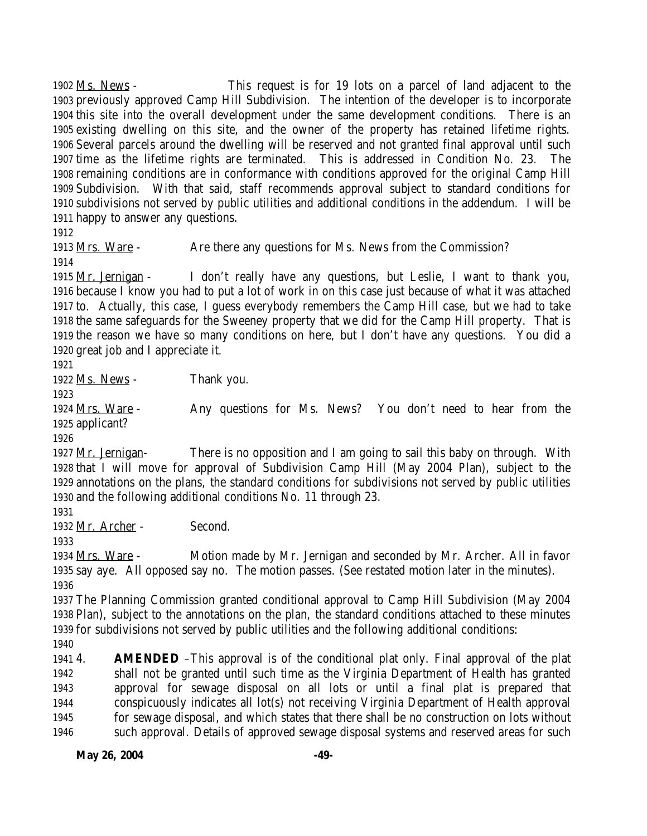Ms. News - This request is for 19 lots on a parcel of land adjacent to the previously approved Camp Hill Subdivision. The intention of the developer is to incorporate this site into the overall development under the same development conditions. There is an existing dwelling on this site, and the owner of the property has retained lifetime rights. Several parcels around the dwelling will be reserved and not granted final approval until such time as the lifetime rights are terminated. This is addressed in Condition No. 23. The remaining conditions are in conformance with conditions approved for the original Camp Hill Subdivision. With that said, staff recommends approval subject to standard conditions for subdivisions not served by public utilities and additional conditions in the addendum. I will be happy to answer any questions.

1913 Mrs. Ware - Are there any questions for Ms. News from the Commission?

 Mr. Jernigan - I don't really have any questions, but Leslie, I want to thank you, because I know you had to put a lot of work in on this case just because of what it was attached to. Actually, this case, I guess everybody remembers the Camp Hill case, but we had to take the same safeguards for the Sweeney property that we did for the Camp Hill property. That is the reason we have so many conditions on here, but I don't have any questions. You did a great job and I appreciate it.

1922 Ms. News - Thank you.

 Mrs. Ware - Any questions for Ms. News? You don't need to hear from the applicant?

 Mr. Jernigan- There is no opposition and I am going to sail this baby on through. With that I will move for approval of Subdivision Camp Hill (May 2004 Plan), subject to the annotations on the plans, the standard conditions for subdivisions not served by public utilities and the following additional conditions No. 11 through 23.

Mr. Archer - Second.

 Mrs. Ware - Motion made by Mr. Jernigan and seconded by Mr. Archer. All in favor say aye. All opposed say no. The motion passes. (See restated motion later in the minutes). 

 The Planning Commission granted conditional approval to Camp Hill Subdivision (May 2004 Plan), subject to the annotations on the plan, the standard conditions attached to these minutes for subdivisions not served by public utilities and the following additional conditions:

 4. **AMENDED** –This approval is of the conditional plat only. Final approval of the plat shall not be granted until such time as the Virginia Department of Health has granted approval for sewage disposal on all lots or until a final plat is prepared that conspicuously indicates all lot(s) not receiving Virginia Department of Health approval for sewage disposal, and which states that there shall be no construction on lots without such approval. Details of approved sewage disposal systems and reserved areas for such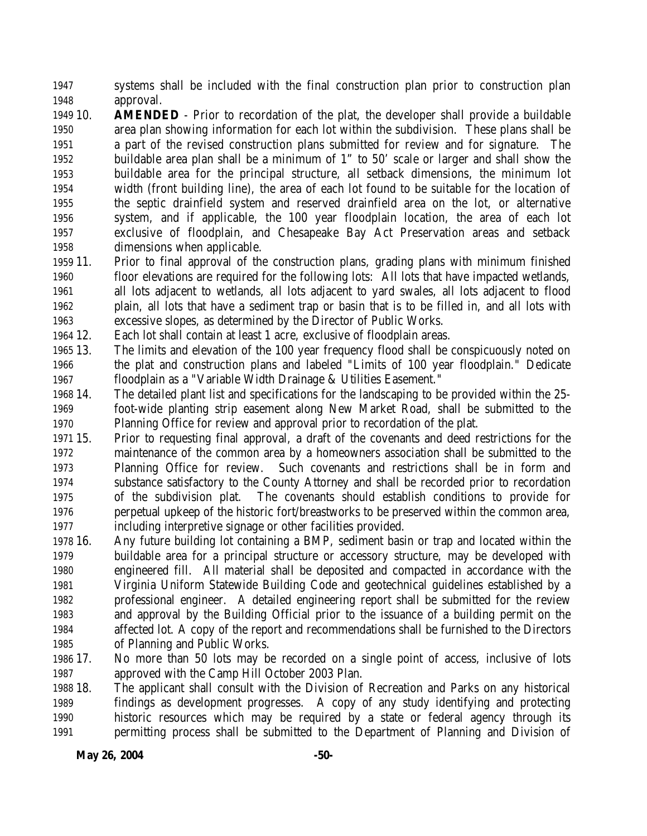systems shall be included with the final construction plan prior to construction plan approval.

 10. **AMENDED** - Prior to recordation of the plat, the developer shall provide a buildable area plan showing information for each lot within the subdivision. These plans shall be a part of the revised construction plans submitted for review and for signature. The buildable area plan shall be a minimum of 1" to 50' scale or larger and shall show the buildable area for the principal structure, all setback dimensions, the minimum lot width (front building line), the area of each lot found to be suitable for the location of the septic drainfield system and reserved drainfield area on the lot, or alternative system, and if applicable, the 100 year floodplain location, the area of each lot exclusive of floodplain, and Chesapeake Bay Act Preservation areas and setback dimensions when applicable.

- 11. Prior to final approval of the construction plans, grading plans with minimum finished floor elevations are required for the following lots: All lots that have impacted wetlands, all lots adjacent to wetlands, all lots adjacent to yard swales, all lots adjacent to flood plain, all lots that have a sediment trap or basin that is to be filled in, and all lots with excessive slopes, as determined by the Director of Public Works.
- 12. Each lot shall contain at least 1 acre, exclusive of floodplain areas.
- 13. The limits and elevation of the 100 year frequency flood shall be conspicuously noted on the plat and construction plans and labeled "Limits of 100 year floodplain." Dedicate floodplain as a "Variable Width Drainage & Utilities Easement."
- 14. The detailed plant list and specifications for the landscaping to be provided within the 25- foot-wide planting strip easement along New Market Road, shall be submitted to the Planning Office for review and approval prior to recordation of the plat.
- 15. Prior to requesting final approval, a draft of the covenants and deed restrictions for the maintenance of the common area by a homeowners association shall be submitted to the Planning Office for review. Such covenants and restrictions shall be in form and substance satisfactory to the County Attorney and shall be recorded prior to recordation of the subdivision plat. The covenants should establish conditions to provide for perpetual upkeep of the historic fort/breastworks to be preserved within the common area, including interpretive signage or other facilities provided.
- 16. Any future building lot containing a BMP, sediment basin or trap and located within the buildable area for a principal structure or accessory structure, may be developed with engineered fill. All material shall be deposited and compacted in accordance with the Virginia Uniform Statewide Building Code and geotechnical guidelines established by a professional engineer. A detailed engineering report shall be submitted for the review and approval by the Building Official prior to the issuance of a building permit on the affected lot. A copy of the report and recommendations shall be furnished to the Directors of Planning and Public Works.
- 17. No more than 50 lots may be recorded on a single point of access, inclusive of lots approved with the Camp Hill October 2003 Plan.
- 18. The applicant shall consult with the Division of Recreation and Parks on any historical findings as development progresses. A copy of any study identifying and protecting historic resources which may be required by a state or federal agency through its permitting process shall be submitted to the Department of Planning and Division of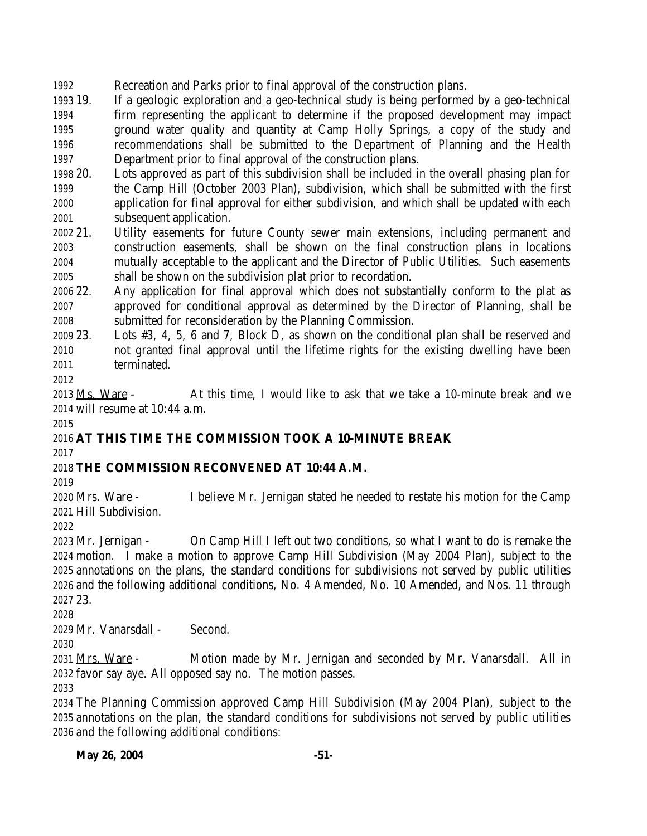Recreation and Parks prior to final approval of the construction plans.

 19. If a geologic exploration and a geo-technical study is being performed by a geo-technical firm representing the applicant to determine if the proposed development may impact ground water quality and quantity at Camp Holly Springs, a copy of the study and recommendations shall be submitted to the Department of Planning and the Health Department prior to final approval of the construction plans.

 20. Lots approved as part of this subdivision shall be included in the overall phasing plan for the Camp Hill (October 2003 Plan), subdivision, which shall be submitted with the first application for final approval for either subdivision, and which shall be updated with each subsequent application.

 21. Utility easements for future County sewer main extensions, including permanent and construction easements, shall be shown on the final construction plans in locations mutually acceptable to the applicant and the Director of Public Utilities. Such easements shall be shown on the subdivision plat prior to recordation.

 22. Any application for final approval which does not substantially conform to the plat as approved for conditional approval as determined by the Director of Planning, shall be submitted for reconsideration by the Planning Commission.

 23. Lots #3, 4, 5, 6 and 7, Block D, as shown on the conditional plan shall be reserved and not granted final approval until the lifetime rights for the existing dwelling have been terminated.

2013 Ms. Ware - At this time, I would like to ask that we take a 10-minute break and we will resume at 10:44 a.m. 

# **AT THIS TIME THE COMMISSION TOOK A 10-MINUTE BREAK**

# **THE COMMISSION RECONVENED AT 10:44 A.M.**

 Mrs. Ware - I believe Mr. Jernigan stated he needed to restate his motion for the Camp Hill Subdivision.

 Mr. Jernigan - On Camp Hill I left out two conditions, so what I want to do is remake the motion. I make a motion to approve Camp Hill Subdivision (May 2004 Plan), subject to the annotations on the plans, the standard conditions for subdivisions not served by public utilities and the following additional conditions, No. 4 Amended, No. 10 Amended, and Nos. 11 through 23.

Mr. Vanarsdall - Second.

 Mrs. Ware - Motion made by Mr. Jernigan and seconded by Mr. Vanarsdall. All in favor say aye. All opposed say no. The motion passes.

 The Planning Commission approved Camp Hill Subdivision (May 2004 Plan), subject to the annotations on the plan, the standard conditions for subdivisions not served by public utilities and the following additional conditions: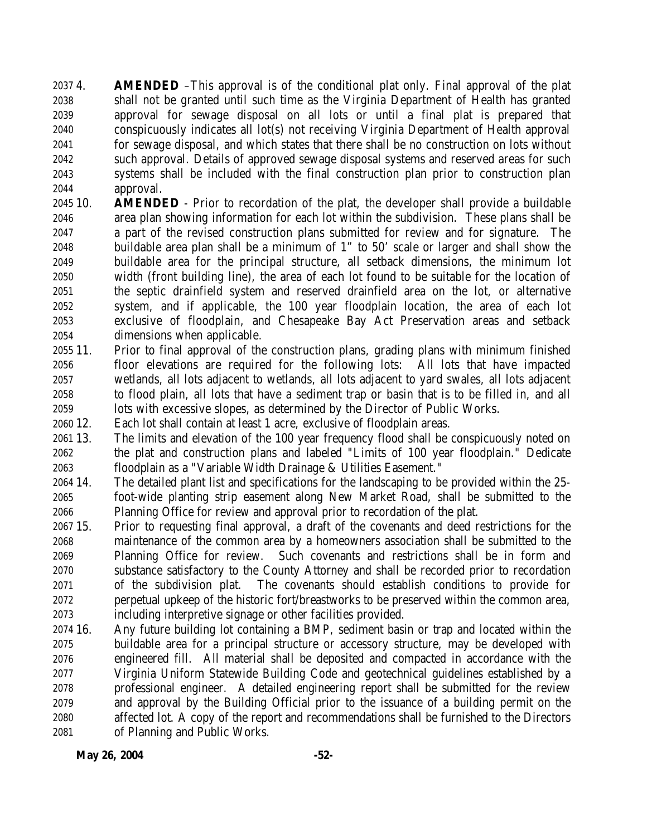4. **AMENDED** –This approval is of the conditional plat only. Final approval of the plat shall not be granted until such time as the Virginia Department of Health has granted approval for sewage disposal on all lots or until a final plat is prepared that conspicuously indicates all lot(s) not receiving Virginia Department of Health approval for sewage disposal, and which states that there shall be no construction on lots without such approval. Details of approved sewage disposal systems and reserved areas for such systems shall be included with the final construction plan prior to construction plan approval.

- 10. **AMENDED** Prior to recordation of the plat, the developer shall provide a buildable area plan showing information for each lot within the subdivision. These plans shall be a part of the revised construction plans submitted for review and for signature. The buildable area plan shall be a minimum of 1" to 50' scale or larger and shall show the buildable area for the principal structure, all setback dimensions, the minimum lot width (front building line), the area of each lot found to be suitable for the location of the septic drainfield system and reserved drainfield area on the lot, or alternative system, and if applicable, the 100 year floodplain location, the area of each lot exclusive of floodplain, and Chesapeake Bay Act Preservation areas and setback dimensions when applicable.
- 11. Prior to final approval of the construction plans, grading plans with minimum finished floor elevations are required for the following lots: All lots that have impacted wetlands, all lots adjacent to wetlands, all lots adjacent to yard swales, all lots adjacent to flood plain, all lots that have a sediment trap or basin that is to be filled in, and all lots with excessive slopes, as determined by the Director of Public Works.
- 12. Each lot shall contain at least 1 acre, exclusive of floodplain areas.
- 13. The limits and elevation of the 100 year frequency flood shall be conspicuously noted on the plat and construction plans and labeled "Limits of 100 year floodplain." Dedicate floodplain as a "Variable Width Drainage & Utilities Easement."
- 14. The detailed plant list and specifications for the landscaping to be provided within the 25- foot-wide planting strip easement along New Market Road, shall be submitted to the Planning Office for review and approval prior to recordation of the plat.
- 15. Prior to requesting final approval, a draft of the covenants and deed restrictions for the maintenance of the common area by a homeowners association shall be submitted to the Planning Office for review. Such covenants and restrictions shall be in form and substance satisfactory to the County Attorney and shall be recorded prior to recordation of the subdivision plat. The covenants should establish conditions to provide for perpetual upkeep of the historic fort/breastworks to be preserved within the common area, including interpretive signage or other facilities provided.
- 16. Any future building lot containing a BMP, sediment basin or trap and located within the buildable area for a principal structure or accessory structure, may be developed with engineered fill. All material shall be deposited and compacted in accordance with the Virginia Uniform Statewide Building Code and geotechnical guidelines established by a professional engineer. A detailed engineering report shall be submitted for the review and approval by the Building Official prior to the issuance of a building permit on the affected lot. A copy of the report and recommendations shall be furnished to the Directors of Planning and Public Works.

**May 26, 2004** -52-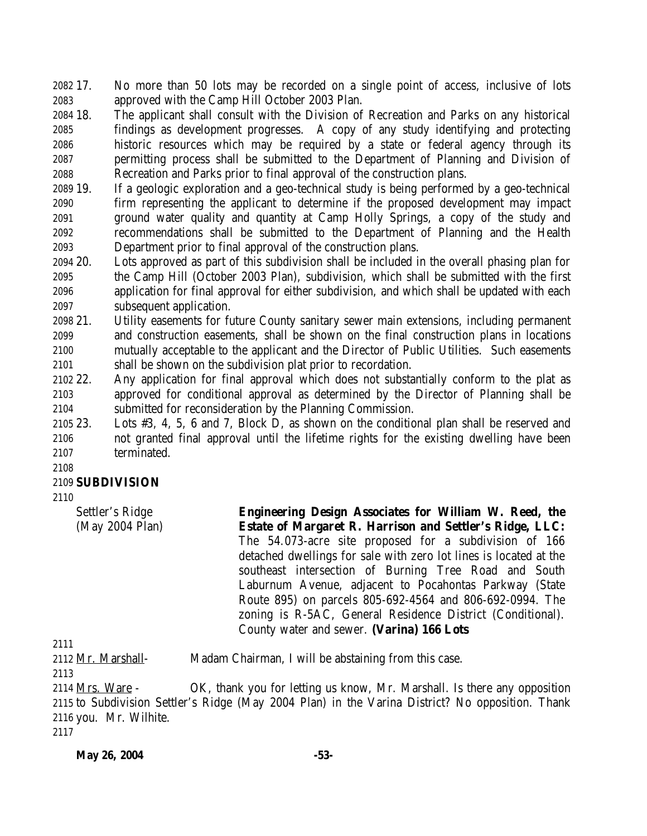17. No more than 50 lots may be recorded on a single point of access, inclusive of lots approved with the Camp Hill October 2003 Plan.

- 18. The applicant shall consult with the Division of Recreation and Parks on any historical findings as development progresses. A copy of any study identifying and protecting historic resources which may be required by a state or federal agency through its permitting process shall be submitted to the Department of Planning and Division of Recreation and Parks prior to final approval of the construction plans.
- 19. If a geologic exploration and a geo-technical study is being performed by a geo-technical firm representing the applicant to determine if the proposed development may impact ground water quality and quantity at Camp Holly Springs, a copy of the study and recommendations shall be submitted to the Department of Planning and the Health Department prior to final approval of the construction plans.
- 20. Lots approved as part of this subdivision shall be included in the overall phasing plan for the Camp Hill (October 2003 Plan), subdivision, which shall be submitted with the first application for final approval for either subdivision, and which shall be updated with each subsequent application.
- 21. Utility easements for future County sanitary sewer main extensions, including permanent and construction easements, shall be shown on the final construction plans in locations mutually acceptable to the applicant and the Director of Public Utilities. Such easements shall be shown on the subdivision plat prior to recordation.
- 22. Any application for final approval which does not substantially conform to the plat as approved for conditional approval as determined by the Director of Planning shall be submitted for reconsideration by the Planning Commission.
- 23. Lots #3, 4, 5, 6 and 7, Block D, as shown on the conditional plan shall be reserved and not granted final approval until the lifetime rights for the existing dwelling have been terminated.

#### 

#### **SUBDIVISION**

Settler's Ridge (May 2004 Plan) **Engineering Design Associates for William W. Reed, the Estate of Margaret R. Harrison and Settler's Ridge, LLC:** The 54.073-acre site proposed for a subdivision of 166 detached dwellings for sale with zero lot lines is located at the southeast intersection of Burning Tree Road and South Laburnum Avenue, adjacent to Pocahontas Parkway (State Route 895) on parcels 805-692-4564 and 806-692-0994. The zoning is R-5AC, General Residence District (Conditional). County water and sewer. **(Varina) 166 Lots**

2112 Mr. Marshall- Madam Chairman, I will be abstaining from this case.

 Mrs. Ware - OK, thank you for letting us know, Mr. Marshall. Is there any opposition to Subdivision Settler's Ridge (May 2004 Plan) in the Varina District? No opposition. Thank

you. Mr. Wilhite.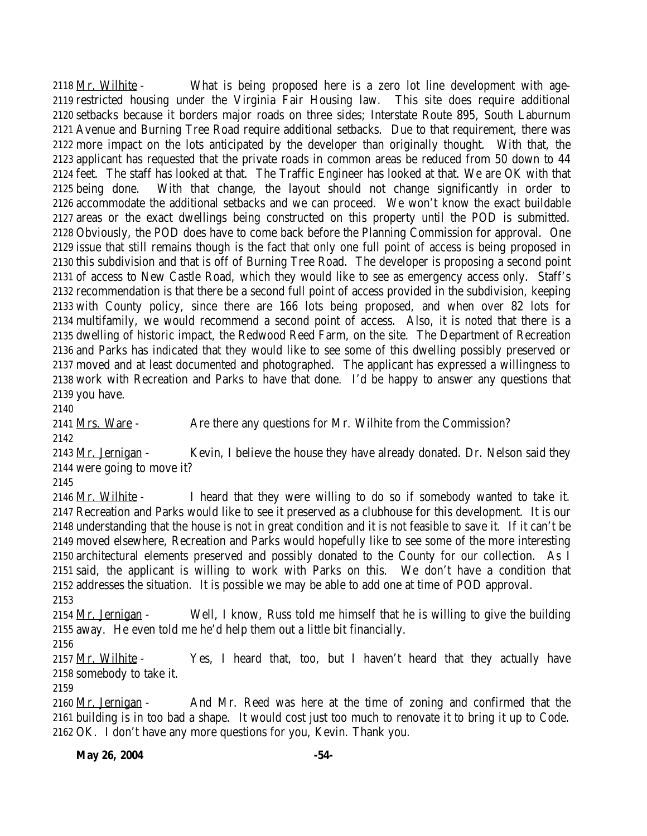Mr. Wilhite - What is being proposed here is a zero lot line development with age- restricted housing under the Virginia Fair Housing law. This site does require additional setbacks because it borders major roads on three sides; Interstate Route 895, South Laburnum Avenue and Burning Tree Road require additional setbacks. Due to that requirement, there was more impact on the lots anticipated by the developer than originally thought. With that, the applicant has requested that the private roads in common areas be reduced from 50 down to 44 feet. The staff has looked at that. The Traffic Engineer has looked at that. We are OK with that being done. With that change, the layout should not change significantly in order to accommodate the additional setbacks and we can proceed. We won't know the exact buildable areas or the exact dwellings being constructed on this property until the POD is submitted. Obviously, the POD does have to come back before the Planning Commission for approval. One issue that still remains though is the fact that only one full point of access is being proposed in this subdivision and that is off of Burning Tree Road. The developer is proposing a second point of access to New Castle Road, which they would like to see as emergency access only. Staff's recommendation is that there be a second full point of access provided in the subdivision, keeping with County policy, since there are 166 lots being proposed, and when over 82 lots for multifamily, we would recommend a second point of access. Also, it is noted that there is a dwelling of historic impact, the Redwood Reed Farm, on the site. The Department of Recreation and Parks has indicated that they would like to see some of this dwelling possibly preserved or moved and at least documented and photographed. The applicant has expressed a willingness to work with Recreation and Parks to have that done. I'd be happy to answer any questions that you have.

2141 Mrs. Ware - Are there any questions for Mr. Wilhite from the Commission? 

 Mr. Jernigan - Kevin, I believe the house they have already donated. Dr. Nelson said they were going to move it?

2146 Mr. Wilhite - I heard that they were willing to do so if somebody wanted to take it. Recreation and Parks would like to see it preserved as a clubhouse for this development. It is our understanding that the house is not in great condition and it is not feasible to save it. If it can't be moved elsewhere, Recreation and Parks would hopefully like to see some of the more interesting architectural elements preserved and possibly donated to the County for our collection. As I said, the applicant is willing to work with Parks on this. We don't have a condition that addresses the situation. It is possible we may be able to add one at time of POD approval. 

2154 Mr. Jernigan - Well, I know, Russ told me himself that he is willing to give the building away. He even told me he'd help them out a little bit financially.

2157  $Mr.$  Wilhite - Yes, I heard that, too, but I haven't heard that they actually have somebody to take it.

 Mr. Jernigan - And Mr. Reed was here at the time of zoning and confirmed that the building is in too bad a shape. It would cost just too much to renovate it to bring it up to Code. OK. I don't have any more questions for you, Kevin. Thank you.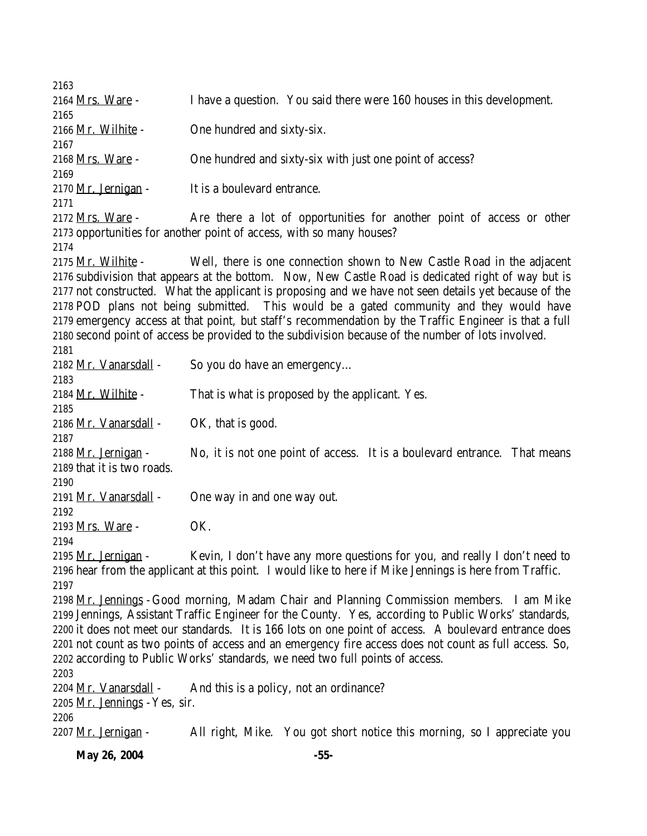Mrs. Ware - I have a question. You said there were 160 houses in this development. Mr. Wilhite - One hundred and sixty-six. Mrs. Ware - One hundred and sixty-six with just one point of access? 2170 Mr. Jernigan - It is a boulevard entrance. 2172 Mrs. Ware - Are there a lot of opportunities for another point of access or other opportunities for another point of access, with so many houses? Mr. Wilhite - Well, there is one connection shown to New Castle Road in the adjacent subdivision that appears at the bottom. Now, New Castle Road is dedicated right of way but is not constructed. What the applicant is proposing and we have not seen details yet because of the POD plans not being submitted. This would be a gated community and they would have emergency access at that point, but staff's recommendation by the Traffic Engineer is that a full second point of access be provided to the subdivision because of the number of lots involved. Mr. Vanarsdall - So you do have an emergency… 2184 Mr. Wilhite - That is what is proposed by the applicant. Yes. 2186 Mr. Vanarsdall  $\sim$  OK, that is good. 2188 Mr. Jernigan - No, it is not one point of access. It is a boulevard entrance. That means that it is two roads. Mr. Vanarsdall - One way in and one way out. Mrs. Ware - OK. 2195 Mr. Jernigan - Kevin, I don't have any more questions for you, and really I don't need to hear from the applicant at this point. I would like to here if Mike Jennings is here from Traffic. Mr. Jennings -Good morning, Madam Chair and Planning Commission members. I am Mike Jennings, Assistant Traffic Engineer for the County. Yes, according to Public Works' standards, it does not meet our standards. It is 166 lots on one point of access. A boulevard entrance does not count as two points of access and an emergency fire access does not count as full access. So, according to Public Works' standards, we need two full points of access. 2204  $Mr. Vanarsdall - And this is a policy, not an ordinance?$  Mr. Jennings -Yes, sir. 2207 Mr. Jernigan - All right, Mike. You got short notice this morning, so I appreciate you

**May 26, 2004** -55-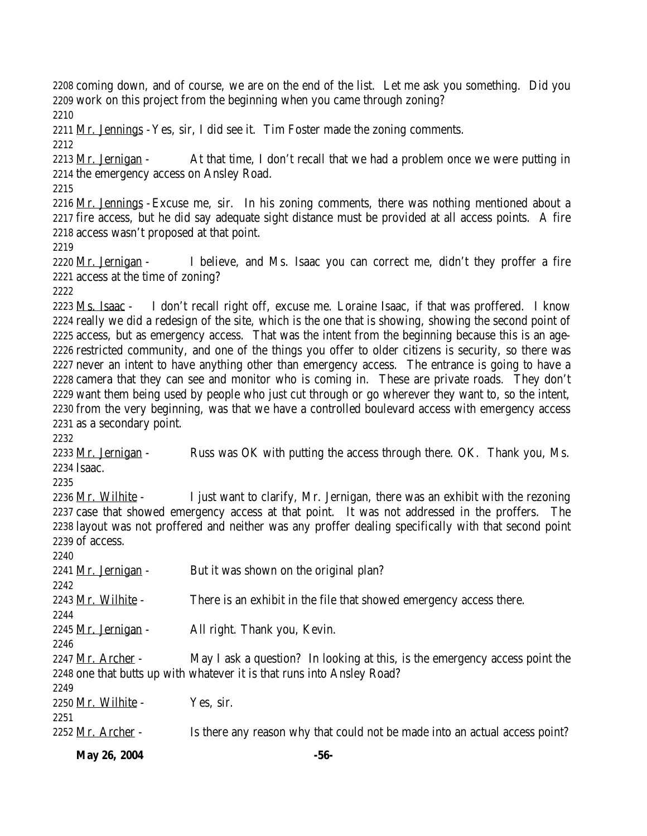coming down, and of course, we are on the end of the list. Let me ask you something. Did you 2209 work on this project from the beginning when you came through zoning? Mr. Jennings -Yes, sir, I did see it. Tim Foster made the zoning comments. 2213 Mr. Jernigan - At that time, I don't recall that we had a problem once we were putting in the emergency access on Ansley Road. Mr. Jennings - Excuse me, sir. In his zoning comments, there was nothing mentioned about a fire access, but he did say adequate sight distance must be provided at all access points. A fire access wasn't proposed at that point. 2220 Mr. Jernigan - I believe, and Ms. Isaac you can correct me, didn't they proffer a fire access at the time of zoning? Ms. Isaac - I don't recall right off, excuse me. Loraine Isaac, if that was proffered. I know really we did a redesign of the site, which is the one that is showing, showing the second point of access, but as emergency access. That was the intent from the beginning because this is an age- restricted community, and one of the things you offer to older citizens is security, so there was never an intent to have anything other than emergency access. The entrance is going to have a camera that they can see and monitor who is coming in. These are private roads. They don't want them being used by people who just cut through or go wherever they want to, so the intent, from the very beginning, was that we have a controlled boulevard access with emergency access as a secondary point. 2233 Mr. Jernigan - Russ was OK with putting the access through there. OK. Thank you, Ms. Isaac. 2236 Mr. Wilhite - I just want to clarify, Mr. Jernigan, there was an exhibit with the rezoning case that showed emergency access at that point. It was not addressed in the proffers. The layout was not proffered and neither was any proffer dealing specifically with that second point of access. 2241 Mr. Jernigan - But it was shown on the original plan? 2243 Mr. Wilhite - There is an exhibit in the file that showed emergency access there. Mr. Jernigan - All right. Thank you, Kevin. 2247 Mr. Archer - May I ask a question? In looking at this, is the emergency access point the one that butts up with whatever it is that runs into Ansley Road? Mr. Wilhite - Yes, sir. 2252 Mr. Archer - Is there any reason why that could not be made into an actual access point?

**May 26, 2004** -56-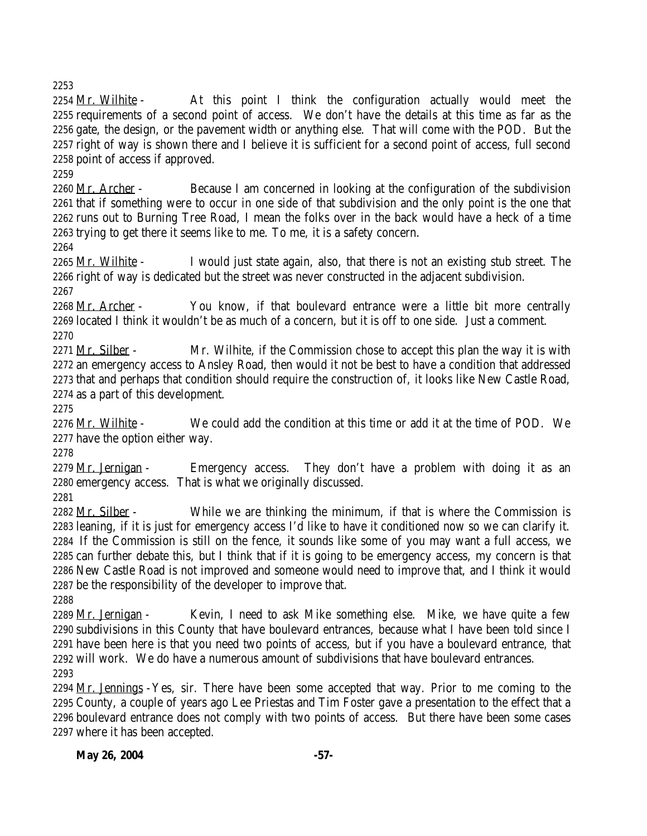Mr. Wilhite - At this point I think the configuration actually would meet the requirements of a second point of access. We don't have the details at this time as far as the gate, the design, or the pavement width or anything else. That will come with the POD. But the right of way is shown there and I believe it is sufficient for a second point of access, full second point of access if approved.

2260 Mr. Archer - Because I am concerned in looking at the configuration of the subdivision that if something were to occur in one side of that subdivision and the only point is the one that runs out to Burning Tree Road, I mean the folks over in the back would have a heck of a time trying to get there it seems like to me. To me, it is a safety concern.

2265 Mr. Wilhite - I would just state again, also, that there is not an existing stub street. The right of way is dedicated but the street was never constructed in the adjacent subdivision.

2268 Mr. Archer - You know, if that boulevard entrance were a little bit more centrally located I think it wouldn't be as much of a concern, but it is off to one side. Just a comment. 

2271 Mr. Silber - Mr. Wilhite, if the Commission chose to accept this plan the way it is with an emergency access to Ansley Road, then would it not be best to have a condition that addressed that and perhaps that condition should require the construction of, it looks like New Castle Road, as a part of this development.

2276 Mr. Wilhite - We could add the condition at this time or add it at the time of POD. We have the option either way.

2279 Mr. Jernigan - Emergency access. They don't have a problem with doing it as an emergency access. That is what we originally discussed.

2282 Mr. Silber - While we are thinking the minimum, if that is where the Commission is leaning, if it is just for emergency access I'd like to have it conditioned now so we can clarify it. If the Commission is still on the fence, it sounds like some of you may want a full access, we can further debate this, but I think that if it is going to be emergency access, my concern is that New Castle Road is not improved and someone would need to improve that, and I think it would be the responsibility of the developer to improve that.

2289 Mr. Jernigan - Kevin, I need to ask Mike something else. Mike, we have quite a few subdivisions in this County that have boulevard entrances, because what I have been told since I have been here is that you need two points of access, but if you have a boulevard entrance, that will work. We do have a numerous amount of subdivisions that have boulevard entrances. 

 $Mr.$  Jennings -Yes, sir. There have been some accepted that way. Prior to me coming to the County, a couple of years ago Lee Priestas and Tim Foster gave a presentation to the effect that a boulevard entrance does not comply with two points of access. But there have been some cases where it has been accepted.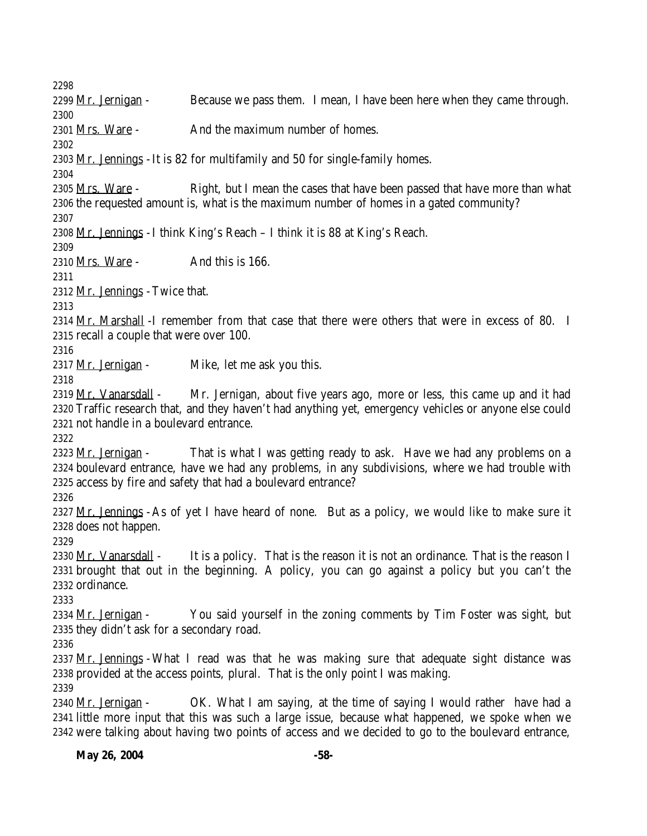2299 Mr. Jernigan - Because we pass them. I mean, I have been here when they came through. 2301 Mrs. Ware - And the maximum number of homes. Mr. Jennings -It is 82 for multifamily and 50 for single-family homes. 2305 Mrs. Ware - Right, but I mean the cases that have been passed that have more than what the requested amount is, what is the maximum number of homes in a gated community? Mr. Jennings -I think King's Reach – I think it is 88 at King's Reach. 2310 Mrs. Ware - And this is 166. Mr. Jennings -Twice that. 2314 Mr. Marshall -I remember from that case that there were others that were in excess of 80. I recall a couple that were over 100. 2317 Mr. Jernigan - Mike, let me ask you this. 2319 Mr. Vanarsdall - Mr. Jernigan, about five years ago, more or less, this came up and it had Traffic research that, and they haven't had anything yet, emergency vehicles or anyone else could not handle in a boulevard entrance. 2323 Mr. Jernigan - That is what I was getting ready to ask. Have we had any problems on a boulevard entrance, have we had any problems, in any subdivisions, where we had trouble with access by fire and safety that had a boulevard entrance? Mr. Jennings -As of yet I have heard of none. But as a policy, we would like to make sure it does not happen. 2330 Mr. Vanarsdall  $\sim$  It is a policy. That is the reason it is not an ordinance. That is the reason I brought that out in the beginning. A policy, you can go against a policy but you can't the ordinance. 2334 Mr. Jernigan - You said yourself in the zoning comments by Tim Foster was sight, but they didn't ask for a secondary road. Mr. Jennings -What I read was that he was making sure that adequate sight distance was provided at the access points, plural. That is the only point I was making. 2340 Mr. Jernigan - CK. What I am saying, at the time of saying I would rather have had a little more input that this was such a large issue, because what happened, we spoke when we were talking about having two points of access and we decided to go to the boulevard entrance,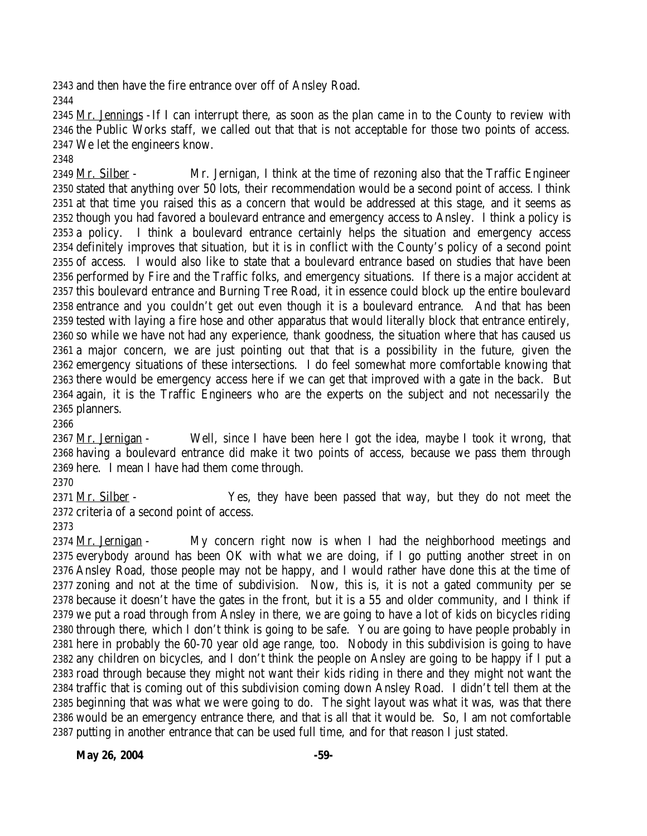and then have the fire entrance over off of Ansley Road.

 Mr. Jennings -If I can interrupt there, as soon as the plan came in to the County to review with the Public Works staff, we called out that that is not acceptable for those two points of access. We let the engineers know.

2349 Mr. Silber - Mr. Jernigan, I think at the time of rezoning also that the Traffic Engineer stated that anything over 50 lots, their recommendation would be a second point of access. I think at that time you raised this as a concern that would be addressed at this stage, and it seems as though you had favored a boulevard entrance and emergency access to Ansley. I think a policy is a policy. I think a boulevard entrance certainly helps the situation and emergency access definitely improves that situation, but it is in conflict with the County's policy of a second point of access. I would also like to state that a boulevard entrance based on studies that have been performed by Fire and the Traffic folks, and emergency situations. If there is a major accident at this boulevard entrance and Burning Tree Road, it in essence could block up the entire boulevard entrance and you couldn't get out even though it is a boulevard entrance. And that has been tested with laying a fire hose and other apparatus that would literally block that entrance entirely, so while we have not had any experience, thank goodness, the situation where that has caused us a major concern, we are just pointing out that that is a possibility in the future, given the emergency situations of these intersections. I do feel somewhat more comfortable knowing that there would be emergency access here if we can get that improved with a gate in the back. But again, it is the Traffic Engineers who are the experts on the subject and not necessarily the planners.

2367 Mr. Jernigan - Well, since I have been here I got the idea, maybe I took it wrong, that having a boulevard entrance did make it two points of access, because we pass them through here. I mean I have had them come through.

2371 Mr. Silber - Yes, they have been passed that way, but they do not meet the criteria of a second point of access.

 Mr. Jernigan - My concern right now is when I had the neighborhood meetings and everybody around has been OK with what we are doing, if I go putting another street in on Ansley Road, those people may not be happy, and I would rather have done this at the time of zoning and not at the time of subdivision. Now, this is, it is not a gated community per se because it doesn't have the gates in the front, but it is a 55 and older community, and I think if we put a road through from Ansley in there, we are going to have a lot of kids on bicycles riding through there, which I don't think is going to be safe. You are going to have people probably in here in probably the 60-70 year old age range, too. Nobody in this subdivision is going to have any children on bicycles, and I don't think the people on Ansley are going to be happy if I put a road through because they might not want their kids riding in there and they might not want the traffic that is coming out of this subdivision coming down Ansley Road. I didn't tell them at the beginning that was what we were going to do. The sight layout was what it was, was that there would be an emergency entrance there, and that is all that it would be. So, I am not comfortable putting in another entrance that can be used full time, and for that reason I just stated.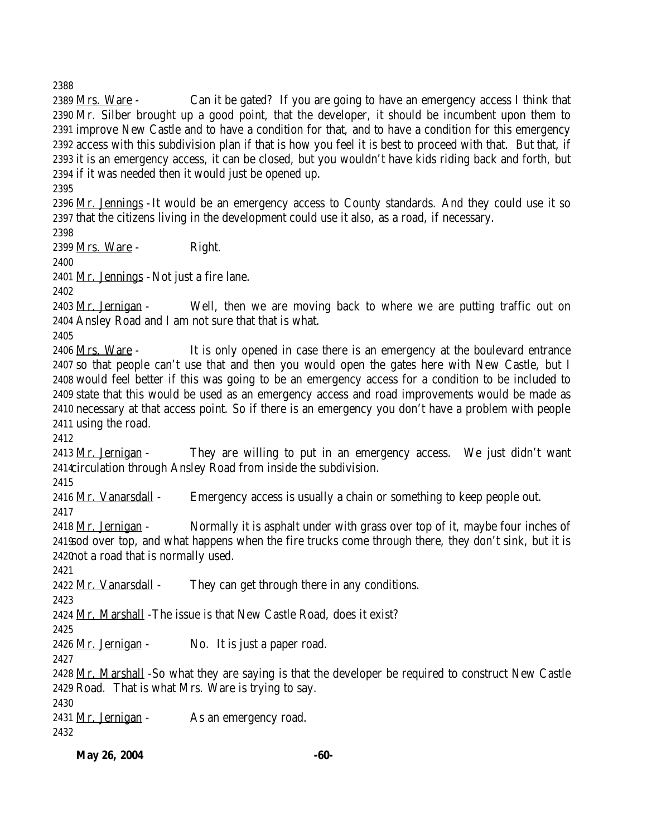Mrs. Ware - Can it be gated? If you are going to have an emergency access I think that Mr. Silber brought up a good point, that the developer, it should be incumbent upon them to improve New Castle and to have a condition for that, and to have a condition for this emergency access with this subdivision plan if that is how you feel it is best to proceed with that. But that, if it is an emergency access, it can be closed, but you wouldn't have kids riding back and forth, but if it was needed then it would just be opened up.

2396  $Mr.$  Jennings - It would be an emergency access to County standards. And they could use it so that the citizens living in the development could use it also, as a road, if necessary.

Mrs. Ware - Right.

Mr. Jennings -Not just a fire lane.

2403 Mr. Jernigan - Well, then we are moving back to where we are putting traffic out on Ansley Road and I am not sure that that is what.

 Mrs. Ware - It is only opened in case there is an emergency at the boulevard entrance so that people can't use that and then you would open the gates here with New Castle, but I would feel better if this was going to be an emergency access for a condition to be included to state that this would be used as an emergency access and road improvements would be made as necessary at that access point. So if there is an emergency you don't have a problem with people using the road.

2413 Mr. Jernigan - They are willing to put in an emergency access. We just didn't want circulation through Ansley Road from inside the subdivision.

Mr. Vanarsdall - Emergency access is usually a chain or something to keep people out.

2418 Mr. Jernigan - Normally it is asphalt under with grass over top of it, maybe four inches of sod over top, and what happens when the fire trucks come through there, they don't sink, but it is not a road that is normally used.

2422 Mr. Vanarsdall - They can get through there in any conditions.

Mr. Marshall -The issue is that New Castle Road, does it exist?

Mr. Jernigan - No. It is just a paper road.

 Mr. Marshall -So what they are saying is that the developer be required to construct New Castle Road. That is what Mrs. Ware is trying to say.

2431 Mr. Jernigan - As an emergency road.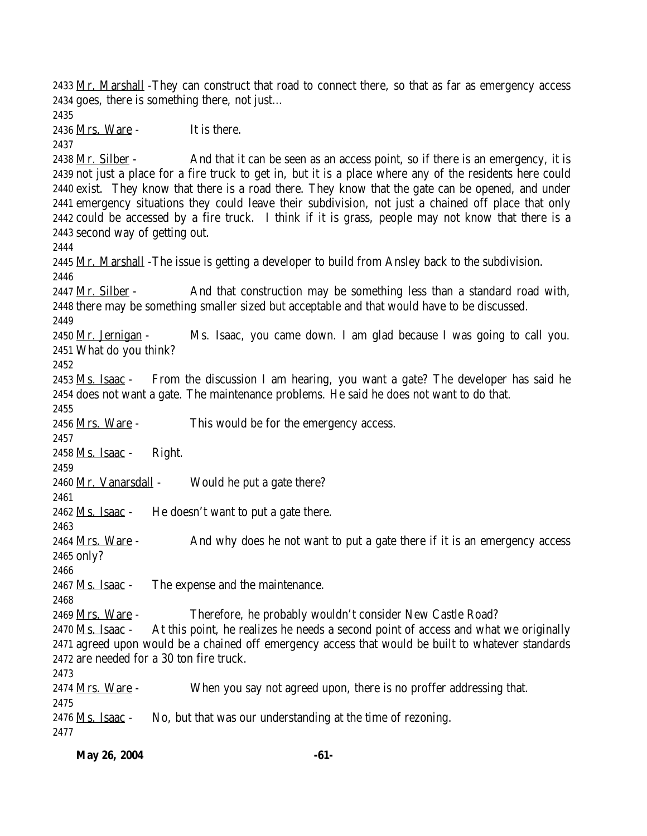2433 Mr. Marshall -They can construct that road to connect there, so that as far as emergency access goes, there is something there, not just… Mrs. Ware - It is there. 2438 Mr. Silber - And that it can be seen as an access point, so if there is an emergency, it is not just a place for a fire truck to get in, but it is a place where any of the residents here could exist. They know that there is a road there. They know that the gate can be opened, and under emergency situations they could leave their subdivision, not just a chained off place that only could be accessed by a fire truck. I think if it is grass, people may not know that there is a second way of getting out. Mr. Marshall -The issue is getting a developer to build from Ansley back to the subdivision. 2447 Mr. Silber - And that construction may be something less than a standard road with, there may be something smaller sized but acceptable and that would have to be discussed. Mr. Jernigan - Ms. Isaac, you came down. I am glad because I was going to call you. What do you think? 2453 Ms. Isaac - From the discussion I am hearing, you want a gate? The developer has said he does not want a gate. The maintenance problems. He said he does not want to do that. 2456 Mrs. Ware - This would be for the emergency access. Ms. Isaac - Right. Mr. Vanarsdall - Would he put a gate there? Ms. Isaac - He doesn't want to put a gate there. 2464 Mrs. Ware - And why does he not want to put a gate there if it is an emergency access only? Ms. Isaac - The expense and the maintenance. Mrs. Ware - Therefore, he probably wouldn't consider New Castle Road? Ms. Isaac - At this point, he realizes he needs a second point of access and what we originally agreed upon would be a chained off emergency access that would be built to whatever standards are needed for a 30 ton fire truck. 2474 <u>Mrs. Ware</u> - When you say not agreed upon, there is no proffer addressing that. Ms. Isaac - No, but that was our understanding at the time of rezoning.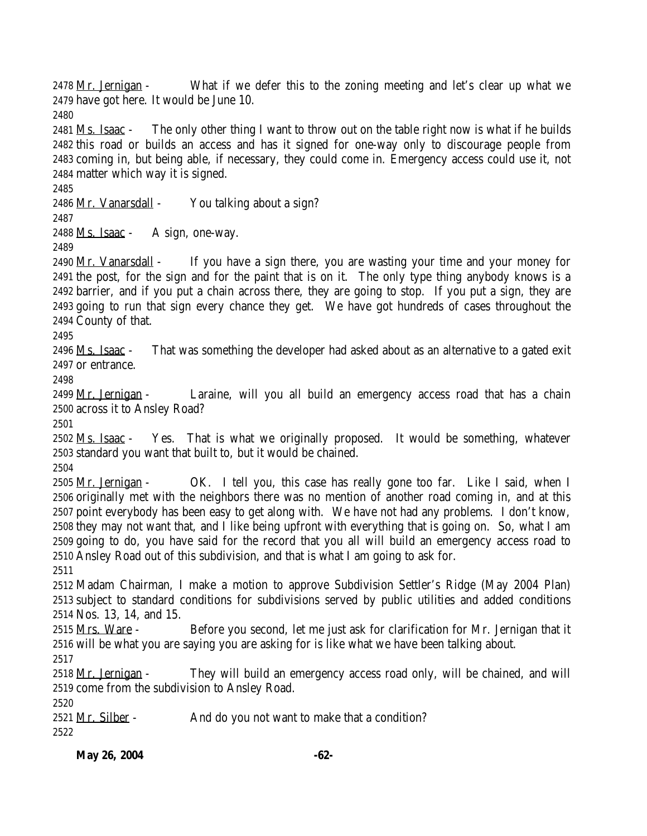2478 Mr. Jernigan - What if we defer this to the zoning meeting and let's clear up what we have got here. It would be June 10.

 Ms. Isaac - The only other thing I want to throw out on the table right now is what if he builds this road or builds an access and has it signed for one-way only to discourage people from coming in, but being able, if necessary, they could come in. Emergency access could use it, not matter which way it is signed.

Mr. Vanarsdall - You talking about a sign?

Ms. Isaac - A sign, one-way.

2490 Mr. Vanarsdall - If you have a sign there, you are wasting your time and your money for the post, for the sign and for the paint that is on it. The only type thing anybody knows is a barrier, and if you put a chain across there, they are going to stop. If you put a sign, they are going to run that sign every chance they get. We have got hundreds of cases throughout the County of that.

 Ms. Isaac - That was something the developer had asked about as an alternative to a gated exit or entrance.

2499 Mr. Jernigan - Laraine, will you all build an emergency access road that has a chain across it to Ansley Road?

 $2502$   $Ms. Isaac - Yes. That is what we originally proposed. It would be something, whatever$ </u> standard you want that built to, but it would be chained.

2505 Mr. Jernigan - CK. I tell you, this case has really gone too far. Like I said, when I originally met with the neighbors there was no mention of another road coming in, and at this point everybody has been easy to get along with. We have not had any problems. I don't know, they may not want that, and I like being upfront with everything that is going on. So, what I am going to do, you have said for the record that you all will build an emergency access road to Ansley Road out of this subdivision, and that is what I am going to ask for.

 Madam Chairman, I make a motion to approve Subdivision Settler's Ridge (May 2004 Plan) subject to standard conditions for subdivisions served by public utilities and added conditions Nos. 13, 14, and 15.

 Mrs. Ware - Before you second, let me just ask for clarification for Mr. Jernigan that it will be what you are saying you are asking for is like what we have been talking about. 

2518 Mr. Jernigan - They will build an emergency access road only, will be chained, and will come from the subdivision to Ansley Road.

2521 Mr. Silber - And do you not want to make that a condition?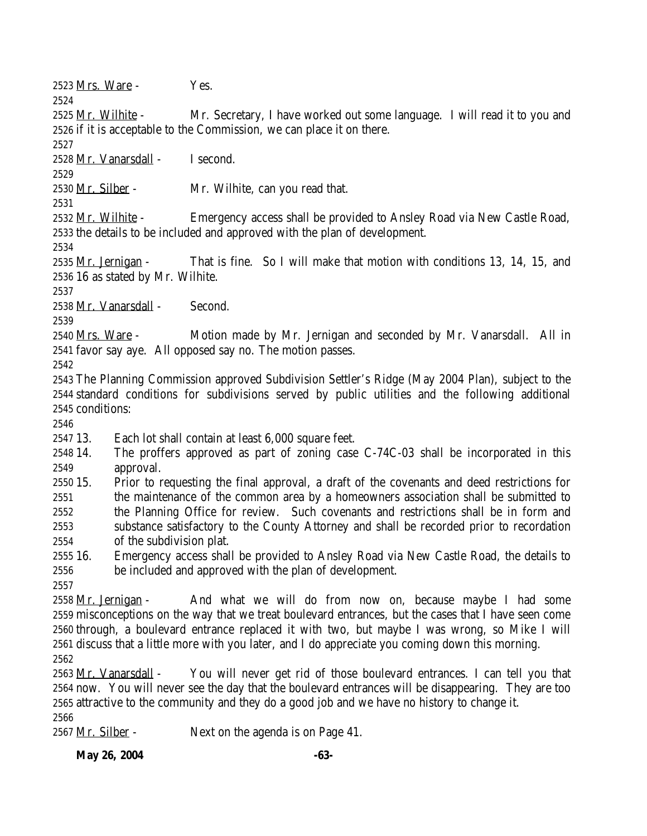Mrs. Ware - Yes.

2525 Mr. Wilhite - Mr. Secretary, I have worked out some language. I will read it to you and if it is acceptable to the Commission, we can place it on there.

Mr. Vanarsdall - I second.

Mr. Silber - Mr. Wilhite, can you read that.

2532 Mr. Wilhite - Emergency access shall be provided to Ansley Road via New Castle Road, the details to be included and approved with the plan of development.

 Mr. Jernigan - That is fine. So I will make that motion with conditions 13, 14, 15, and 16 as stated by Mr. Wilhite.

Mr. Vanarsdall - Second.

 Mrs. Ware - Motion made by Mr. Jernigan and seconded by Mr. Vanarsdall. All in favor say aye. All opposed say no. The motion passes.

 The Planning Commission approved Subdivision Settler's Ridge (May 2004 Plan), subject to the standard conditions for subdivisions served by public utilities and the following additional conditions:

13. Each lot shall contain at least 6,000 square feet.

 14. The proffers approved as part of zoning case C-74C-03 shall be incorporated in this approval.

 15. Prior to requesting the final approval, a draft of the covenants and deed restrictions for the maintenance of the common area by a homeowners association shall be submitted to the Planning Office for review. Such covenants and restrictions shall be in form and substance satisfactory to the County Attorney and shall be recorded prior to recordation of the subdivision plat.

 16. Emergency access shall be provided to Ansley Road via New Castle Road, the details to be included and approved with the plan of development.

 Mr. Jernigan - And what we will do from now on, because maybe I had some misconceptions on the way that we treat boulevard entrances, but the cases that I have seen come through, a boulevard entrance replaced it with two, but maybe I was wrong, so Mike I will discuss that a little more with you later, and I do appreciate you coming down this morning. 

2563 Mr. Vanarsdall - You will never get rid of those boulevard entrances. I can tell you that now. You will never see the day that the boulevard entrances will be disappearing. They are too attractive to the community and they do a good job and we have no history to change it. 

Mr. Silber - Next on the agenda is on Page 41.

**May 26, 2004** -63-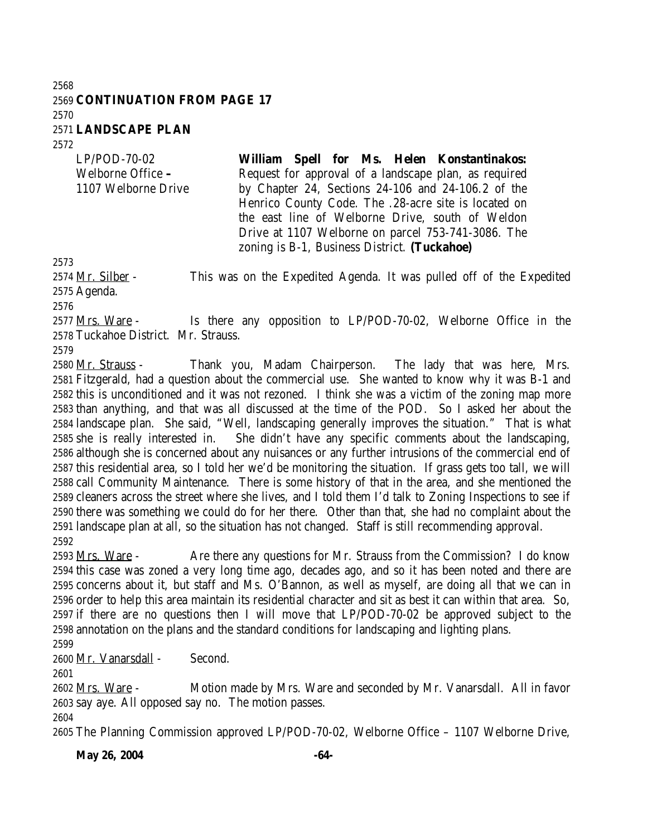#### **CONTINUATION FROM PAGE 17 LANDSCAPE PLAN**

LP/POD-70-02 Welborne Office **–** 1107 Welborne Drive **William Spell for Ms. Helen Konstantinakos:** Request for approval of a landscape plan, as required by Chapter 24, Sections 24-106 and 24-106.2 of the Henrico County Code. The .28-acre site is located on the east line of Welborne Drive, south of Weldon Drive at 1107 Welborne on parcel 753-741-3086. The

zoning is B-1, Business District. **(Tuckahoe)**

2574 Mr. Silber - This was on the Expedited Agenda. It was pulled off of the Expedited Agenda.

2577 <u>Mrs. Ware</u> - Is there any opposition to LP/POD-70-02, Welborne Office in the Tuckahoe District. Mr. Strauss.

 Mr. Strauss - Thank you, Madam Chairperson. The lady that was here, Mrs. Fitzgerald, had a question about the commercial use. She wanted to know why it was B-1 and this is unconditioned and it was not rezoned. I think she was a victim of the zoning map more than anything, and that was all discussed at the time of the POD. So I asked her about the landscape plan. She said, "Well, landscaping generally improves the situation." That is what she is really interested in. She didn't have any specific comments about the landscaping, although she is concerned about any nuisances or any further intrusions of the commercial end of this residential area, so I told her we'd be monitoring the situation. If grass gets too tall, we will call Community Maintenance. There is some history of that in the area, and she mentioned the cleaners across the street where she lives, and I told them I'd talk to Zoning Inspections to see if there was something we could do for her there. Other than that, she had no complaint about the landscape plan at all, so the situation has not changed. Staff is still recommending approval. 

2593 Mrs. Ware - Are there any questions for Mr. Strauss from the Commission? I do know this case was zoned a very long time ago, decades ago, and so it has been noted and there are concerns about it, but staff and Ms. O'Bannon, as well as myself, are doing all that we can in order to help this area maintain its residential character and sit as best it can within that area. So, if there are no questions then I will move that LP/POD-70-02 be approved subject to the annotation on the plans and the standard conditions for landscaping and lighting plans.

Mr. Vanarsdall - Second.

2602 Mrs. Ware - Motion made by Mrs. Ware and seconded by Mr. Vanarsdall. All in favor

say aye. All opposed say no. The motion passes.

The Planning Commission approved LP/POD-70-02, Welborne Office – 1107 Welborne Drive,

**May 26, 2004** -64-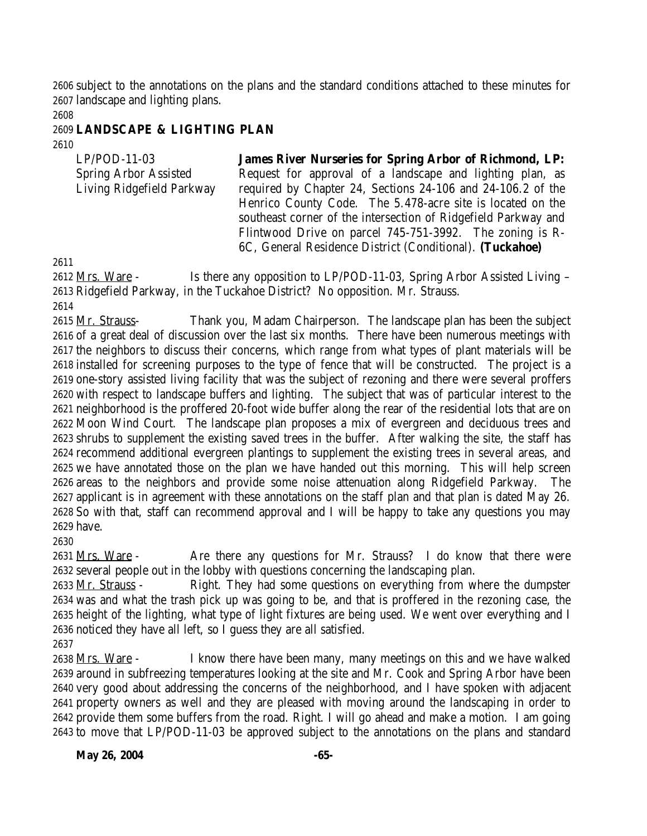subject to the annotations on the plans and the standard conditions attached to these minutes for landscape and lighting plans.

### **LANDSCAPE & LIGHTING PLAN**

| $LP/POD-11-03$               | <b>James River Nurseries for Spring Arbor of Richmond, LP:</b> |
|------------------------------|----------------------------------------------------------------|
| <b>Spring Arbor Assisted</b> | Request for approval of a landscape and lighting plan, as      |
| Living Ridgefield Parkway    | required by Chapter 24, Sections 24-106 and 24-106.2 of the    |
|                              | Henrico County Code. The 5.478-acre site is located on the     |
|                              | southeast corner of the intersection of Ridgefield Parkway and |
|                              | Flintwood Drive on parcel 745-751-3992. The zoning is R-       |
|                              | 6C, General Residence District (Conditional). (Tuckahoe)       |

2612 Mrs. Ware - Is there any opposition to LP/POD-11-03, Spring Arbor Assisted Living – Ridgefield Parkway, in the Tuckahoe District? No opposition. Mr. Strauss.

2615 Mr. Strauss- Thank you, Madam Chairperson. The landscape plan has been the subject of a great deal of discussion over the last six months. There have been numerous meetings with the neighbors to discuss their concerns, which range from what types of plant materials will be installed for screening purposes to the type of fence that will be constructed. The project is a one-story assisted living facility that was the subject of rezoning and there were several proffers with respect to landscape buffers and lighting. The subject that was of particular interest to the neighborhood is the proffered 20-foot wide buffer along the rear of the residential lots that are on Moon Wind Court. The landscape plan proposes a mix of evergreen and deciduous trees and shrubs to supplement the existing saved trees in the buffer. After walking the site, the staff has recommend additional evergreen plantings to supplement the existing trees in several areas, and we have annotated those on the plan we have handed out this morning. This will help screen areas to the neighbors and provide some noise attenuation along Ridgefield Parkway. The applicant is in agreement with these annotations on the staff plan and that plan is dated May 26. So with that, staff can recommend approval and I will be happy to take any questions you may have.

2631 Mrs. Ware - Are there any questions for Mr. Strauss? I do know that there were several people out in the lobby with questions concerning the landscaping plan.

2633 Mr. Strauss - Right. They had some questions on everything from where the dumpster was and what the trash pick up was going to be, and that is proffered in the rezoning case, the height of the lighting, what type of light fixtures are being used. We went over everything and I noticed they have all left, so I guess they are all satisfied.

 Mrs. Ware - I know there have been many, many meetings on this and we have walked around in subfreezing temperatures looking at the site and Mr. Cook and Spring Arbor have been very good about addressing the concerns of the neighborhood, and I have spoken with adjacent property owners as well and they are pleased with moving around the landscaping in order to provide them some buffers from the road. Right. I will go ahead and make a motion. I am going to move that LP/POD-11-03 be approved subject to the annotations on the plans and standard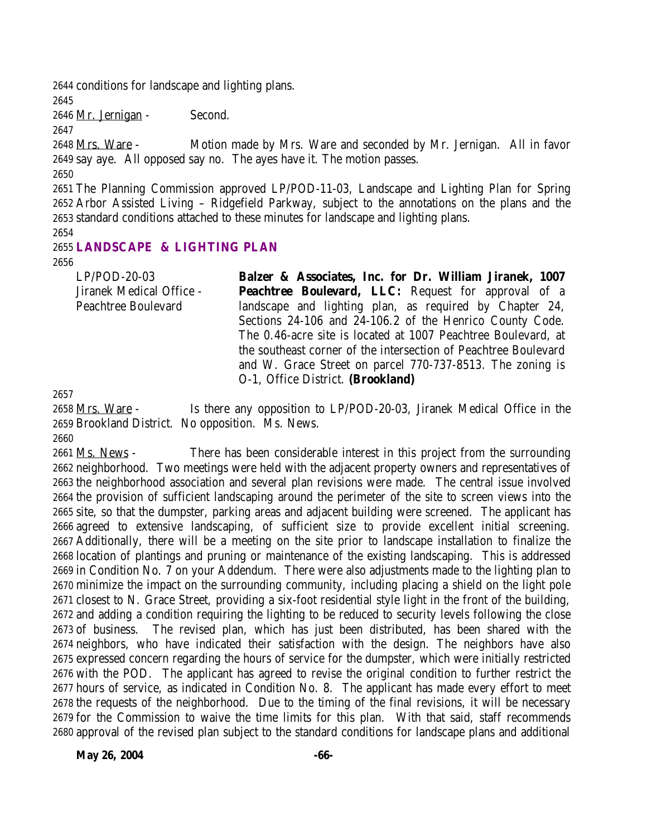conditions for landscape and lighting plans.

Mr. Jernigan - Second.

 Mrs. Ware - Motion made by Mrs. Ware and seconded by Mr. Jernigan. All in favor say aye. All opposed say no. The ayes have it. The motion passes.

 The Planning Commission approved LP/POD-11-03, Landscape and Lighting Plan for Spring Arbor Assisted Living – Ridgefield Parkway, subject to the annotations on the plans and the standard conditions attached to these minutes for landscape and lighting plans.

## **LANDSCAPE & LIGHTING PLAN**

LP/POD-20-03 Jiranek Medical Office - Peachtree Boulevard **Balzer & Associates, Inc. for Dr. William Jiranek, 1007 Peachtree Boulevard, LLC:** Request for approval of a landscape and lighting plan, as required by Chapter 24, Sections 24-106 and 24-106.2 of the Henrico County Code. The 0.46-acre site is located at 1007 Peachtree Boulevard, at the southeast corner of the intersection of Peachtree Boulevard and W. Grace Street on parcel 770-737-8513. The zoning is O-1, Office District. **(Brookland)**

 Mrs. Ware - Is there any opposition to LP/POD-20-03, Jiranek Medical Office in the Brookland District. No opposition. Ms. News.

 Ms. News - There has been considerable interest in this project from the surrounding neighborhood. Two meetings were held with the adjacent property owners and representatives of the neighborhood association and several plan revisions were made. The central issue involved the provision of sufficient landscaping around the perimeter of the site to screen views into the site, so that the dumpster, parking areas and adjacent building were screened. The applicant has agreed to extensive landscaping, of sufficient size to provide excellent initial screening. Additionally, there will be a meeting on the site prior to landscape installation to finalize the location of plantings and pruning or maintenance of the existing landscaping. This is addressed in Condition No. 7 on your Addendum. There were also adjustments made to the lighting plan to minimize the impact on the surrounding community, including placing a shield on the light pole closest to N. Grace Street, providing a six-foot residential style light in the front of the building, and adding a condition requiring the lighting to be reduced to security levels following the close of business. The revised plan, which has just been distributed, has been shared with the neighbors, who have indicated their satisfaction with the design. The neighbors have also expressed concern regarding the hours of service for the dumpster, which were initially restricted with the POD. The applicant has agreed to revise the original condition to further restrict the hours of service, as indicated in Condition No. 8. The applicant has made every effort to meet the requests of the neighborhood. Due to the timing of the final revisions, it will be necessary for the Commission to waive the time limits for this plan. With that said, staff recommends approval of the revised plan subject to the standard conditions for landscape plans and additional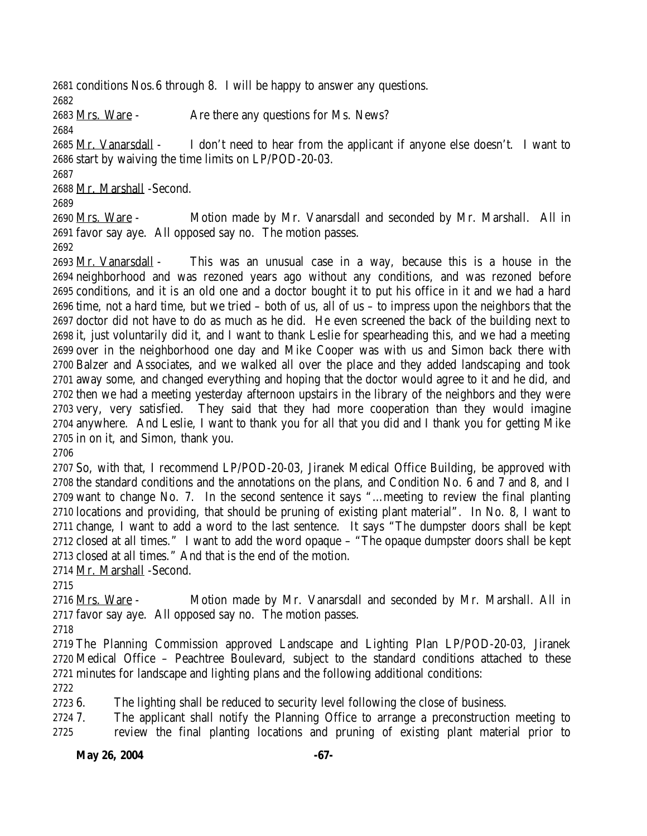conditions Nos.6 through 8. I will be happy to answer any questions.

2683 Mrs. Ware - Are there any questions for Ms. News?

2685 Mr. Vanarsdall - I don't need to hear from the applicant if anyone else doesn't. I want to start by waiving the time limits on LP/POD-20-03.

Mr. Marshall -Second.

 Mrs. Ware - Motion made by Mr. Vanarsdall and seconded by Mr. Marshall. All in favor say aye. All opposed say no. The motion passes.

 Mr. Vanarsdall - This was an unusual case in a way, because this is a house in the neighborhood and was rezoned years ago without any conditions, and was rezoned before conditions, and it is an old one and a doctor bought it to put his office in it and we had a hard time, not a hard time, but we tried – both of us, all of us – to impress upon the neighbors that the doctor did not have to do as much as he did. He even screened the back of the building next to it, just voluntarily did it, and I want to thank Leslie for spearheading this, and we had a meeting over in the neighborhood one day and Mike Cooper was with us and Simon back there with Balzer and Associates, and we walked all over the place and they added landscaping and took away some, and changed everything and hoping that the doctor would agree to it and he did, and then we had a meeting yesterday afternoon upstairs in the library of the neighbors and they were very, very satisfied. They said that they had more cooperation than they would imagine anywhere. And Leslie, I want to thank you for all that you did and I thank you for getting Mike in on it, and Simon, thank you.

 So, with that, I recommend LP/POD-20-03, Jiranek Medical Office Building, be approved with the standard conditions and the annotations on the plans, and Condition No. 6 and 7 and 8, and I want to change No. 7. In the second sentence it says "…meeting to review the final planting locations and providing, that should be pruning of existing plant material". In No. 8, I want to change, I want to add a word to the last sentence. It says "The dumpster doors shall be kept closed at all times." I want to add the word opaque – "The opaque dumpster doors shall be kept closed at all times." And that is the end of the motion.

Mr. Marshall -Second.

2716 Mrs. Ware - Motion made by Mr. Vanarsdall and seconded by Mr. Marshall. All in favor say aye. All opposed say no. The motion passes.

 The Planning Commission approved Landscape and Lighting Plan LP/POD-20-03, Jiranek Medical Office – Peachtree Boulevard, subject to the standard conditions attached to these minutes for landscape and lighting plans and the following additional conditions:

6. The lighting shall be reduced to security level following the close of business.

 7. The applicant shall notify the Planning Office to arrange a preconstruction meeting to review the final planting locations and pruning of existing plant material prior to

**May 26, 2004** -67-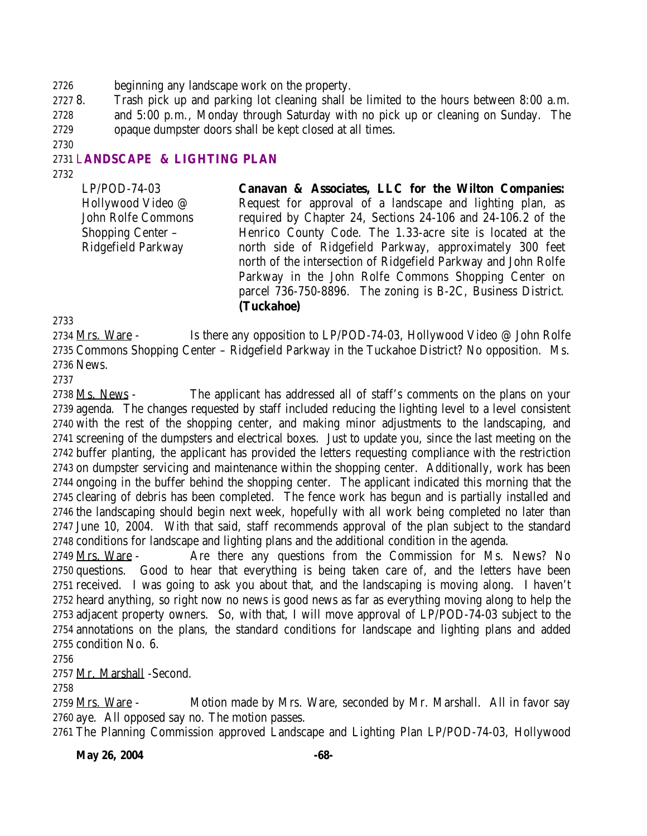beginning any landscape work on the property.

 8. Trash pick up and parking lot cleaning shall be limited to the hours between 8:00 a.m. and 5:00 p.m., Monday through Saturday with no pick up or cleaning on Sunday. The opaque dumpster doors shall be kept closed at all times.

## L**ANDSCAPE & LIGHTING PLAN**

LP/POD-74-03 Hollywood Video @ John Rolfe Commons Shopping Center – Ridgefield Parkway **Canavan & Associates, LLC for the Wilton Companies:** Request for approval of a landscape and lighting plan, as required by Chapter 24, Sections 24-106 and 24-106.2 of the Henrico County Code. The 1.33-acre site is located at the north side of Ridgefield Parkway, approximately 300 feet north of the intersection of Ridgefield Parkway and John Rolfe Parkway in the John Rolfe Commons Shopping Center on parcel 736-750-8896. The zoning is B-2C, Business District. **(Tuckahoe)**

2734 Mrs. Ware - Is there any opposition to LP/POD-74-03, Hollywood Video @ John Rolfe Commons Shopping Center – Ridgefield Parkway in the Tuckahoe District? No opposition. Ms. News.

2738 Ms. News - The applicant has addressed all of staff's comments on the plans on your agenda. The changes requested by staff included reducing the lighting level to a level consistent with the rest of the shopping center, and making minor adjustments to the landscaping, and screening of the dumpsters and electrical boxes. Just to update you, since the last meeting on the buffer planting, the applicant has provided the letters requesting compliance with the restriction on dumpster servicing and maintenance within the shopping center. Additionally, work has been ongoing in the buffer behind the shopping center. The applicant indicated this morning that the clearing of debris has been completed. The fence work has begun and is partially installed and the landscaping should begin next week, hopefully with all work being completed no later than June 10, 2004. With that said, staff recommends approval of the plan subject to the standard conditions for landscape and lighting plans and the additional condition in the agenda.

2749 Mrs. Ware - Are there any questions from the Commission for Ms. News? No questions. Good to hear that everything is being taken care of, and the letters have been received. I was going to ask you about that, and the landscaping is moving along. I haven't heard anything, so right now no news is good news as far as everything moving along to help the adjacent property owners. So, with that, I will move approval of LP/POD-74-03 subject to the annotations on the plans, the standard conditions for landscape and lighting plans and added condition No. 6.

Mr. Marshall -Second.

 Mrs. Ware - Motion made by Mrs. Ware, seconded by Mr. Marshall. All in favor say aye. All opposed say no. The motion passes.

The Planning Commission approved Landscape and Lighting Plan LP/POD-74-03, Hollywood

**May 26, 2004** -68-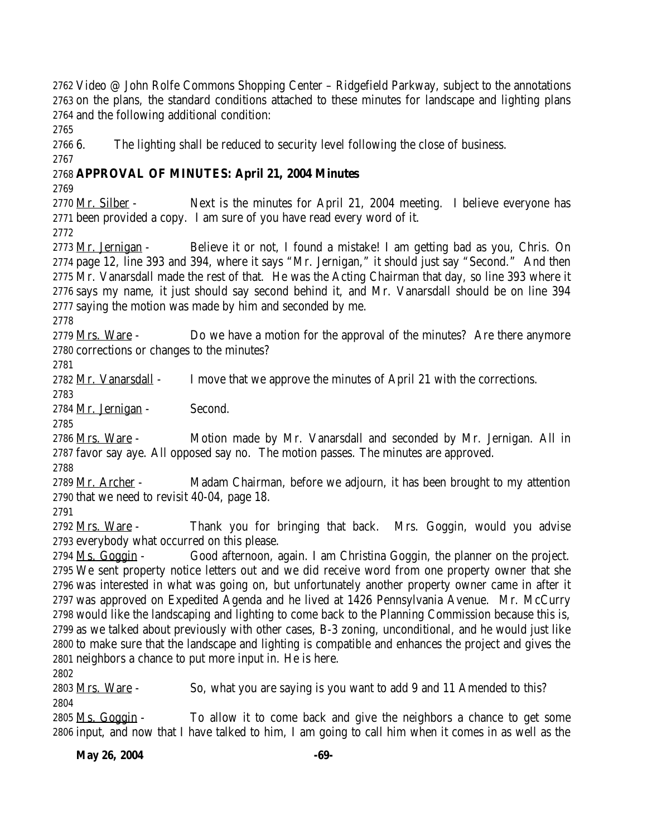Video @ John Rolfe Commons Shopping Center – Ridgefield Parkway, subject to the annotations on the plans, the standard conditions attached to these minutes for landscape and lighting plans and the following additional condition:

6. The lighting shall be reduced to security level following the close of business.

# **APPROVAL OF MINUTES: April 21, 2004 Minutes**

 Mr. Silber - Next is the minutes for April 21, 2004 meeting. I believe everyone has been provided a copy. I am sure of you have read every word of it.

 Mr. Jernigan - Believe it or not, I found a mistake! I am getting bad as you, Chris. On page 12, line 393 and 394, where it says "Mr. Jernigan," it should just say "Second." And then Mr. Vanarsdall made the rest of that. He was the Acting Chairman that day, so line 393 where it says my name, it just should say second behind it, and Mr. Vanarsdall should be on line 394 saying the motion was made by him and seconded by me.

2779 Mrs. Ware - Do we have a motion for the approval of the minutes? Are there anymore corrections or changes to the minutes?

2782 Mr. Vanarsdall - I move that we approve the minutes of April 21 with the corrections.

Mr. Jernigan - Second.

2786 Mrs. Ware - Motion made by Mr. Vanarsdall and seconded by Mr. Jernigan. All in favor say aye. All opposed say no. The motion passes. The minutes are approved.

2789 Mr. Archer - Madam Chairman, before we adjourn, it has been brought to my attention that we need to revisit 40-04, page 18.

2792 Mrs. Ware - Thank you for bringing that back. Mrs. Goggin, would you advise everybody what occurred on this please.

 Ms. Goggin - Good afternoon, again. I am Christina Goggin, the planner on the project. We sent property notice letters out and we did receive word from one property owner that she was interested in what was going on, but unfortunately another property owner came in after it was approved on Expedited Agenda and he lived at 1426 Pennsylvania Avenue. Mr. McCurry would like the landscaping and lighting to come back to the Planning Commission because this is, as we talked about previously with other cases, B-3 zoning, unconditional, and he would just like to make sure that the landscape and lighting is compatible and enhances the project and gives the neighbors a chance to put more input in. He is here.

2803 <u>Mrs. Ware</u> - So, what you are saying is you want to add 9 and 11 Amended to this? 

2805 Ms. Goggin - To allow it to come back and give the neighbors a chance to get some input, and now that I have talked to him, I am going to call him when it comes in as well as the

**May 26, 2004** -69-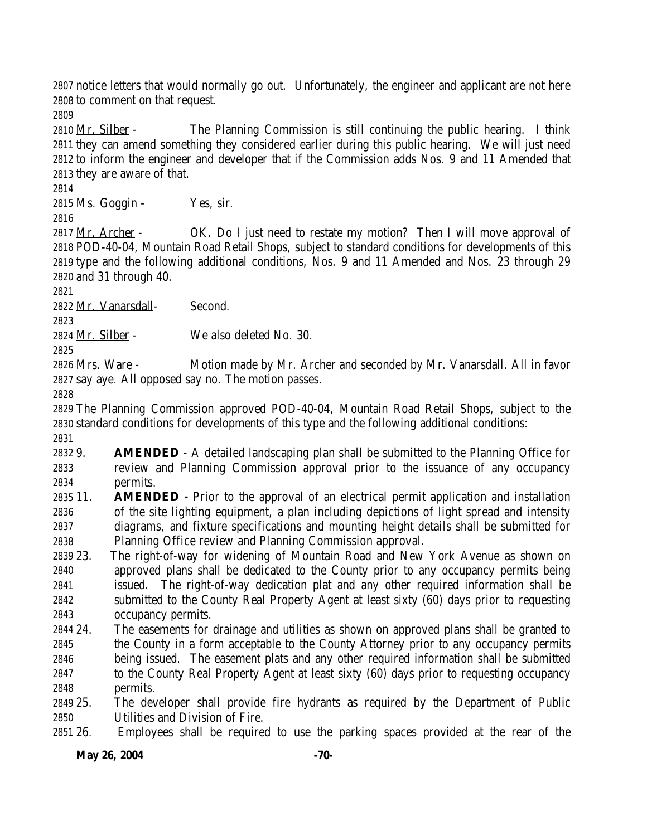notice letters that would normally go out. Unfortunately, the engineer and applicant are not here to comment on that request.

 Mr. Silber - The Planning Commission is still continuing the public hearing. I think they can amend something they considered earlier during this public hearing. We will just need to inform the engineer and developer that if the Commission adds Nos. 9 and 11 Amended that they are aware of that.

Ms. Goggin - Yes, sir.

2817 Mr. Archer - OK. Do I just need to restate my motion? Then I will move approval of POD-40-04, Mountain Road Retail Shops, subject to standard conditions for developments of this type and the following additional conditions, Nos. 9 and 11 Amended and Nos. 23 through 29 and 31 through 40.

Mr. Vanarsdall- Second.

Mr. Silber - We also deleted No. 30.

 Mrs. Ware - Motion made by Mr. Archer and seconded by Mr. Vanarsdall. All in favor say aye. All opposed say no. The motion passes.

 The Planning Commission approved POD-40-04, Mountain Road Retail Shops, subject to the standard conditions for developments of this type and the following additional conditions:

 9. **AMENDED** - A detailed landscaping plan shall be submitted to the Planning Office for review and Planning Commission approval prior to the issuance of any occupancy permits.

 11. **AMENDED -** Prior to the approval of an electrical permit application and installation of the site lighting equipment, a plan including depictions of light spread and intensity diagrams, and fixture specifications and mounting height details shall be submitted for Planning Office review and Planning Commission approval.

 23. The right-of-way for widening of Mountain Road and New York Avenue as shown on approved plans shall be dedicated to the County prior to any occupancy permits being issued. The right-of-way dedication plat and any other required information shall be submitted to the County Real Property Agent at least sixty (60) days prior to requesting occupancy permits.

 24. The easements for drainage and utilities as shown on approved plans shall be granted to the County in a form acceptable to the County Attorney prior to any occupancy permits being issued. The easement plats and any other required information shall be submitted to the County Real Property Agent at least sixty (60) days prior to requesting occupancy permits.

 25. The developer shall provide fire hydrants as required by the Department of Public Utilities and Division of Fire.

26. Employees shall be required to use the parking spaces provided at the rear of the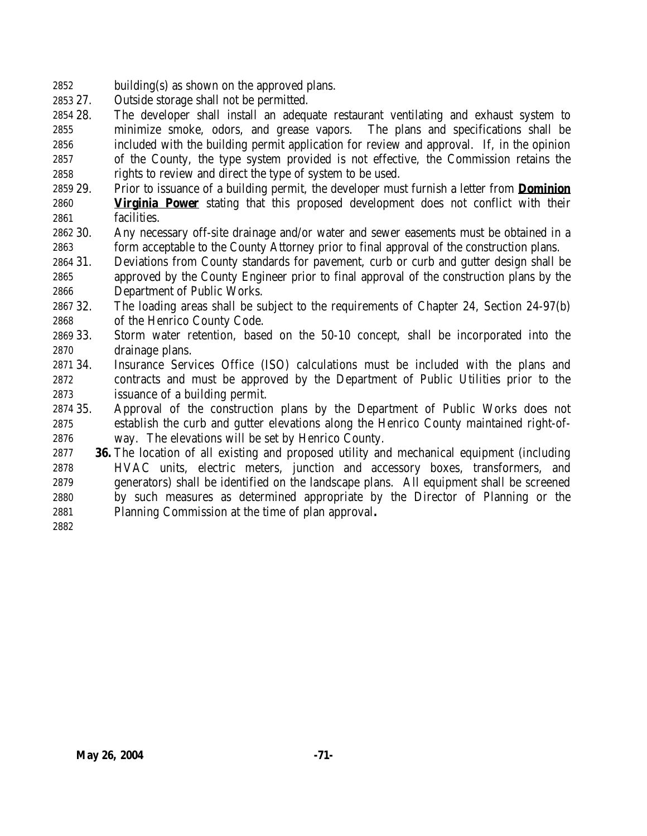- building(s) as shown on the approved plans.
- 27. Outside storage shall not be permitted.
- 28. The developer shall install an adequate restaurant ventilating and exhaust system to minimize smoke, odors, and grease vapors. The plans and specifications shall be included with the building permit application for review and approval. If, in the opinion of the County, the type system provided is not effective, the Commission retains the rights to review and direct the type of system to be used.
- 29. Prior to issuance of a building permit, the developer must furnish a letter from **Dominion Virginia Power** stating that this proposed development does not conflict with their facilities.
- 30. Any necessary off-site drainage and/or water and sewer easements must be obtained in a form acceptable to the County Attorney prior to final approval of the construction plans.
- 31. Deviations from County standards for pavement, curb or curb and gutter design shall be approved by the County Engineer prior to final approval of the construction plans by the Department of Public Works.
- 32. The loading areas shall be subject to the requirements of Chapter 24, Section 24-97(b) of the Henrico County Code.
- 33. Storm water retention, based on the 50-10 concept, shall be incorporated into the drainage plans.
- 34. Insurance Services Office (ISO) calculations must be included with the plans and contracts and must be approved by the Department of Public Utilities prior to the issuance of a building permit.
- 35. Approval of the construction plans by the Department of Public Works does not establish the curb and gutter elevations along the Henrico County maintained right-of-way. The elevations will be set by Henrico County.
- **36.** The location of all existing and proposed utility and mechanical equipment (including HVAC units, electric meters, junction and accessory boxes, transformers, and generators) shall be identified on the landscape plans. All equipment shall be screened by such measures as determined appropriate by the Director of Planning or the Planning Commission at the time of plan approval**.**
-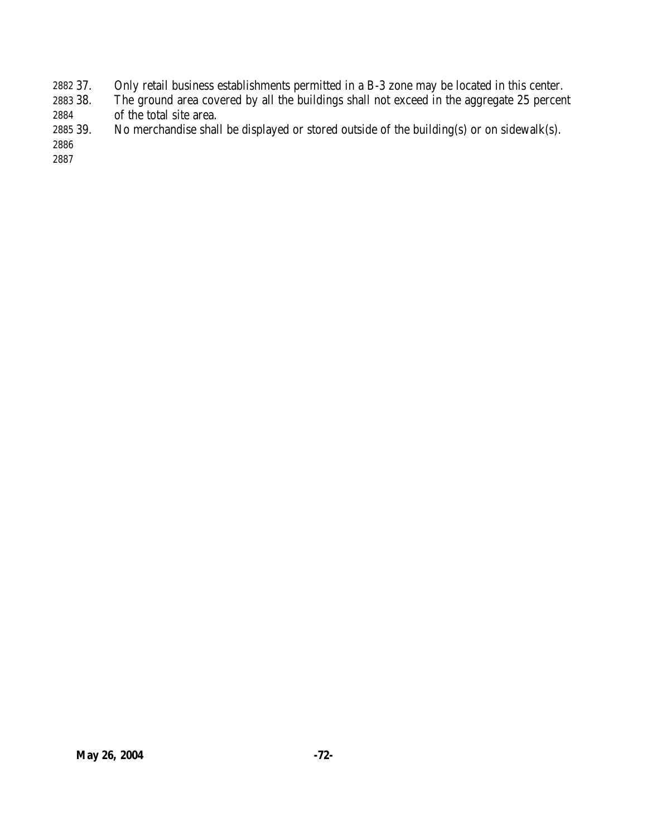- 37. Only retail business establishments permitted in a B-3 zone may be located in this center.
- 38. The ground area covered by all the buildings shall not exceed in the aggregate 25 percent of the total site area.
- 39. No merchandise shall be displayed or stored outside of the building(s) or on sidewalk(s).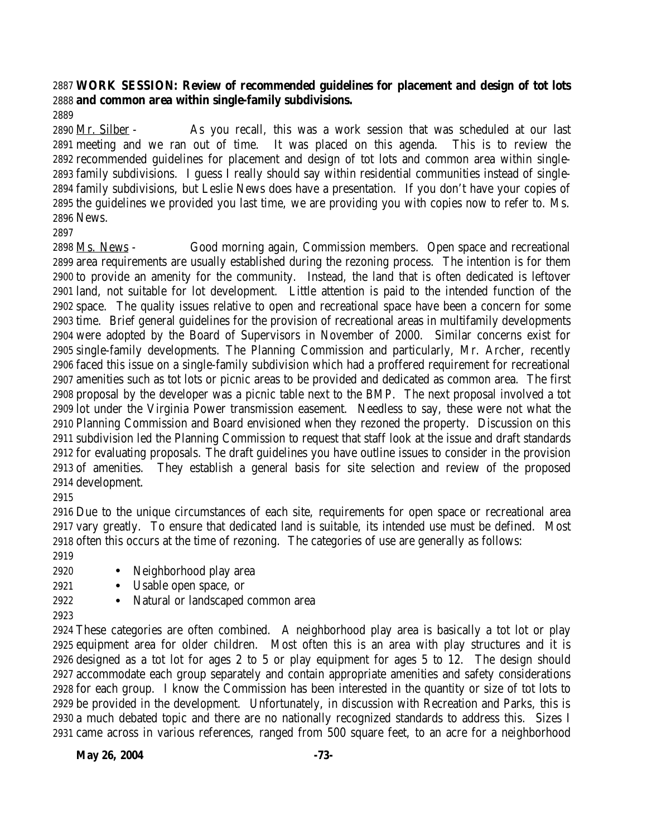## **WORK SESSION: Review of recommended guidelines for placement and design of tot lots and common area within single-family subdivisions.**

 Mr. Silber - As you recall, this was a work session that was scheduled at our last meeting and we ran out of time. It was placed on this agenda. This is to review the recommended guidelines for placement and design of tot lots and common area within single- family subdivisions. I guess I really should say within residential communities instead of single- family subdivisions, but Leslie News does have a presentation. If you don't have your copies of the guidelines we provided you last time, we are providing you with copies now to refer to. Ms. News.

 Ms. News - Good morning again, Commission members. Open space and recreational area requirements are usually established during the rezoning process. The intention is for them to provide an amenity for the community. Instead, the land that is often dedicated is leftover land, not suitable for lot development. Little attention is paid to the intended function of the space. The quality issues relative to open and recreational space have been a concern for some time. Brief general guidelines for the provision of recreational areas in multifamily developments were adopted by the Board of Supervisors in November of 2000. Similar concerns exist for single-family developments. The Planning Commission and particularly, Mr. Archer, recently faced this issue on a single-family subdivision which had a proffered requirement for recreational amenities such as tot lots or picnic areas to be provided and dedicated as common area. The first proposal by the developer was a picnic table next to the BMP. The next proposal involved a tot lot under the Virginia Power transmission easement. Needless to say, these were not what the Planning Commission and Board envisioned when they rezoned the property. Discussion on this subdivision led the Planning Commission to request that staff look at the issue and draft standards for evaluating proposals. The draft guidelines you have outline issues to consider in the provision of amenities. They establish a general basis for site selection and review of the proposed development.

 Due to the unique circumstances of each site, requirements for open space or recreational area vary greatly. To ensure that dedicated land is suitable, its intended use must be defined. Most often this occurs at the time of rezoning. The categories of use are generally as follows:

- 
- Neighborhood play area
- Usable open space, or
- Natural or landscaped common area
- 

 These categories are often combined. A neighborhood play area is basically a tot lot or play equipment area for older children. Most often this is an area with play structures and it is designed as a tot lot for ages 2 to 5 or play equipment for ages 5 to 12. The design should accommodate each group separately and contain appropriate amenities and safety considerations for each group. I know the Commission has been interested in the quantity or size of tot lots to be provided in the development. Unfortunately, in discussion with Recreation and Parks, this is a much debated topic and there are no nationally recognized standards to address this. Sizes I came across in various references, ranged from 500 square feet, to an acre for a neighborhood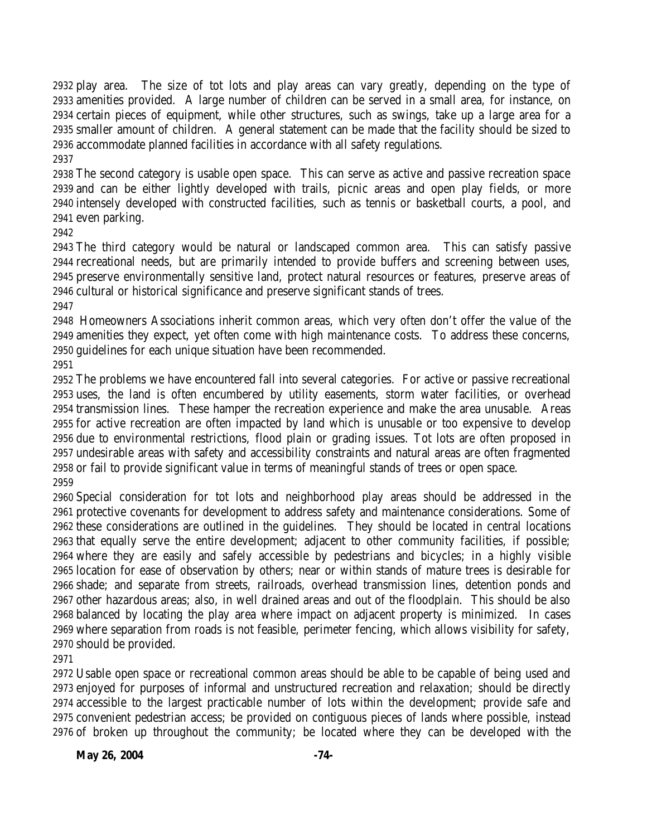play area. The size of tot lots and play areas can vary greatly, depending on the type of amenities provided. A large number of children can be served in a small area, for instance, on certain pieces of equipment, while other structures, such as swings, take up a large area for a smaller amount of children. A general statement can be made that the facility should be sized to accommodate planned facilities in accordance with all safety regulations. 

 The second category is usable open space. This can serve as active and passive recreation space and can be either lightly developed with trails, picnic areas and open play fields, or more intensely developed with constructed facilities, such as tennis or basketball courts, a pool, and even parking.

 The third category would be natural or landscaped common area. This can satisfy passive recreational needs, but are primarily intended to provide buffers and screening between uses, preserve environmentally sensitive land, protect natural resources or features, preserve areas of cultural or historical significance and preserve significant stands of trees.

 Homeowners Associations inherit common areas, which very often don't offer the value of the amenities they expect, yet often come with high maintenance costs. To address these concerns, guidelines for each unique situation have been recommended.

 The problems we have encountered fall into several categories. For active or passive recreational uses, the land is often encumbered by utility easements, storm water facilities, or overhead transmission lines. These hamper the recreation experience and make the area unusable. Areas for active recreation are often impacted by land which is unusable or too expensive to develop due to environmental restrictions, flood plain or grading issues. Tot lots are often proposed in undesirable areas with safety and accessibility constraints and natural areas are often fragmented or fail to provide significant value in terms of meaningful stands of trees or open space. 

 Special consideration for tot lots and neighborhood play areas should be addressed in the protective covenants for development to address safety and maintenance considerations. Some of these considerations are outlined in the guidelines. They should be located in central locations that equally serve the entire development; adjacent to other community facilities, if possible; where they are easily and safely accessible by pedestrians and bicycles; in a highly visible location for ease of observation by others; near or within stands of mature trees is desirable for shade; and separate from streets, railroads, overhead transmission lines, detention ponds and other hazardous areas; also, in well drained areas and out of the floodplain. This should be also balanced by locating the play area where impact on adjacent property is minimized. In cases where separation from roads is not feasible, perimeter fencing, which allows visibility for safety, should be provided.

 Usable open space or recreational common areas should be able to be capable of being used and enjoyed for purposes of informal and unstructured recreation and relaxation; should be directly accessible to the largest practicable number of lots within the development; provide safe and convenient pedestrian access; be provided on contiguous pieces of lands where possible, instead of broken up throughout the community; be located where they can be developed with the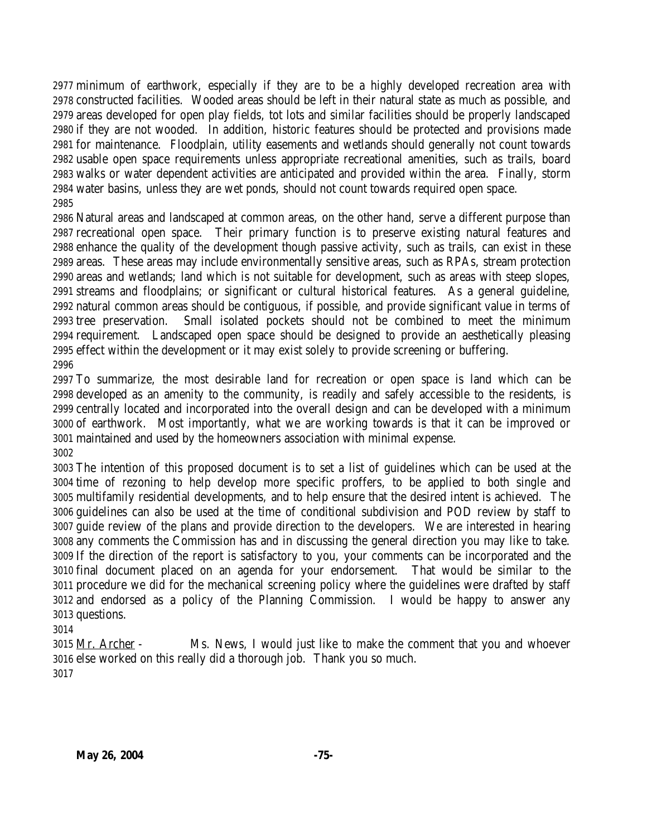minimum of earthwork, especially if they are to be a highly developed recreation area with constructed facilities. Wooded areas should be left in their natural state as much as possible, and areas developed for open play fields, tot lots and similar facilities should be properly landscaped if they are not wooded. In addition, historic features should be protected and provisions made for maintenance. Floodplain, utility easements and wetlands should generally not count towards usable open space requirements unless appropriate recreational amenities, such as trails, board walks or water dependent activities are anticipated and provided within the area. Finally, storm water basins, unless they are wet ponds, should not count towards required open space. 

 Natural areas and landscaped at common areas, on the other hand, serve a different purpose than recreational open space. Their primary function is to preserve existing natural features and enhance the quality of the development though passive activity, such as trails, can exist in these areas. These areas may include environmentally sensitive areas, such as RPAs, stream protection areas and wetlands; land which is not suitable for development, such as areas with steep slopes, streams and floodplains; or significant or cultural historical features. As a general guideline, natural common areas should be contiguous, if possible, and provide significant value in terms of tree preservation. Small isolated pockets should not be combined to meet the minimum requirement. Landscaped open space should be designed to provide an aesthetically pleasing effect within the development or it may exist solely to provide screening or buffering. 

 To summarize, the most desirable land for recreation or open space is land which can be developed as an amenity to the community, is readily and safely accessible to the residents, is centrally located and incorporated into the overall design and can be developed with a minimum of earthwork. Most importantly, what we are working towards is that it can be improved or maintained and used by the homeowners association with minimal expense. 

 The intention of this proposed document is to set a list of guidelines which can be used at the time of rezoning to help develop more specific proffers, to be applied to both single and multifamily residential developments, and to help ensure that the desired intent is achieved. The guidelines can also be used at the time of conditional subdivision and POD review by staff to guide review of the plans and provide direction to the developers. We are interested in hearing any comments the Commission has and in discussing the general direction you may like to take. If the direction of the report is satisfactory to you, your comments can be incorporated and the final document placed on an agenda for your endorsement. That would be similar to the procedure we did for the mechanical screening policy where the guidelines were drafted by staff and endorsed as a policy of the Planning Commission. I would be happy to answer any questions.

## 

3015 Mr. Archer - Ms. News, I would just like to make the comment that you and whoever else worked on this really did a thorough job. Thank you so much.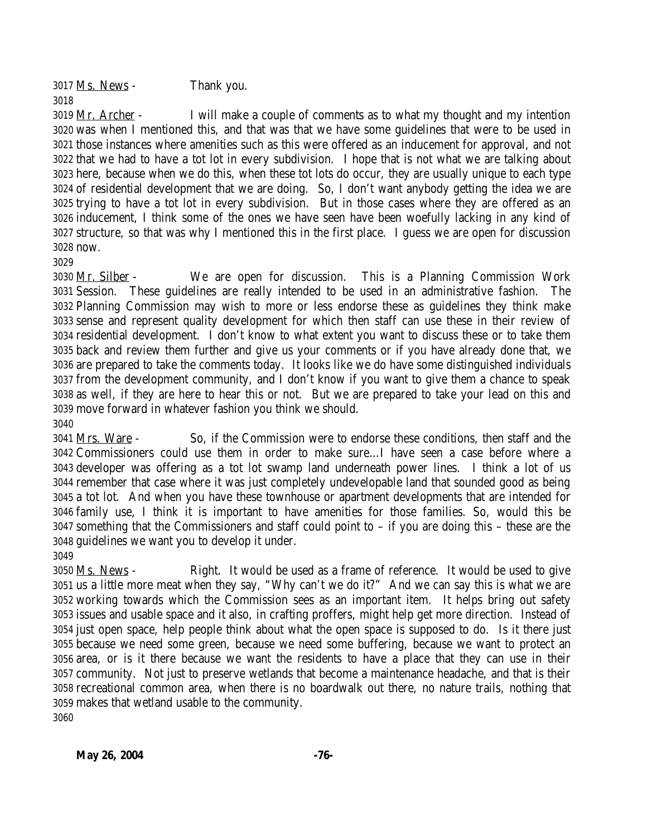Ms. News - Thank you.

 Mr. Archer - I will make a couple of comments as to what my thought and my intention was when I mentioned this, and that was that we have some guidelines that were to be used in those instances where amenities such as this were offered as an inducement for approval, and not that we had to have a tot lot in every subdivision. I hope that is not what we are talking about here, because when we do this, when these tot lots do occur, they are usually unique to each type of residential development that we are doing. So, I don't want anybody getting the idea we are trying to have a tot lot in every subdivision. But in those cases where they are offered as an inducement, I think some of the ones we have seen have been woefully lacking in any kind of structure, so that was why I mentioned this in the first place. I guess we are open for discussion now.

 Mr. Silber - We are open for discussion. This is a Planning Commission Work Session. These guidelines are really intended to be used in an administrative fashion. The Planning Commission may wish to more or less endorse these as guidelines they think make sense and represent quality development for which then staff can use these in their review of residential development. I don't know to what extent you want to discuss these or to take them back and review them further and give us your comments or if you have already done that, we are prepared to take the comments today. It looks like we do have some distinguished individuals from the development community, and I don't know if you want to give them a chance to speak as well, if they are here to hear this or not. But we are prepared to take your lead on this and move forward in whatever fashion you think we should. 

 Mrs. Ware - So, if the Commission were to endorse these conditions, then staff and the Commissioners could use them in order to make sure…I have seen a case before where a developer was offering as a tot lot swamp land underneath power lines. I think a lot of us remember that case where it was just completely undevelopable land that sounded good as being a tot lot. And when you have these townhouse or apartment developments that are intended for family use, I think it is important to have amenities for those families. So, would this be something that the Commissioners and staff could point to – if you are doing this – these are the guidelines we want you to develop it under. 

 Ms. News - Right. It would be used as a frame of reference. It would be used to give us a little more meat when they say, "Why can't we do it?" And we can say this is what we are working towards which the Commission sees as an important item. It helps bring out safety issues and usable space and it also, in crafting proffers, might help get more direction. Instead of just open space, help people think about what the open space is supposed to do. Is it there just because we need some green, because we need some buffering, because we want to protect an area, or is it there because we want the residents to have a place that they can use in their community. Not just to preserve wetlands that become a maintenance headache, and that is their recreational common area, when there is no boardwalk out there, no nature trails, nothing that makes that wetland usable to the community.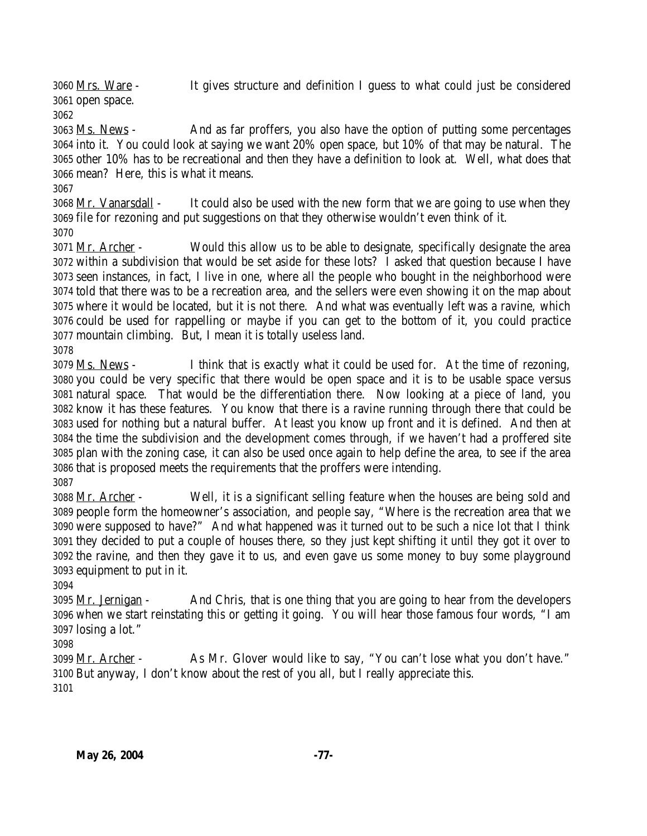Mrs. Ware - It gives structure and definition I guess to what could just be considered open space.

 Ms. News - And as far proffers, you also have the option of putting some percentages into it. You could look at saying we want 20% open space, but 10% of that may be natural. The other 10% has to be recreational and then they have a definition to look at. Well, what does that mean? Here, this is what it means.

3068 Mr. Vanarsdall - It could also be used with the new form that we are going to use when they file for rezoning and put suggestions on that they otherwise wouldn't even think of it. 

 Mr. Archer - Would this allow us to be able to designate, specifically designate the area within a subdivision that would be set aside for these lots? I asked that question because I have seen instances, in fact, I live in one, where all the people who bought in the neighborhood were told that there was to be a recreation area, and the sellers were even showing it on the map about where it would be located, but it is not there. And what was eventually left was a ravine, which could be used for rappelling or maybe if you can get to the bottom of it, you could practice mountain climbing. But, I mean it is totally useless land.

 Ms. News - I think that is exactly what it could be used for. At the time of rezoning, you could be very specific that there would be open space and it is to be usable space versus natural space. That would be the differentiation there. Now looking at a piece of land, you know it has these features. You know that there is a ravine running through there that could be used for nothing but a natural buffer. At least you know up front and it is defined. And then at the time the subdivision and the development comes through, if we haven't had a proffered site plan with the zoning case, it can also be used once again to help define the area, to see if the area that is proposed meets the requirements that the proffers were intending. 

 Mr. Archer - Well, it is a significant selling feature when the houses are being sold and people form the homeowner's association, and people say, "Where is the recreation area that we were supposed to have?" And what happened was it turned out to be such a nice lot that I think they decided to put a couple of houses there, so they just kept shifting it until they got it over to the ravine, and then they gave it to us, and even gave us some money to buy some playground equipment to put in it.

 Mr. Jernigan - And Chris, that is one thing that you are going to hear from the developers when we start reinstating this or getting it going. You will hear those famous four words, "I am losing a lot."

 Mr. Archer - As Mr. Glover would like to say, "You can't lose what you don't have." But anyway, I don't know about the rest of you all, but I really appreciate this.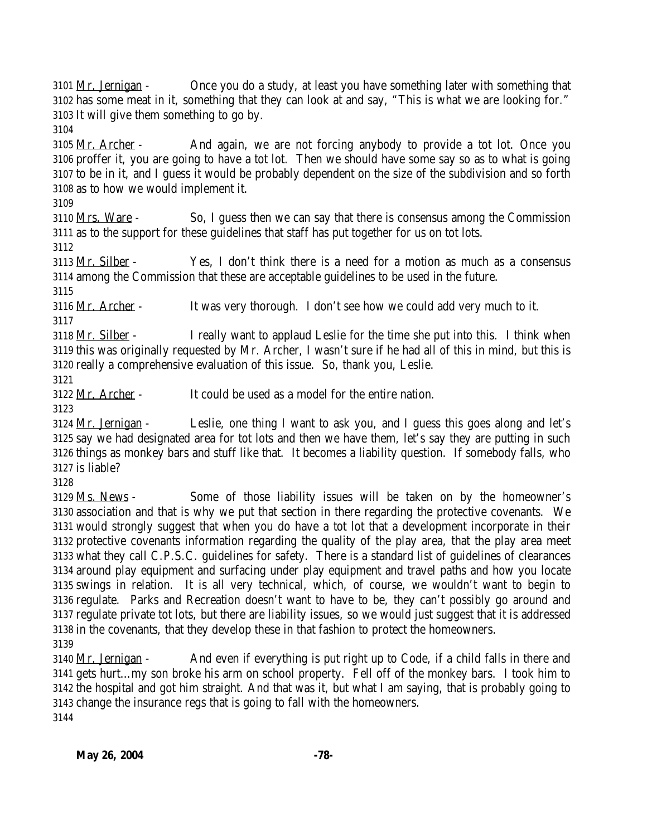3101 Mr. Jernigan - Once you do a study, at least you have something later with something that has some meat in it, something that they can look at and say, "This is what we are looking for." It will give them something to go by.

3105 Mr. Archer - And again, we are not forcing anybody to provide a tot lot. Once you proffer it, you are going to have a tot lot. Then we should have some say so as to what is going to be in it, and I guess it would be probably dependent on the size of the subdivision and so forth as to how we would implement it.

 Mrs. Ware - So, I guess then we can say that there is consensus among the Commission as to the support for these guidelines that staff has put together for us on tot lots.

 Mr. Silber - Yes, I don't think there is a need for a motion as much as a consensus among the Commission that these are acceptable guidelines to be used in the future.

Mr. Archer - It was very thorough. I don't see how we could add very much to it.

 Mr. Silber - I really want to applaud Leslie for the time she put into this. I think when this was originally requested by Mr. Archer, I wasn't sure if he had all of this in mind, but this is really a comprehensive evaluation of this issue. So, thank you, Leslie.

Mr. Archer - It could be used as a model for the entire nation.

3124 Mr. Jernigan - Leslie, one thing I want to ask you, and I guess this goes along and let's say we had designated area for tot lots and then we have them, let's say they are putting in such things as monkey bars and stuff like that. It becomes a liability question. If somebody falls, who is liable?

 Ms. News - Some of those liability issues will be taken on by the homeowner's association and that is why we put that section in there regarding the protective covenants. We would strongly suggest that when you do have a tot lot that a development incorporate in their protective covenants information regarding the quality of the play area, that the play area meet what they call C.P.S.C. guidelines for safety. There is a standard list of guidelines of clearances around play equipment and surfacing under play equipment and travel paths and how you locate swings in relation. It is all very technical, which, of course, we wouldn't want to begin to regulate. Parks and Recreation doesn't want to have to be, they can't possibly go around and regulate private tot lots, but there are liability issues, so we would just suggest that it is addressed in the covenants, that they develop these in that fashion to protect the homeowners. 

 Mr. Jernigan - And even if everything is put right up to Code, if a child falls in there and gets hurt…my son broke his arm on school property. Fell off of the monkey bars. I took him to the hospital and got him straight. And that was it, but what I am saying, that is probably going to change the insurance regs that is going to fall with the homeowners.